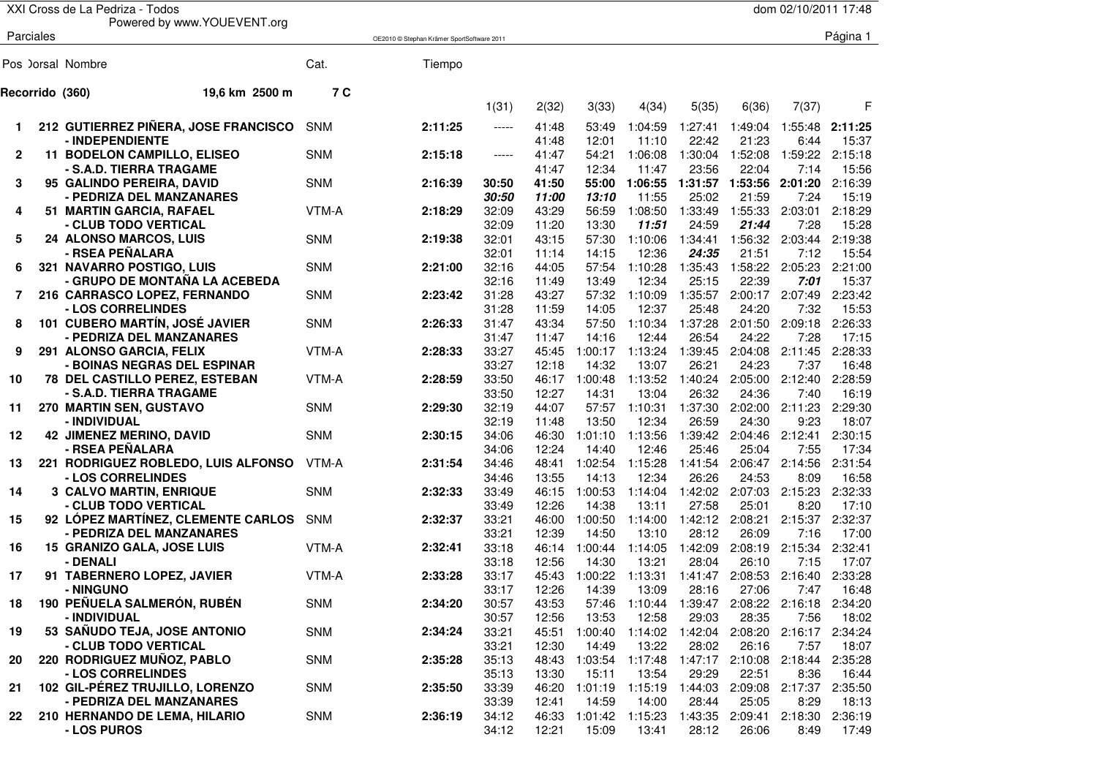|                 | XXI Cross de La Pedriza - Todos                                |            |                                            |                |                |                  |                  |                  |                  | dom 02/10/2011 17:48 |                  |
|-----------------|----------------------------------------------------------------|------------|--------------------------------------------|----------------|----------------|------------------|------------------|------------------|------------------|----------------------|------------------|
|                 | Powered by www.YOUEVENT.org                                    |            |                                            |                |                |                  |                  |                  |                  |                      |                  |
| Parciales       |                                                                |            | OE2010 © Stephan Krämer SportSoftware 2011 |                |                |                  |                  |                  |                  |                      | Página 1         |
|                 | Pos ) orsal Nombre                                             | Cat.       | Tiempo                                     |                |                |                  |                  |                  |                  |                      |                  |
| Recorrido (360) | 19,6 km 2500 m                                                 | 7 C        |                                            |                |                |                  |                  |                  |                  |                      |                  |
|                 |                                                                |            |                                            | 1(31)          | 2(32)          | 3(33)            | 4(34)            | 5(35)            | 6(36)            | 7(37)                | F                |
| 1               | 212 GUTIERREZ PIÑERA, JOSE FRANCISCO                           | <b>SNM</b> | 2:11:25                                    | $-----$        | 41:48          | 53:49            | 1:04:59          | 1:27:41          | 1:49:04          | 1:55:48              | 2:11:25          |
|                 | - INDEPENDIENTE                                                |            |                                            |                | 41:48          | 12:01            | 11:10            | 22:42            | 21:23            | 6:44                 | 15:37            |
| $\mathbf{2}$    | <b>11 BODELON CAMPILLO, ELISEO</b>                             | <b>SNM</b> | 2:15:18                                    | $-----$        | 41:47          | 54:21            | 1:06:08          | 1:30:04          | 1:52:08          | 1:59:22              | 2:15:18          |
|                 | - S.A.D. TIERRA TRAGAME                                        |            |                                            |                | 41:47          | 12:34            | 11:47            | 23:56            | 22:04            | 7:14                 | 15:56            |
| 3               | 95 GALINDO PEREIRA, DAVID                                      | <b>SNM</b> | 2:16:39                                    | 30:50          | 41:50          | 55:00            | 1:06:55 1:31:57  |                  | 1:53:56          | 2:01:20              | 2:16:39          |
|                 | - PEDRIZA DEL MANZANARES                                       |            |                                            | 30:50          | 11:00          | 13:10            | 11:55            | 25:02            | 21:59            | 7:24                 | 15:19            |
| 4               | 51 MARTIN GARCIA, RAFAEL                                       | VTM-A      | 2:18:29                                    | 32:09          | 43:29          | 56:59            | 1:08:50          | 1:33:49          | 1:55:33          | 2:03:01              | 2:18:29          |
|                 | - CLUB TODO VERTICAL                                           |            |                                            | 32:09          | 11:20          | 13:30            | 11:51            | 24:59            | 21:44            | 7:28                 | 15:28            |
| 5               | 24 ALONSO MARCOS, LUIS                                         | <b>SNM</b> | 2:19:38                                    | 32:01          | 43:15          | 57:30            | 1:10:06          | 1:34:41          | 1:56:32          | 2:03:44              | 2:19:38          |
|                 | - RSEA PEÑALARA                                                |            |                                            | 32:01          | 11:14          | 14:15            | 12:36            | 24:35            | 21:51            | 7:12                 | 15:54            |
| 6               | 321 NAVARRO POSTIGO, LUIS                                      | <b>SNM</b> | 2:21:00                                    | 32:16          | 44:05          | 57:54            | 1:10:28          | 1:35:43          | 1:58:22          | 2:05:23              | 2:21:00          |
|                 | - GRUPO DE MONTAÑA LA ACEBEDA                                  |            |                                            | 32:16          | 11:49          | 13:49            | 12:34            | 25:15            | 22:39            | 7:01                 | 15:37            |
| $\overline{7}$  | 216 CARRASCO LOPEZ, FERNANDO                                   | <b>SNM</b> | 2:23:42                                    | 31:28          | 43:27          | 57:32            | 1:10:09          | 1:35:57          | 2:00:17          | 2:07:49              | 2:23:42          |
|                 | - LOS CORRELINDES                                              |            |                                            | 31:28          | 11:59          | 14:05            | 12:37            | 25:48            | 24:20            | 7:32                 | 15:53            |
| 8               | 101 CUBERO MARTÍN, JOSÉ JAVIER                                 | <b>SNM</b> | 2:26:33                                    | 31:47          | 43:34          | 57:50            | 1:10:34          | 1:37:28          | 2:01:50          | 2:09:18              | 2:26:33          |
|                 | - PEDRIZA DEL MANZANARES                                       |            |                                            | 31:47          | 11:47          | 14:16            | 12:44            | 26:54            | 24:22            | 7:28                 | 17:15            |
| 9               | 291 ALONSO GARCIA, FELIX                                       | VTM-A      | 2:28:33                                    | 33:27          | 45:45          | 1:00:17          | 1:13:24          | 1:39:45          | 2:04:08          | 2:11:45              | 2:28:33          |
|                 | - BOINAS NEGRAS DEL ESPINAR                                    |            |                                            | 33:27          | 12:18          | 14:32            | 13:07            | 26:21            | 24:23            | 7:37                 | 16:48            |
| 10              | <b>78 DEL CASTILLO PEREZ, ESTEBAN</b>                          | VTM-A      | 2:28:59                                    | 33:50          | 46:17          | 1:00:48          | 1:13:52          | 1:40:24          | 2:05:00          | 2:12:40              | 2:28:59          |
|                 | - S.A.D. TIERRA TRAGAME                                        |            |                                            | 33:50          | 12:27          | 14:31            | 13:04            | 26:32            | 24:36            | 7:40                 | 16:19            |
| 11              | 270 MARTIN SEN, GUSTAVO                                        | <b>SNM</b> | 2:29:30                                    | 32:19          | 44:07          | 57:57            | 1:10:31          | 1:37:30          | 2:02:00          | 2:11:23              | 2:29:30          |
|                 | - INDIVIDUAL                                                   |            |                                            | 32:19          | 11:48          | 13:50            | 12:34            | 26:59            | 24:30            | 9:23                 | 18:07            |
| 12              | <b>42 JIMENEZ MERINO, DAVID</b>                                | <b>SNM</b> | 2:30:15                                    | 34:06          | 46:30          | 1:01:10          | 1:13:56          | 1:39:42          | 2:04:46          | 2:12:41              | 2:30:15          |
|                 | - RSEA PEÑALARA                                                |            |                                            | 34:06          | 12:24          | 14:40            | 12:46            | 25:46            | 25:04            | 7:55                 | 17:34            |
| 13              | 221 RODRIGUEZ ROBLEDO, LUIS ALFONSO                            | VTM-A      | 2:31:54                                    | 34:46          | 48:41          | 1:02:54          | 1:15:28          | 1:41:54          | 2:06:47          | 2:14:56              | 2:31:54          |
|                 | - LOS CORRELINDES                                              |            |                                            | 34:46          | 13:55          | 14:13            | 12:34            | 26:26            | 24:53            | 8:09                 | 16:58            |
| 14              | <b>3 CALVO MARTIN, ENRIQUE</b>                                 | <b>SNM</b> | 2:32:33                                    | 33:49          | 46:15          | 1:00:53          | 1:14:04          | 1:42:02          | 2:07:03          | 2:15:23              | 2:32:33          |
|                 | - CLUB TODO VERTICAL                                           |            |                                            | 33:49          | 12:26          | 14:38            | 13:11            | 27:58            | 25:01<br>2:08:21 | 8:20                 | 17:10            |
| 15              | 92 LÓPEZ MARTÍNEZ, CLEMENTE CARLOS<br>- PEDRIZA DEL MANZANARES | <b>SNM</b> | 2:32:37                                    | 33:21<br>33:21 | 46:00<br>12:39 | 1:00:50<br>14:50 | 1:14:00<br>13:10 | 1:42:12<br>28:12 | 26:09            | 2:15:37<br>7:16      | 2:32:37<br>17:00 |
| 16              | 15 GRANIZO GALA, JOSE LUIS                                     | VTM-A      | 2:32:41                                    | 33:18          | 46:14          | 1:00:44          | 1:14:05          | 1:42:09          | 2:08:19          | 2:15:34              | 2:32:41          |
|                 | - DENALI                                                       |            |                                            | 33:18          | 12:56          | 14:30            | 13:21            | 28:04            | 26:10            | 7:15                 | 17:07            |
| 17              | 91 TABERNERO LOPEZ, JAVIER                                     | VTM-A      | 2:33:28                                    | 33:17          | 45:43          | 1:00:22          | 1:13:31          | 1:41:47          | 2:08:53          | 2:16:40              | 2:33:28          |
|                 | - NINGUNO                                                      |            |                                            | 33:17          | 12:26          | 14:39            | 13:09            | 28:16            | 27:06            | 7:47                 | 16:48            |
| 18              | 190 PEÑUELA SALMERÓN, RUBÉN                                    | <b>SNM</b> | 2:34:20                                    | 30:57          | 43:53          | 57:46            | 1:10:44          | 1:39:47          | 2:08:22          | 2:16:18              | 2:34:20          |
|                 | - INDIVIDUAL                                                   |            |                                            | 30:57          | 12:56          | 13:53            | 12:58            | 29:03            | 28:35            | 7:56                 | 18:02            |
| 19              | 53 SAÑUDO TEJA, JOSE ANTONIO                                   | SNM        | 2:34:24                                    | 33:21          | 45:51          | 1:00:40          |                  | 1:14:02 1:42:04  | 2:08:20          | 2:16:17              | 2:34:24          |
|                 | - CLUB TODO VERTICAL                                           |            |                                            | 33:21          | 12:30          | 14:49            | 13:22            | 28:02            | 26:16            | 7:57                 | 18:07            |
| 20              | 220 RODRIGUEZ MUÑOZ, PABLO                                     | <b>SNM</b> | 2:35:28                                    | 35:13          | 48:43          | 1:03:54          | 1:17:48          | 1:47:17          | 2:10:08          | 2:18:44              | 2:35:28          |
|                 | - LOS CORRELINDES                                              |            |                                            | 35:13          | 13:30          | 15:11            | 13:54            | 29:29            | 22:51            | 8:36                 | 16:44            |
| 21              | 102 GIL-PÉREZ TRUJILLO, LORENZO                                | <b>SNM</b> | 2:35:50                                    | 33:39          | 46:20          | 1:01:19          | 1:15:19          | 1:44:03          | 2:09:08          | 2:17:37              | 2:35:50          |
|                 | - PEDRIZA DEL MANZANARES                                       |            |                                            | 33:39          | 12:41          | 14:59            | 14:00            | 28:44            | 25:05            | 8:29                 | 18:13            |
| 22              | 210 HERNANDO DE LEMA, HILARIO                                  | <b>SNM</b> | 2:36:19                                    | 34:12          | 46:33          | 1:01:42          | 1:15:23          | 1:43:35          | 2:09:41          | 2:18:30              | 2:36:19          |
|                 | - LOS PUROS                                                    |            |                                            | 34:12          | 12:21          | 15:09            | 13:41            | 28:12            | 26:06            | 8:49                 | 17:49            |
|                 |                                                                |            |                                            |                |                |                  |                  |                  |                  |                      |                  |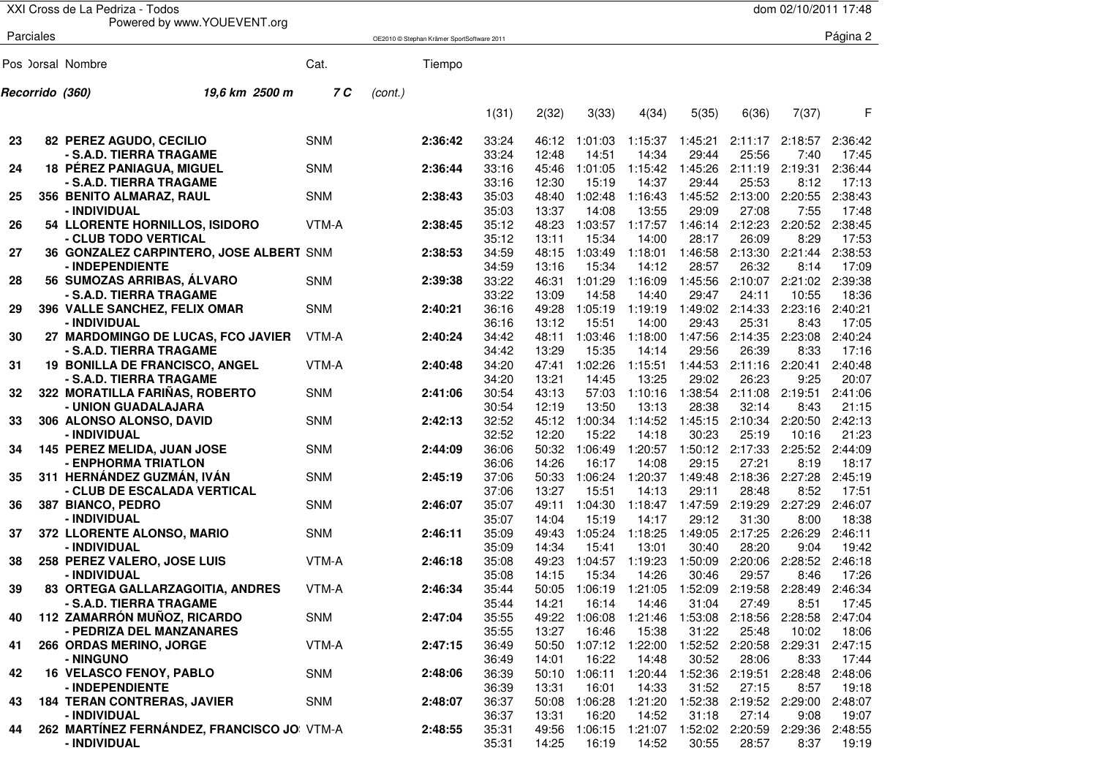|    |                 | XXI Cross de La Pedriza - Todos                      |            |         |                                            |                |                |                       |                  |                                 |                  | dom 02/10/2011 17:48 |                  |
|----|-----------------|------------------------------------------------------|------------|---------|--------------------------------------------|----------------|----------------|-----------------------|------------------|---------------------------------|------------------|----------------------|------------------|
|    |                 | Powered by www.YOUEVENT.org                          |            |         |                                            |                |                |                       |                  |                                 |                  |                      |                  |
|    | Parciales       |                                                      |            |         | OE2010 © Stephan Krämer SportSoftware 2011 |                |                |                       |                  |                                 |                  |                      | Página 2         |
|    |                 | Pos ) orsal Nombre                                   | Cat.       |         | Tiempo                                     |                |                |                       |                  |                                 |                  |                      |                  |
|    | Recorrido (360) | 19,6 km 2500 m                                       | 7 C        | (cont.) |                                            |                |                |                       |                  |                                 |                  |                      |                  |
|    |                 |                                                      |            |         |                                            | 1(31)          | 2(32)          | 3(33)                 | 4(34)            | 5(35)                           | 6(36)            | 7(37)                | F                |
| 23 |                 | 82 PEREZ AGUDO, CECILIO                              | <b>SNM</b> |         | 2:36:42                                    | 33:24          | 46:12          | 1:01:03               | 1:15:37          | 1:45:21                         | 2:11:17          | 2:18:57              | 2:36:42          |
|    |                 | - S.A.D. TIERRA TRAGAME                              |            |         |                                            | 33:24          | 12:48          | 14:51                 | 14:34            | 29:44                           | 25:56            | 7:40                 | 17:45            |
| 24 |                 | 18 PÉREZ PANIAGUA, MIGUEL<br>- S.A.D. TIERRA TRAGAME | <b>SNM</b> |         | 2:36:44                                    | 33:16<br>33:16 | 45:46<br>12:30 | 1:01:05<br>15:19      | 1:15:42<br>14:37 | 1:45:26<br>29:44                | 2:11:19<br>25:53 | 2:19:31<br>8:12      | 2:36:44<br>17:13 |
| 25 |                 | 356 BENITO ALMARAZ, RAUL                             | <b>SNM</b> |         | 2:38:43                                    | 35:03          | 48:40          | 1:02:48               | 1:16:43          | 1:45:52                         | 2:13:00          | 2:20:55              | 2:38:43          |
|    |                 | - INDIVIDUAL                                         |            |         |                                            | 35:03          | 13:37          | 14:08                 | 13:55            | 29:09                           | 27:08            | 7:55                 | 17:48            |
| 26 |                 | 54 LLORENTE HORNILLOS, ISIDORO                       | VTM-A      |         | 2:38:45                                    | 35:12          | 48:23          | 1:03:57               | 1:17:57          | 1:46:14                         | 2:12:23          | 2:20:52              | 2:38:45          |
|    |                 | - CLUB TODO VERTICAL                                 |            |         |                                            | 35:12          | 13:11          | 15:34                 | 14:00            | 28:17                           | 26:09            | 8:29                 | 17:53            |
| 27 |                 | 36 GONZALEZ CARPINTERO, JOSE ALBERT SNM              |            |         | 2:38:53                                    | 34:59          | 48:15          | 1:03:49               | 1:18:01          | 1:46:58                         | 2:13:30          | 2:21:44              | 2:38:53          |
|    |                 | - INDEPENDIENTE                                      |            |         |                                            | 34:59          | 13:16          | 15:34                 | 14:12            | 28:57                           | 26:32            | 8:14                 | 17:09            |
| 28 |                 | 56 SUMOZAS ARRIBAS, ALVARO                           | <b>SNM</b> |         | 2:39:38                                    | 33:22          | 46:31          | 1:01:29               | 1:16:09          | 1:45:56                         | 2:10:07          | 2:21:02              | 2:39:38          |
|    |                 | - S.A.D. TIERRA TRAGAME                              |            |         |                                            | 33:22          | 13:09          | 14:58                 | 14:40            | 29:47                           | 24:11            | 10:55                | 18:36            |
| 29 |                 | 396 VALLE SANCHEZ, FELIX OMAR                        | <b>SNM</b> |         | 2:40:21                                    | 36:16          | 49:28          | 1:05:19               | 1:19:19          | 1:49:02                         | 2:14:33          | 2:23:16              | 2:40:21          |
|    |                 | - INDIVIDUAL                                         |            |         |                                            | 36:16          | 13:12          | 15:51                 | 14:00            | 29:43                           | 25:31            | 8:43                 | 17:05            |
| 30 |                 | 27 MARDOMINGO DE LUCAS, FCO JAVIER                   | VTM-A      |         | 2:40:24                                    | 34:42          | 48:11          | 1:03:46               | 1:18:00          | 1:47:56                         | 2:14:35          | 2:23:08              | 2:40:24          |
|    |                 | - S.A.D. TIERRA TRAGAME                              |            |         |                                            | 34:42          | 13:29          | 15:35                 | 14:14            | 29:56                           | 26:39            | 8:33                 | 17:16            |
| 31 |                 | <b>19 BONILLA DE FRANCISCO, ANGEL</b>                | VTM-A      |         | 2:40:48                                    | 34:20          | 47:41          | 1:02:26               | 1:15:51          | 1:44:53                         | 2:11:16          | 2:20:41              | 2:40:48          |
|    |                 | - S.A.D. TIERRA TRAGAME                              |            |         |                                            | 34:20          | 13:21          | 14:45                 | 13:25            | 29:02                           | 26:23            | 9:25                 | 20:07            |
| 32 |                 | 322 MORATILLA FARIÑAS, ROBERTO                       | <b>SNM</b> |         | 2:41:06                                    | 30:54          | 43:13          | 57:03                 | 1:10:16          | 1:38:54                         | 2:11:08          | 2:19:51              | 2:41:06          |
|    |                 | - UNION GUADALAJARA                                  |            |         |                                            | 30:54          | 12:19          | 13:50                 | 13:13            | 28:38                           | 32:14            | 8:43                 | 21:15            |
| 33 |                 | 306 ALONSO ALONSO, DAVID                             | <b>SNM</b> |         | 2:42:13                                    | 32:52<br>32:52 | 45:12<br>12:20 | 1:00:34<br>15:22      | 1:14:52<br>14:18 | 1:45:15<br>30:23                | 2:10:34<br>25:19 | 2:20:50<br>10:16     | 2:42:13<br>21:23 |
| 34 |                 | - INDIVIDUAL<br>145 PEREZ MELIDA, JUAN JOSE          | <b>SNM</b> |         | 2:44:09                                    | 36:06          | 50:32          | 1:06:49               | 1:20:57          | 1:50:12                         | 2:17:33          | 2:25:52              | 2:44:09          |
|    |                 | - ENPHORMA TRIATLON                                  |            |         |                                            | 36:06          | 14:26          | 16:17                 | 14:08            | 29:15                           | 27:21            | 8:19                 | 18:17            |
| 35 |                 | 311 HERNÁNDEZ GUZMÁN, IVÁN                           | <b>SNM</b> |         | 2:45:19                                    | 37:06          | 50:33          | 1:06:24               | 1:20:37          | 1:49:48                         | 2:18:36          | 2:27:28              | 2:45:19          |
|    |                 | - CLUB DE ESCALADA VERTICAL                          |            |         |                                            | 37:06          | 13:27          | 15:51                 | 14:13            | 29:11                           | 28:48            | 8:52                 | 17:51            |
| 36 |                 | 387 BIANCO, PEDRO                                    | <b>SNM</b> |         | 2:46:07                                    | 35:07          | 49:11          | 1:04:30               | 1:18:47          | 1:47:59                         | 2:19:29          | 2:27:29              | 2:46:07          |
|    |                 | - INDIVIDUAL                                         |            |         |                                            | 35:07          | 14:04          | 15:19                 | 14:17            | 29:12                           | 31:30            | 8:00                 | 18:38            |
| 37 |                 | 372 LLORENTE ALONSO, MARIO                           | <b>SNM</b> |         | 2:46:11                                    | 35:09          | 49:43          | 1:05:24               | 1:18:25          | 1:49:05                         | 2:17:25          | 2:26:29              | 2:46:11          |
|    |                 | - INDIVIDUAL                                         |            |         |                                            | 35:09          | 14:34          | 15:41                 | 13:01            | 30:40                           | 28:20            | 9:04                 | 19:42            |
| 38 |                 | 258 PEREZ VALERO, JOSE LUIS                          | VTM-A      |         | 2:46:18                                    | 35:08          | 49:23          | 1:04:57               | 1:19:23          | 1:50:09                         | 2:20:06          | 2:28:52              | 2:46:18          |
|    |                 | - INDIVIDUAL                                         |            |         |                                            | 35:08          | 14:15          | 15:34                 | 14:26            | 30:46                           | 29:57            | 8:46                 | 17:26            |
| 39 |                 | 83 ORTEGA GALLARZAGOITIA, ANDRES                     | VTM-A      |         | 2:46:34                                    | 35:44          |                | 50:05 1:06:19 1:21:05 |                  | 1:52:09 2:19:58 2:28:49 2:46:34 |                  |                      |                  |
|    |                 | - S.A.D. TIERRA TRAGAME                              |            |         |                                            | 35:44          | 14:21          | 16:14                 | 14:46            | 31:04                           | 27:49            | 8:51                 | 17:45            |
| 40 |                 | 112 ZAMARRÓN MUÑOZ, RICARDO                          | <b>SNM</b> |         | 2:47:04                                    | 35:55          | 49:22          | 1:06:08               | 1:21:46          | 1:53:08                         | 2:18:56          | 2:28:58              | 2:47:04          |
|    |                 | - PEDRIZA DEL MANZANARES                             |            |         |                                            | 35:55          | 13:27          | 16:46                 | 15:38            | 31:22                           | 25:48            | 10:02                | 18:06            |
| 41 |                 | 266 ORDAS MERINO, JORGE                              | VTM-A      |         | 2:47:15                                    | 36:49          | 50:50          | 1:07:12 1:22:00       |                  | 1:52:52                         |                  | 2:20:58 2:29:31      | 2:47:15          |
|    |                 | - NINGUNO                                            |            |         |                                            | 36:49          | 14:01          | 16:22                 | 14:48            | 30:52                           | 28:06            | 8:33                 | 17:44            |
| 42 |                 | <b>16 VELASCO FENOY, PABLO</b>                       | <b>SNM</b> |         | 2:48:06                                    | 36:39          | 50:10          | 1:06:11               | 1:20:44          | 1:52:36                         | 2:19:51          | 2:28:48              | 2:48:06          |
|    |                 | - INDEPENDIENTE                                      |            |         |                                            | 36:39          | 13:31          | 16:01                 | 14:33            | 31:52                           | 27:15            | 8:57                 | 19:18            |
| 43 |                 | <b>184 TERAN CONTRERAS, JAVIER</b>                   | <b>SNM</b> |         | 2:48:07                                    | 36:37          | 50:08          | 1:06:28               | 1:21:20          | 1:52:38                         |                  | 2:19:52 2:29:00      | 2:48:07          |
|    |                 | - INDIVIDUAL                                         |            |         |                                            | 36:37          | 13:31          | 16:20                 | 14:52            | 31:18                           | 27:14            | 9:08                 | 19:07            |
| 44 |                 | 262 MARTÍNEZ FERNÁNDEZ, FRANCISCO JO VTM-A           |            |         | 2:48:55                                    | 35:31          | 49:56          | 1:06:15               | 1:21:07          | 1:52:02                         |                  | 2:20:59 2:29:36      | 2:48:55          |
|    |                 | - INDIVIDUAL                                         |            |         |                                            | 35:31          | 14:25          | 16:19                 | 14:52            | 30:55                           | 28:57            | 8:37                 | 19:19            |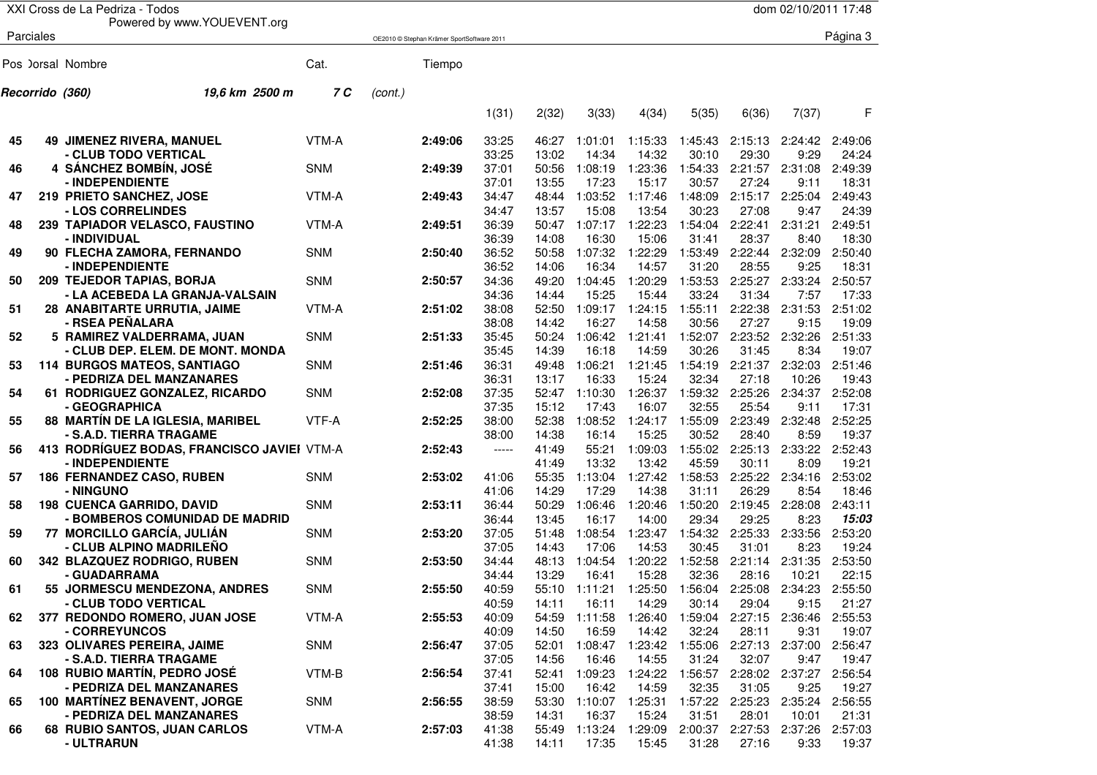|    |                 | XXI Cross de La Pedriza - Todos                       |            |         |                                            |                |                |                                        |                  |                  |                  | dom 02/10/2011 17:48             |                  |
|----|-----------------|-------------------------------------------------------|------------|---------|--------------------------------------------|----------------|----------------|----------------------------------------|------------------|------------------|------------------|----------------------------------|------------------|
|    | Parciales       | Powered by www.YOUEVENT.org                           |            |         | OE2010 © Stephan Krämer SportSoftware 2011 |                |                |                                        |                  |                  |                  |                                  | Página 3         |
|    |                 |                                                       |            |         |                                            |                |                |                                        |                  |                  |                  |                                  |                  |
|    |                 | Pos ) orsal Nombre                                    | Cat.       |         | Tiempo                                     |                |                |                                        |                  |                  |                  |                                  |                  |
|    | Recorrido (360) | 19.6 km 2500 m                                        | 7 C        | (cont.) |                                            |                |                |                                        |                  |                  |                  |                                  |                  |
|    |                 |                                                       |            |         |                                            | 1(31)          | 2(32)          | 3(33)                                  | 4(34)            | 5(35)            | 6(36)            | 7(37)                            | F                |
| 45 |                 | <b>49 JIMENEZ RIVERA, MANUEL</b>                      | VTM-A      |         | 2:49:06                                    | 33:25          | 46:27          | 1:01:01                                | 1:15:33          | 1:45:43          | 2:15:13          | 2:24:42                          | 2:49:06          |
|    |                 | - CLUB TODO VERTICAL                                  |            |         |                                            | 33:25          | 13:02          | 14:34                                  | 14:32            | 30:10            | 29:30            | 9:29                             | 24:24            |
| 46 |                 | 4 SÁNCHEZ BOMBÍN, JOSÉ                                | <b>SNM</b> |         | 2:49:39                                    | 37:01          | 50:56          | 1:08:19                                | 1:23:36          | 1:54:33          | 2:21:57          | 2:31:08                          | 2:49:39          |
|    |                 | - INDEPENDIENTE                                       |            |         |                                            | 37:01          | 13:55          | 17:23                                  | 15:17            | 30:57            | 27:24            | 9:11                             | 18:31            |
| 47 |                 | 219 PRIETO SANCHEZ, JOSE                              | VTM-A      |         | 2:49:43                                    | 34:47          | 48:44          | 1:03:52                                | 1:17:46          | 1:48:09          | 2:15:17          | 2:25:04                          | 2:49:43          |
|    |                 | - LOS CORRELINDES                                     |            |         |                                            | 34:47          | 13:57          | 15:08                                  | 13:54            | 30:23            | 27:08            | 9:47                             | 24:39            |
| 48 |                 | 239 TAPIADOR VELASCO, FAUSTINO                        | VTM-A      |         | 2:49:51                                    | 36:39          | 50:47          | 1:07:17                                | 1:22:23          | 1:54:04          | 2:22:41          | 2:31:21                          | 2:49:51          |
|    |                 | - INDIVIDUAL                                          |            |         |                                            | 36:39          | 14:08          | 16:30                                  | 15:06            | 31:41            | 28:37            | 8:40                             | 18:30            |
| 49 |                 | 90 FLECHA ZAMORA, FERNANDO                            | <b>SNM</b> |         | 2:50:40                                    | 36:52          | 50:58          | 1:07:32<br>16:34                       | 1:22:29<br>14:57 | 1:53:49          | 2:22:44          | 2:32:09                          | 2:50:40<br>18:31 |
| 50 |                 | - INDEPENDIENTE<br>209 TEJEDOR TAPIAS, BORJA          | <b>SNM</b> |         | 2:50:57                                    | 36:52<br>34:36 | 14:06<br>49:20 | 1:04:45                                | 1:20:29          | 31:20<br>1:53:53 | 28:55<br>2:25:27 | 9:25<br>2:33:24                  | 2:50:57          |
|    |                 | - LA ACEBEDA LA GRANJA-VALSAIN                        |            |         |                                            | 34:36          | 14:44          | 15:25                                  | 15:44            | 33:24            | 31:34            | 7:57                             | 17:33            |
| 51 |                 | 28 ANABITARTE URRUTIA, JAIME                          | VTM-A      |         | 2:51:02                                    | 38:08          | 52:50          | 1:09:17                                | 1:24:15          | 1:55:11          | 2:22:38          | 2:31:53                          | 2:51:02          |
|    |                 | - RSEA PEÑALARA                                       |            |         |                                            | 38:08          | 14:42          | 16:27                                  | 14:58            | 30:56            | 27:27            | 9:15                             | 19:09            |
| 52 |                 | 5 RAMIREZ VALDERRAMA, JUAN                            | <b>SNM</b> |         | 2:51:33                                    | 35:45          | 50:24          | 1:06:42                                | 1:21:41          | 1:52:07          | 2:23:52          | 2:32:26                          | 2:51:33          |
|    |                 | - CLUB DEP. ELEM. DE MONT. MONDA                      |            |         |                                            | 35:45          | 14:39          | 16:18                                  | 14:59            | 30:26            | 31:45            | 8:34                             | 19:07            |
| 53 |                 | <b>114 BURGOS MATEOS, SANTIAGO</b>                    | <b>SNM</b> |         | 2:51:46                                    | 36:31          | 49:48          | 1:06:21                                | 1:21:45          | 1:54:19          | 2:21:37          | 2:32:03                          | 2:51:46          |
|    |                 | - PEDRIZA DEL MANZANARES                              |            |         |                                            | 36:31          | 13:17          | 16:33                                  | 15:24            | 32:34            | 27:18            | 10:26                            | 19:43            |
| 54 |                 | 61 RODRIGUEZ GONZALEZ, RICARDO                        | <b>SNM</b> |         | 2:52:08                                    | 37:35          | 52:47          | 1:10:30                                | 1:26:37          | 1:59:32          | 2:25:26          | 2:34:37                          | 2:52:08          |
|    |                 | - GEOGRAPHICA                                         |            |         |                                            | 37:35          | 15:12          | 17:43                                  | 16:07            | 32:55            | 25:54            | 9:11                             | 17:31            |
| 55 |                 | 88 MARTÍN DE LA IGLESIA, MARIBEL                      | VTF-A      |         | 2:52:25                                    | 38:00          | 52:38          | 1:08:52                                | 1:24:17          | 1:55:09          | 2:23:49          | 2:32:48                          | 2:52:25          |
|    |                 | - S.A.D. TIERRA TRAGAME                               |            |         |                                            | 38:00          | 14:38          | 16:14                                  | 15:25            | 30:52            | 28:40            | 8:59                             | 19:37            |
| 56 |                 | 413 RODRÍGUEZ BODAS, FRANCISCO JAVIEI VTM-A           |            |         | 2:52:43                                    | -----          | 41:49          | 55:21                                  | 1:09:03          | 1:55:02          | 2:25:13          | 2:33:22                          | 2:52:43          |
|    |                 | - INDEPENDIENTE                                       |            |         |                                            |                | 41:49          | 13:32                                  | 13:42            | 45:59            | 30:11            | 8:09                             | 19:21            |
| 57 |                 | <b>186 FERNANDEZ CASO, RUBEN</b>                      | <b>SNM</b> |         | 2:53:02                                    | 41:06          | 55:35          | 1:13:04                                | 1:27:42          | 1:58:53          | 2:25:22          | 2:34:16                          | 2:53:02          |
|    |                 | - NINGUNO                                             |            |         |                                            | 41:06          | 14:29          | 17:29                                  | 14:38            | 31:11            | 26:29            | 8:54                             | 18:46            |
| 58 |                 | <b>198 CUENCA GARRIDO, DAVID</b>                      | <b>SNM</b> |         | 2:53:11                                    | 36:44          | 50:29          | 1:06:46                                | 1:20:46          | 1:50:20          | 2:19:45          | 2:28:08                          | 2:43:11          |
|    |                 | - BOMBEROS COMUNIDAD DE MADRID                        |            |         |                                            | 36:44          | 13:45          | 16:17                                  | 14:00            | 29:34            | 29:25            | 8:23                             | 15:03            |
| 59 |                 | 77 MORCILLO GARCÍA, JULIÁN                            | <b>SNM</b> |         | 2:53:20                                    | 37:05          | 51:48          | 1:08:54                                | 1:23:47          | 1:54:32          | 2:25:33          | 2:33:56                          | 2:53:20          |
|    |                 | - CLUB ALPINO MADRILEÑO                               |            |         |                                            | 37:05          | 14:43          | 17:06                                  | 14:53            | 30:45            | 31:01            | 8:23                             | 19:24            |
| 60 |                 | 342 BLAZQUEZ RODRIGO, RUBEN                           | <b>SNM</b> |         | 2:53:50                                    | 34:44          | 48:13          | 1:04:54                                | 1:20:22          | 1:52:58          | 2:21:14          | 2:31:35                          | 2:53:50          |
|    |                 | - GUADARRAMA                                          | <b>SNM</b> |         | 2:55:50                                    | 34:44<br>40:59 | 13:29          | 16:41<br>55:10 1:11:21 1:25:50 1:56:04 | 15:28            | 32:36            | 28:16            | 10:21<br>2:25:08 2:34:23 2:55:50 | 22:15            |
| 61 |                 | 55 JORMESCU MENDEZONA, ANDRES<br>- CLUB TODO VERTICAL |            |         |                                            | 40:59          | 14:11          | 16:11                                  | 14:29            | 30:14            | 29:04            | 9:15                             | 21:27            |
| 62 |                 | 377 REDONDO ROMERO, JUAN JOSE                         | VTM-A      |         | 2:55:53                                    | 40:09          | 54:59          | 1:11:58                                | 1:26:40          | 1:59:04          |                  | 2:27:15 2:36:46                  | 2:55:53          |
|    |                 | - CORREYUNCOS                                         |            |         |                                            | 40:09          | 14:50          | 16:59                                  | 14:42            | 32:24            | 28:11            | 9:31                             | 19:07            |
| 63 |                 | 323 OLIVARES PEREIRA, JAIME                           | SNM        |         | 2:56:47                                    | 37:05          | 52:01          | 1:08:47                                | 1:23:42          | 1:55:06          |                  | 2:27:13 2:37:00                  | 2:56:47          |
|    |                 | - S.A.D. TIERRA TRAGAME                               |            |         |                                            | 37:05          | 14:56          | 16:46                                  | 14:55            | 31:24            | 32:07            | 9:47                             | 19:47            |
| 64 |                 | 108 RUBIO MARTÍN, PEDRO JOSÉ                          | VTM-B      |         | 2:56:54                                    | 37:41          | 52:41          | 1:09:23                                | 1:24:22          | 1:56:57          | 2:28:02 2:37:27  |                                  | 2:56:54          |
|    |                 | - PEDRIZA DEL MANZANARES                              |            |         |                                            | 37:41          | 15:00          | 16:42                                  | 14:59            | 32:35            | 31:05            | 9:25                             | 19:27            |
| 65 |                 | 100 MARTÍNEZ BENAVENT, JORGE                          | <b>SNM</b> |         | 2:56:55                                    | 38:59          | 53:30          | 1:10:07 1:25:31                        |                  | 1:57:22          | 2:25:23          | 2:35:24                          | 2:56:55          |
|    |                 | - PEDRIZA DEL MANZANARES                              |            |         |                                            | 38:59          | 14:31          | 16:37                                  | 15:24            | 31:51            | 28:01            | 10:01                            | 21:31            |
| 66 |                 | 68 RUBIO SANTOS, JUAN CARLOS                          | VTM-A      |         | 2:57:03                                    | 41:38          | 55:49          | 1:13:24                                | 1:29:09          | 2:00:37          |                  | 2:27:53 2:37:26                  | 2:57:03          |
|    |                 | - ULTRARUN                                            |            |         |                                            | 41:38          | 14:11          | 17:35                                  | 15:45            | 31:28            | 27:16            | 9:33                             | 19:37            |
|    |                 |                                                       |            |         |                                            |                |                |                                        |                  |                  |                  |                                  |                  |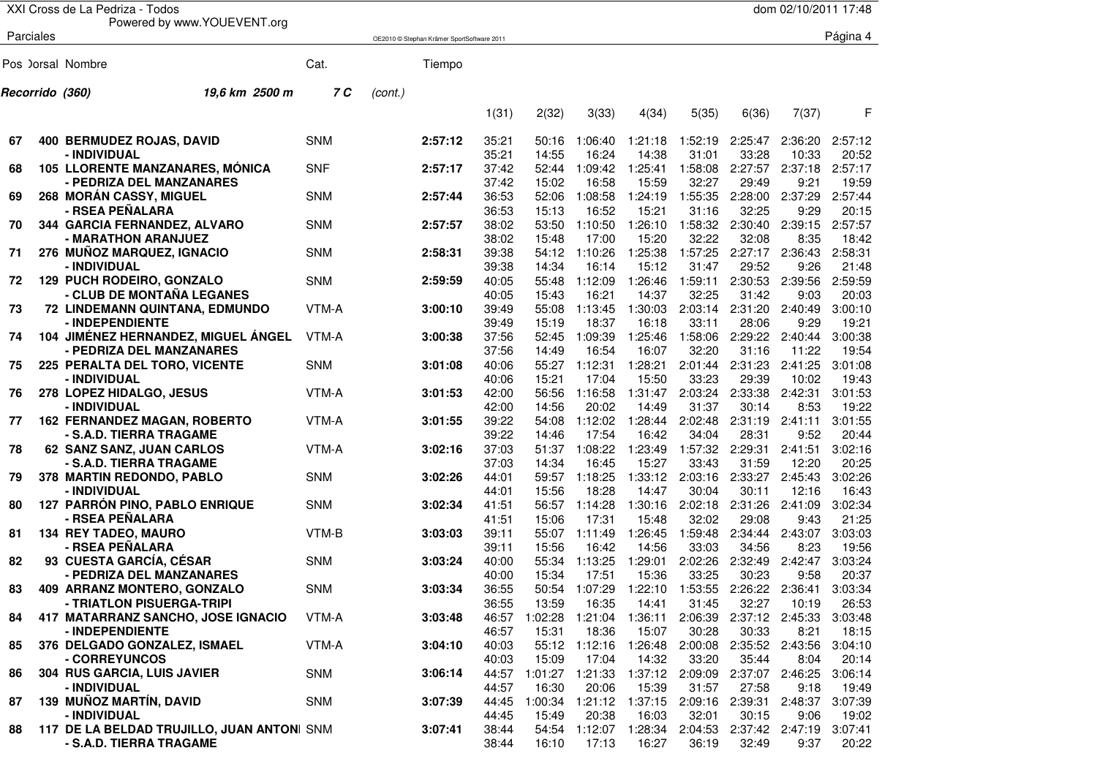|    |                 | XXI Cross de La Pedriza - Todos                   |            |         |                                            |                |                |                               |                  |                  |                  | dom 02/10/2011 17:48    |                  |
|----|-----------------|---------------------------------------------------|------------|---------|--------------------------------------------|----------------|----------------|-------------------------------|------------------|------------------|------------------|-------------------------|------------------|
|    | Parciales       | Powered by www.YOUEVENT.org                       |            |         | OE2010 © Stephan Krämer SportSoftware 2011 |                |                |                               |                  |                  |                  |                         | Página 4         |
|    |                 |                                                   |            |         |                                            |                |                |                               |                  |                  |                  |                         |                  |
|    |                 | Pos ) orsal Nombre                                | Cat.       |         | Tiempo                                     |                |                |                               |                  |                  |                  |                         |                  |
|    | Recorrido (360) | 19.6 km 2500 m                                    | 7 C        | (cont.) |                                            |                |                |                               |                  |                  |                  |                         |                  |
|    |                 |                                                   |            |         |                                            | 1(31)          | 2(32)          | 3(33)                         | 4(34)            | 5(35)            | 6(36)            | 7(37)                   | F                |
| 67 |                 | 400 BERMUDEZ ROJAS, DAVID                         | <b>SNM</b> |         | 2:57:12                                    | 35:21          | 50:16          | 1:06:40                       | 1:21:18          | 1:52:19          | 2:25:47          | 2:36:20                 | 2:57:12          |
|    |                 | - INDIVIDUAL                                      |            |         |                                            | 35:21          | 14:55          | 16:24                         | 14:38            | 31:01            | 33:28            | 10:33                   | 20:52            |
| 68 |                 | <b>105 LLORENTE MANZANARES, MÓNICA</b>            | <b>SNF</b> |         | 2:57:17                                    | 37:42          | 52:44          | 1:09:42                       | 1:25:41          | 1:58:08          | 2:27:57          | 2:37:18                 | 2:57:17          |
|    |                 | - PEDRIZA DEL MANZANARES                          |            |         |                                            | 37:42          | 15:02          | 16:58                         | 15:59            | 32:27<br>1:55:35 | 29:49            | 9:21<br>2:37:29         | 19:59<br>2:57:44 |
| 69 |                 | <b>268 MORÁN CASSY, MIGUEL</b><br>- RSEA PEÑALARA | <b>SNM</b> |         | 2:57:44                                    | 36:53<br>36:53 | 52:06<br>15:13 | 1:08:58<br>16:52              | 1:24:19<br>15:21 | 31:16            | 2:28:00<br>32:25 | 9:29                    | 20:15            |
| 70 |                 | 344 GARCIA FERNANDEZ, ALVARO                      | <b>SNM</b> |         | 2:57:57                                    | 38:02          | 53:50          | 1:10:50                       | 1:26:10          | 1:58:32          | 2:30:40          | 2:39:15                 | 2:57:57          |
|    |                 | - MARATHON ARANJUEZ                               |            |         |                                            | 38:02          | 15:48          | 17:00                         | 15:20            | 32:22            | 32:08            | 8:35                    | 18:42            |
| 71 |                 | 276 MUÑOZ MARQUEZ, IGNACIO                        | <b>SNM</b> |         | 2:58:31                                    | 39:38          | 54:12          | 1:10:26                       | 1:25:38          | 1:57:25          |                  | 2:27:17 2:36:43         | 2:58:31          |
|    |                 | - INDIVIDUAL                                      |            |         |                                            | 39:38          | 14:34          | 16:14                         | 15:12            | 31:47            | 29:52            | 9:26                    | 21:48            |
| 72 |                 | 129 PUCH RODEIRO, GONZALO                         | <b>SNM</b> |         | 2:59:59                                    | 40:05          | 55:48          | 1:12:09                       | 1:26:46          | 1:59:11          | 2:30:53          | 2:39:56                 | 2:59:59          |
|    |                 | - CLUB DE MONTAÑA LEGANES                         |            |         |                                            | 40:05          | 15:43          | 16:21                         | 14:37            | 32:25            | 31:42            | 9:03                    | 20:03            |
| 73 |                 | 72 LINDEMANN QUINTANA, EDMUNDO                    | VTM-A      |         | 3:00:10                                    | 39:49          | 55:08          | 1:13:45                       | 1:30:03          | 2:03:14          | 2:31:20          | 2:40:49                 | 3:00:10          |
|    |                 | - INDEPENDIENTE                                   |            |         |                                            | 39:49          | 15:19          | 18:37                         | 16:18            | 33:11            | 28:06            | 9:29                    | 19:21            |
| 74 |                 | 104 JIMÉNEZ HERNANDEZ, MIGUEL ÁNGEL               | VTM-A      |         | 3:00:38                                    | 37:56          | 52:45          | 1:09:39                       | 1:25:46          | 1:58:06          | 2:29:22          | 2:40:44                 | 3:00:38          |
|    |                 | - PEDRIZA DEL MANZANARES                          |            |         |                                            | 37:56          | 14:49          | 16:54                         | 16:07            | 32:20            | 31:16            | 11:22                   | 19:54            |
| 75 |                 | 225 PERALTA DEL TORO, VICENTE                     | <b>SNM</b> |         | 3:01:08                                    | 40:06          | 55:27          | 1:12:31                       | 1:28:21          | 2:01:44          | 2:31:23          | 2:41:25                 | 3:01:08          |
|    |                 | - INDIVIDUAL                                      |            |         |                                            | 40:06          | 15:21          | 17:04                         | 15:50            | 33:23            | 29:39            | 10:02                   | 19:43            |
| 76 |                 | 278 LOPEZ HIDALGO, JESUS                          | VTM-A      |         | 3:01:53                                    | 42:00          | 56:56          | 1:16:58                       | 1:31:47          | 2:03:24          | 2:33:38          | 2:42:31                 | 3:01:53          |
|    |                 | - INDIVIDUAL                                      |            |         |                                            | 42:00          | 14:56          | 20:02                         | 14:49            | 31:37            | 30:14            | 8:53                    | 19:22            |
| 77 |                 | <b>162 FERNANDEZ MAGAN, ROBERTO</b>               | VTM-A      |         | 3:01:55                                    | 39:22          | 54:08          | 1:12:02                       | 1:28:44          | 2:02:48          | 2:31:19          | 2:41:11                 | 3:01:55          |
|    |                 | - S.A.D. TIERRA TRAGAME                           |            |         |                                            | 39:22          | 14:46          | 17:54                         | 16:42            | 34:04            | 28:31            | 9:52                    | 20:44            |
| 78 |                 | 62 SANZ SANZ, JUAN CARLOS                         | VTM-A      |         | 3:02:16                                    | 37:03          | 51:37          | 1:08:22                       | 1:23:49          | 1:57:32          | 2:29:31          | 2:41:51                 | 3:02:16          |
|    |                 | - S.A.D. TIERRA TRAGAME                           |            |         |                                            | 37:03          | 14:34          | 16:45                         | 15:27            | 33:43            | 31:59            | 12:20                   | 20:25            |
| 79 |                 | 378 MARTIN REDONDO, PABLO                         | <b>SNM</b> |         | 3:02:26                                    | 44:01          | 59:57          | 1:18:25                       | 1:33:12          | 2:03:16          | 2:33:27          | 2:45:43                 | 3:02:26          |
|    |                 | - INDIVIDUAL                                      |            |         |                                            | 44:01          | 15:56          | 18:28                         | 14:47            | 30:04            | 30:11            | 12:16                   | 16:43            |
| 80 |                 | 127 PARRÓN PINO, PABLO ENRIQUE                    | <b>SNM</b> |         | 3:02:34                                    | 41:51          | 56:57          | 1:14:28                       | 1:30:16          | 2:02:18          | 2:31:26          | 2:41:09                 | 3:02:34          |
|    |                 | - RSEA PEÑALARA<br>134 REY TADEO, MAURO           | VTM-B      |         | 3:03:03                                    | 41:51          | 15:06          | 17:31                         | 15:48            | 32:02<br>1:59:48 | 29:08            | 9:43<br>2:43:07         | 21:25            |
| 81 |                 | - RSEA PEÑALARA                                   |            |         |                                            | 39:11<br>39:11 | 55:07<br>15:56 | 1:11:49<br>16:42              | 1:26:45<br>14:56 | 33:03            | 2:34:44<br>34:56 | 8:23                    | 3:03:03<br>19:56 |
| 82 |                 | 93 CUESTA GARCÍA, CÉSAR                           | <b>SNM</b> |         | 3:03:24                                    | 40:00          | 55:34          | 1:13:25                       | 1:29:01          | 2:02:26          | 2:32:49          | 2:42:47                 | 3:03:24          |
|    |                 | - PEDRIZA DEL MANZANARES                          |            |         |                                            | 40:00          | 15:34          | 17:51                         | 15:36            | 33:25            | 30:23            | 9:58                    | 20:37            |
| 83 |                 | 409 ARRANZ MONTERO, GONZALO                       | <b>SNM</b> |         | 3:03:34                                    | 36:55          |                | 50:54 1:07:29 1:22:10 1:53:55 |                  |                  |                  | 2:26:22 2:36:41 3:03:34 |                  |
|    |                 | - TRIATLON PISUERGA-TRIPI                         |            |         |                                            | 36:55          | 13:59          | 16:35                         | 14:41            | 31:45            | 32:27            | 10:19                   | 26:53            |
| 84 |                 | 417 MATARRANZ SANCHO, JOSE IGNACIO                | VTM-A      |         | 3:03:48                                    | 46:57          | 1:02:28        | 1:21:04                       | 1:36:11          | 2:06:39          | 2:37:12 2:45:33  |                         | 3:03:48          |
|    |                 | - INDEPENDIENTE                                   |            |         |                                            | 46:57          | 15:31          | 18:36                         | 15:07            | 30:28            | 30:33            | 8:21                    | 18:15            |
| 85 |                 | 376 DELGADO GONZALEZ, ISMAEL                      | VTM-A      |         | 3:04:10                                    | 40:03          |                | 55:12 1:12:16                 | 1:26:48          | 2:00:08          | 2:35:52 2:43:56  |                         | 3:04:10          |
|    |                 | - CORREYUNCOS                                     |            |         |                                            | 40:03          | 15:09          | 17:04                         | 14:32            | 33:20            | 35:44            | 8:04                    | 20:14            |
| 86 |                 | 304 RUS GARCIA, LUIS JAVIER                       | SNM        |         | 3:06:14                                    | 44:57          | 1:01:27        | 1:21:33                       | 1:37:12 2:09:09  |                  | 2:37:07 2:46:25  |                         | 3:06:14          |
|    |                 | - INDIVIDUAL                                      |            |         |                                            | 44:57          | 16:30          | 20:06                         | 15:39            | 31:57            | 27:58            | 9:18                    | 19:49            |
| 87 |                 | 139 MUÑOZ MARTÍN, DAVID                           | <b>SNM</b> |         | 3:07:39                                    | 44:45          | 1:00:34        | 1:21:12 1:37:15               |                  | 2:09:16          | 2:39:31 2:48:37  |                         | 3:07:39          |
|    |                 | - INDIVIDUAL                                      |            |         |                                            | 44:45          | 15:49          | 20:38                         | 16:03            | 32:01            | 30:15            | 9:06                    | 19:02            |
| 88 |                 | 117 DE LA BELDAD TRUJILLO, JUAN ANTONI SNM        |            |         | 3:07:41                                    | 38:44          |                | 54:54 1:12:07 1:28:34         |                  | 2:04:53          |                  | 2:37:42 2:47:19         | 3:07:41          |
|    |                 | - S.A.D. TIERRA TRAGAME                           |            |         |                                            | 38:44          | 16:10          | 17:13                         | 16:27            | 36:19            | 32:49            | 9:37                    | 20:22            |
|    |                 |                                                   |            |         |                                            |                |                |                               |                  |                  |                  |                         |                  |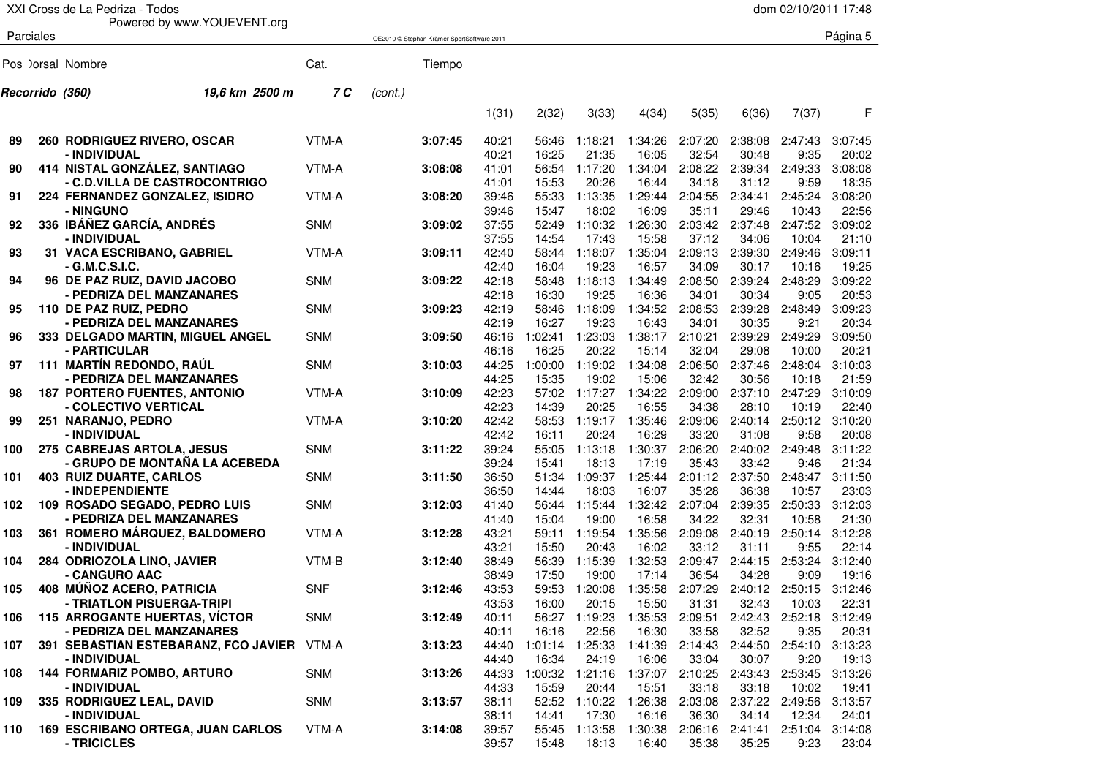|     |                 | XXI Cross de La Pedriza - Todos                      |            |         |                                            |                |                |                                                       |                  |                  |                          | dom 02/10/2011 17:48 |                  |
|-----|-----------------|------------------------------------------------------|------------|---------|--------------------------------------------|----------------|----------------|-------------------------------------------------------|------------------|------------------|--------------------------|----------------------|------------------|
|     | Parciales       | Powered by www.YOUEVENT.org                          |            |         | OE2010 © Stephan Krämer SportSoftware 2011 |                |                |                                                       |                  |                  |                          |                      | Página 5         |
|     |                 |                                                      |            |         |                                            |                |                |                                                       |                  |                  |                          |                      |                  |
|     |                 | Pos ) orsal Nombre                                   | Cat.       |         | Tiempo                                     |                |                |                                                       |                  |                  |                          |                      |                  |
|     | Recorrido (360) | 19.6 km 2500 m                                       | 7 C        | (cont.) |                                            |                |                |                                                       |                  |                  |                          |                      |                  |
|     |                 |                                                      |            |         |                                            | 1(31)          | 2(32)          | 3(33)                                                 | 4(34)            | 5(35)            | 6(36)                    | 7(37)                | F                |
| 89  |                 | 260 RODRIGUEZ RIVERO, OSCAR                          | VTM-A      |         | 3:07:45                                    | 40:21          | 56:46          | 1:18:21                                               | 1:34:26          | 2:07:20          | 2:38:08                  | 2:47:43              | 3:07:45          |
|     |                 | - INDIVIDUAL                                         |            |         |                                            | 40:21          | 16:25          | 21:35                                                 | 16:05            | 32:54            | 30:48                    | 9:35                 | 20:02            |
| 90  |                 | 414 NISTAL GONZÁLEZ, SANTIAGO                        | VTM-A      |         | 3:08:08                                    | 41:01          | 56:54          | 1:17:20                                               | 1:34:04          | 2:08:22          | 2:39:34                  | 2:49:33              | 3:08:08          |
|     |                 | - C.D.VILLA DE CASTROCONTRIGO                        |            |         |                                            | 41:01          | 15:53          | 20:26                                                 | 16:44            | 34:18            | 31:12                    | 9:59                 | 18:35            |
| 91  |                 | 224 FERNANDEZ GONZALEZ, ISIDRO                       | VTM-A      |         | 3:08:20                                    | 39:46          | 55:33          | 1:13:35                                               | 1:29:44          | 2:04:55          | 2:34:41                  | 2:45:24              | 3:08:20          |
|     |                 | - NINGUNO                                            |            |         |                                            | 39:46          | 15:47          | 18:02                                                 | 16:09            | 35:11            | 29:46                    | 10:43                | 22:56            |
| 92  |                 | 336 IBÁÑEZ GARCÍA, ANDRÉS<br>- INDIVIDUAL            | <b>SNM</b> |         | 3:09:02                                    | 37:55<br>37:55 | 52:49<br>14:54 | 1:10:32<br>17:43                                      | 1:26:30<br>15:58 | 2:03:42<br>37:12 | 2:37:48<br>34:06         | 2:47:52<br>10:04     | 3:09:02<br>21:10 |
| 93  |                 | 31 VACA ESCRIBANO, GABRIEL                           | VTM-A      |         | 3:09:11                                    | 42:40          | 58:44          | 1:18:07                                               | 1:35:04          | 2:09:13          | 2:39:30                  | 2:49:46              | 3:09:11          |
|     |                 | - G.M.C.S.I.C.                                       |            |         |                                            | 42:40          | 16:04          | 19:23                                                 | 16:57            | 34:09            | 30:17                    | 10:16                | 19:25            |
| 94  |                 | 96 DE PAZ RUIZ, DAVID JACOBO                         | <b>SNM</b> |         | 3:09:22                                    | 42:18          | 58:48          | 1:18:13                                               | 1:34:49          | 2:08:50          | 2:39:24                  | 2:48:29              | 3:09:22          |
|     |                 | - PEDRIZA DEL MANZANARES                             |            |         |                                            | 42:18          | 16:30          | 19:25                                                 | 16:36            | 34:01            | 30:34                    | 9:05                 | 20:53            |
| 95  |                 | 110 DE PAZ RUIZ, PEDRO                               | <b>SNM</b> |         | 3:09:23                                    | 42:19          | 58:46          | 1:18:09                                               | 1:34:52          | 2:08:53          | 2:39:28                  | 2:48:49              | 3:09:23          |
|     |                 | - PEDRIZA DEL MANZANARES                             |            |         |                                            | 42:19          | 16:27          | 19:23                                                 | 16:43            | 34:01            | 30:35                    | 9:21                 | 20:34            |
| 96  |                 | 333 DELGADO MARTIN, MIGUEL ANGEL                     | <b>SNM</b> |         | 3:09:50                                    | 46:16          | 1:02:41        | 1:23:03                                               | 1:38:17          | 2:10:21          | 2:39:29                  | 2:49:29              | 3:09:50          |
|     |                 | - PARTICULAR                                         |            |         |                                            | 46:16          | 16:25          | 20:22                                                 | 15:14            | 32:04            | 29:08                    | 10:00                | 20:21            |
| 97  |                 | 111 MARTÍN REDONDO, RAÚL                             | <b>SNM</b> |         | 3:10:03                                    | 44:25          | 1:00:00        | 1:19:02                                               | 1:34:08          | 2:06:50          | 2:37:46                  | 2:48:04              | 3:10:03          |
|     |                 | - PEDRIZA DEL MANZANARES                             |            |         |                                            | 44:25          | 15:35          | 19:02                                                 | 15:06            | 32:42            | 30:56                    | 10:18                | 21:59            |
| 98  |                 | <b>187 PORTERO FUENTES, ANTONIO</b>                  | VTM-A      |         | 3:10:09                                    | 42:23          | 57:02          | 1:17:27                                               | 1:34:22          | 2:09:00          | 2:37:10                  | 2:47:29              | 3:10:09          |
|     |                 | - COLECTIVO VERTICAL                                 |            |         |                                            | 42:23          | 14:39          | 20:25                                                 | 16:55            | 34:38            | 28:10                    | 10:19                | 22:40            |
| 99  |                 | 251 NARANJO, PEDRO                                   | VTM-A      |         | 3:10:20                                    | 42:42          | 58:53          | 1:19:17                                               | 1:35:46          | 2:09:06          | 2:40:14                  | 2:50:12              | 3:10:20          |
|     |                 | - INDIVIDUAL                                         |            |         |                                            | 42:42          | 16:11          | 20:24                                                 | 16:29            | 33:20            | 31:08                    | 9:58                 | 20:08            |
| 100 |                 | 275 CABREJAS ARTOLA, JESUS                           | <b>SNM</b> |         | 3:11:22                                    | 39:24          | 55:05          | 1:13:18                                               | 1:30:37          | 2:06:20          | 2:40:02                  | 2:49:48              | 3:11:22          |
|     |                 | - GRUPO DE MONTAÑA LA ACEBEDA                        |            |         |                                            | 39:24          | 15:41          | 18:13                                                 | 17:19            | 35:43            | 33:42                    | 9:46                 | 21:34            |
| 101 |                 | <b>403 RUIZ DUARTE, CARLOS</b>                       | <b>SNM</b> |         | 3:11:50                                    | 36:50          | 51:34          | 1:09:37                                               | 1:25:44          | 2:01:12          | 2:37:50                  | 2:48:47              | 3:11:50          |
|     |                 | - INDEPENDIENTE                                      |            |         |                                            | 36:50          | 14:44          | 18:03                                                 | 16:07            | 35:28            | 36:38                    | 10:57                | 23:03            |
| 102 |                 | 109 ROSADO SEGADO, PEDRO LUIS                        | <b>SNM</b> |         | 3:12:03                                    | 41:40          | 56:44          | 1:15:44                                               | 1:32:42          | 2:07:04          | 2:39:35                  | 2:50:33              | 3:12:03          |
|     |                 | - PEDRIZA DEL MANZANARES                             |            |         |                                            | 41:40          | 15:04          | 19:00                                                 | 16:58            | 34:22            | 32:31                    | 10:58                | 21:30            |
| 103 |                 | 361 ROMERO MÁRQUEZ, BALDOMERO                        | VTM-A      |         | 3:12:28                                    | 43:21          | 59:11          | 1:19:54                                               | 1:35:56          | 2:09:08          | 2:40:19                  | 2:50:14              | 3:12:28          |
|     |                 | - INDIVIDUAL                                         |            |         |                                            | 43:21          | 15:50          | 20:43                                                 | 16:02            | 33:12            | 31:11                    | 9:55                 | 22:14            |
| 104 |                 | 284 ODRIOZOLA LINO, JAVIER                           | VTM-B      |         | 3:12:40                                    | 38:49          | 56:39          | 1:15:39                                               | 1:32:53          | 2:09:47          | 2:44:15                  | 2:53:24              | 3:12:40          |
|     |                 | - CANGURO AAC                                        |            |         |                                            | 38:49          | 17:50          | 19:00                                                 | 17:14            | 36:54            | 34:28                    | 9:09                 | 19:16            |
| 105 |                 | 408 MÚÑOZ ACERO, PATRICIA                            | <b>SNF</b> |         | 3:12:46                                    | 43:53          |                | 59:53 1:20:08 1:35:58 2:07:29 2:40:12 2:50:15 3:12:46 |                  |                  |                          |                      |                  |
|     |                 | - TRIATLON PISUERGA-TRIPI                            |            |         |                                            | 43:53          | 16:00          | 20:15                                                 | 15:50            | 31:31            | 32:43                    | 10:03                | 22:31            |
| 106 |                 | <b>115 ARROGANTE HUERTAS, VÍCTOR</b>                 | <b>SNM</b> |         | 3:12:49                                    | 40:11          |                | 56:27 1:19:23                                         | 1:35:53          | 2:09:51          |                          | 2:42:43 2:52:18      | 3:12:49          |
|     |                 | - PEDRIZA DEL MANZANARES                             |            |         |                                            | 40:11          | 16:16          | 22:56                                                 | 16:30            | 33:58            | 32:52<br>2:44:50 2:54:10 | 9:35                 | 20:31            |
| 107 |                 | 391 SEBASTIAN ESTEBARANZ, FCO JAVIER<br>- INDIVIDUAL | VTM-A      |         | 3:13:23                                    | 44:40<br>44:40 | 16:34          | 1:01:14 1:25:33<br>24:19                              | 1:41:39<br>16:06 | 2:14:43<br>33:04 | 30:07                    | 9:20                 | 3:13:23<br>19:13 |
| 108 |                 | 144 FORMARIZ POMBO, ARTURO                           | <b>SNM</b> |         | 3:13:26                                    | 44:33          | 1:00:32        | 1:21:16                                               | 1:37:07          | 2:10:25          | 2:43:43                  | 2:53:45              | 3:13:26          |
|     |                 | - INDIVIDUAL                                         |            |         |                                            | 44:33          | 15:59          | 20:44                                                 | 15:51            | 33:18            | 33:18                    | 10:02                | 19:41            |
| 109 |                 | 335 RODRIGUEZ LEAL, DAVID                            | <b>SNM</b> |         | 3:13:57                                    | 38:11          | 52:52          | 1:10:22                                               | 1:26:38          | 2:03:08          | 2:37:22 2:49:56          |                      | 3:13:57          |
|     |                 | - INDIVIDUAL                                         |            |         |                                            | 38:11          | 14:41          | 17:30                                                 | 16:16            | 36:30            | 34:14                    | 12:34                | 24:01            |
| 110 |                 | 169 ESCRIBANO ORTEGA, JUAN CARLOS                    | VTM-A      |         | 3:14:08                                    | 39:57          | 55:45          | 1:13:58                                               | 1:30:38          | 2:06:16          | 2:41:41                  | 2:51:04              | 3:14:08          |
|     |                 | - TRICICLES                                          |            |         |                                            | 39:57          | 15:48          | 18:13                                                 | 16:40            | 35:38            | 35:25                    | 9:23                 | 23:04            |
|     |                 |                                                      |            |         |                                            |                |                |                                                       |                  |                  |                          |                      |                  |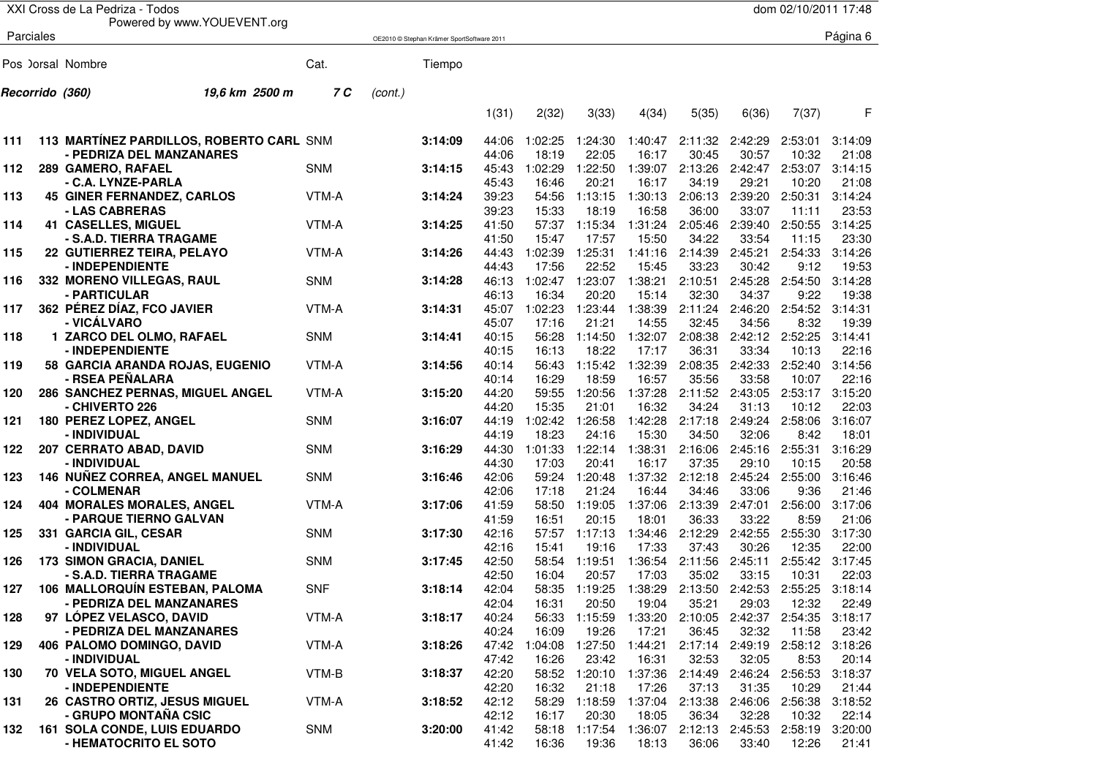|     |                 | XXI Cross de La Pedriza - Todos          |            |         |                                            |                |                  |                                       |                  |                  |                  | dom 02/10/2011 17:48 |                  |
|-----|-----------------|------------------------------------------|------------|---------|--------------------------------------------|----------------|------------------|---------------------------------------|------------------|------------------|------------------|----------------------|------------------|
|     | Parciales       | Powered by www.YOUEVENT.org              |            |         |                                            |                |                  |                                       |                  |                  |                  |                      | Página 6         |
|     |                 |                                          |            |         | OE2010 © Stephan Krämer SportSoftware 2011 |                |                  |                                       |                  |                  |                  |                      |                  |
|     |                 | Pos )orsal Nombre                        | Cat.       |         | Tiempo                                     |                |                  |                                       |                  |                  |                  |                      |                  |
|     | Recorrido (360) | 19.6 km 2500 m                           | 7 C        | (cont.) |                                            |                |                  |                                       |                  |                  |                  |                      |                  |
|     |                 |                                          |            |         |                                            | 1(31)          | 2(32)            | 3(33)                                 | 4(34)            | 5(35)            | 6(36)            | 7(37)                | F                |
| 111 |                 | 113 MARTÍNEZ PARDILLOS, ROBERTO CARL SNM |            |         | 3:14:09                                    | 44:06          | 1:02:25          | 1:24:30                               | 1:40:47          | 2:11:32          | 2:42:29          | 2:53:01              | 3:14:09          |
|     |                 | - PEDRIZA DEL MANZANARES                 |            |         |                                            | 44:06          | 18:19            | 22:05                                 | 16:17            | 30:45            | 30:57            | 10:32                | 21:08            |
| 112 |                 | 289 GAMERO, RAFAEL<br>- C.A. LYNZE-PARLA | <b>SNM</b> |         | 3:14:15                                    | 45:43<br>45:43 | 1:02:29<br>16:46 | 1:22:50<br>20:21                      | 1:39:07<br>16:17 | 2:13:26<br>34:19 | 2:42:47<br>29:21 | 2:53:07<br>10:20     | 3:14:15<br>21:08 |
| 113 |                 | <b>45 GINER FERNANDEZ, CARLOS</b>        | VTM-A      |         | 3:14:24                                    | 39:23          | 54:56            | 1:13:15                               | 1:30:13          | 2:06:13          | 2:39:20          | 2:50:31              | 3:14:24          |
|     |                 | - LAS CABRERAS                           |            |         |                                            | 39:23          | 15:33            | 18:19                                 | 16:58            | 36:00            | 33:07            | 11:11                | 23:53            |
| 114 |                 | <b>41 CASELLES, MIGUEL</b>               | VTM-A      |         | 3:14:25                                    | 41:50          | 57:37            | 1:15:34                               | 1:31:24          | 2:05:46          | 2:39:40          | 2:50:55              | 3:14:25          |
|     |                 | - S.A.D. TIERRA TRAGAME                  |            |         |                                            | 41:50          | 15:47            | 17:57                                 | 15:50            | 34:22            | 33:54            | 11:15                | 23:30            |
| 115 |                 | 22 GUTIERREZ TEIRA, PELAYO               | VTM-A      |         | 3:14:26                                    | 44:43          | 1:02:39          | 1:25:31                               | 1:41:16          | 2:14:39          | 2:45:21          | 2:54:33              | 3:14:26          |
|     |                 | - INDEPENDIENTE                          |            |         |                                            | 44:43          | 17:56            | 22:52                                 | 15:45            | 33:23            | 30:42            | 9:12                 | 19:53            |
| 116 |                 | 332 MORENO VILLEGAS, RAUL                | <b>SNM</b> |         | 3:14:28                                    | 46:13          | 1:02:47          | 1:23:07                               | 1:38:21          | 2:10:51          | 2:45:28          | 2:54:50              | 3:14:28          |
|     |                 | - PARTICULAR                             |            |         |                                            | 46:13          | 16:34            | 20:20                                 | 15:14            | 32:30            | 34:37            | 9:22                 | 19:38            |
| 117 |                 | 362 PÉREZ DÍAZ, FCO JAVIER               | VTM-A      |         | 3:14:31                                    | 45:07          | 1:02:23          | 1:23:44                               | 1:38:39          | 2:11:24          | 2:46:20          | 2:54:52              | 3:14:31          |
|     |                 | - VICÁLVARO                              |            |         |                                            | 45:07          | 17:16            | 21:21                                 | 14:55            | 32:45            | 34:56            | 8:32                 | 19:39            |
| 118 |                 | 1 ZARCO DEL OLMO, RAFAEL                 | <b>SNM</b> |         | 3:14:41                                    | 40:15          | 56:28            | 1:14:50                               | 1:32:07          | 2:08:38          | 2:42:12          | 2:52:25              | 3:14:41          |
|     |                 | - INDEPENDIENTE                          |            |         |                                            | 40:15          | 16:13            | 18:22                                 | 17:17            | 36:31            | 33:34            | 10:13                | 22:16            |
| 119 |                 | 58 GARCIA ARANDA ROJAS, EUGENIO          | VTM-A      |         | 3:14:56                                    | 40:14          | 56:43            | 1:15:42                               | 1:32:39          | 2:08:35          | 2:42:33          | 2:52:40              | 3:14:56          |
|     |                 | - RSEA PEÑALARA                          |            |         |                                            | 40:14          | 16:29            | 18:59                                 | 16:57            | 35:56            | 33:58            | 10:07                | 22:16            |
| 120 |                 | 286 SANCHEZ PERNAS, MIGUEL ANGEL         | VTM-A      |         | 3:15:20                                    | 44:20          | 59:55            | 1:20:56                               | 1:37:28          | 2:11:52          | 2:43:05          | 2:53:17              | 3:15:20          |
|     |                 | - CHIVERTO 226                           |            |         |                                            | 44:20          | 15:35            | 21:01                                 | 16:32            | 34:24            | 31:13            | 10:12                | 22:03            |
| 121 |                 | <b>180 PEREZ LOPEZ, ANGEL</b>            | <b>SNM</b> |         | 3:16:07                                    | 44:19          | 1:02:42          | 1:26:58                               | 1:42:28          | 2:17:18          | 2:49:24          | 2:58:06              | 3:16:07          |
|     |                 | - INDIVIDUAL                             |            |         |                                            | 44:19          | 18:23            | 24:16                                 | 15:30            | 34:50            | 32:06            | 8:42                 | 18:01            |
| 122 |                 | 207 CERRATO ABAD, DAVID<br>- INDIVIDUAL  | <b>SNM</b> |         | 3:16:29                                    | 44:30<br>44:30 | 1:01:33<br>17:03 | 1:22:14<br>20:41                      | 1:38:31<br>16:17 | 2:16:06<br>37:35 | 2:45:16<br>29:10 | 2:55:31<br>10:15     | 3:16:29<br>20:58 |
| 123 |                 | 146 NUÑEZ CORREA, ANGEL MANUEL           | <b>SNM</b> |         | 3:16:46                                    | 42:06          | 59:24            | 1:20:48                               | 1:37:32          | 2:12:18          | 2:45:24          | 2:55:00              | 3:16:46          |
|     |                 | - COLMENAR                               |            |         |                                            | 42:06          | 17:18            | 21:24                                 | 16:44            | 34:46            | 33:06            | 9:36                 | 21:46            |
| 124 |                 | <b>404 MORALES MORALES, ANGEL</b>        | VTM-A      |         | 3:17:06                                    | 41:59          | 58:50            | 1:19:05                               | 1:37:06          | 2:13:39          | 2:47:01          | 2:56:00              | 3:17:06          |
|     |                 | - PARQUE TIERNO GALVAN                   |            |         |                                            | 41:59          | 16:51            | 20:15                                 | 18:01            | 36:33            | 33:22            | 8:59                 | 21:06            |
| 125 |                 | 331 GARCIA GIL, CESAR                    | <b>SNM</b> |         | 3:17:30                                    | 42:16          | 57:57            | 1:17:13                               | 1:34:46          | 2:12:29          | 2:42:55          | 2:55:30              | 3:17:30          |
|     |                 | - INDIVIDUAL                             |            |         |                                            | 42:16          | 15:41            | 19:16                                 | 17:33            | 37:43            | 30:26            | 12:35                | 22:00            |
| 126 |                 | 173 SIMON GRACIA, DANIEL                 | <b>SNM</b> |         | 3:17:45                                    | 42:50          | 58:54            | 1:19:51                               | 1:36:54          | 2:11:56          | 2:45:11          | 2:55:42              | 3:17:45          |
|     |                 | - S.A.D. TIERRA TRAGAME                  |            |         |                                            | 42:50          | 16:04            | 20:57                                 | 17:03            | 35:02            | 33:15            | 10:31                | 22:03            |
| 127 |                 | 106 MALLORQUÍN ESTEBAN, PALOMA           | <b>SNF</b> |         | 3:18:14                                    | 42:04          |                  | 58:35 1:19:25 1:38:29 2:13:50 2:42:53 |                  |                  |                  | 2:55:25 3:18:14      |                  |
|     |                 | - PEDRIZA DEL MANZANARES                 |            |         |                                            | 42:04          | 16:31            | 20:50                                 | 19:04            | 35:21            | 29:03            | 12:32                | 22:49            |
| 128 |                 | 97 LÓPEZ VELASCO, DAVID                  | VTM-A      |         | 3:18:17                                    | 40:24          | 56:33            | 1:15:59                               | 1:33:20          | 2:10:05          | 2:42:37          | 2:54:35              | 3:18:17          |
|     |                 | - PEDRIZA DEL MANZANARES                 |            |         |                                            | 40:24          | 16:09            | 19:26                                 | 17:21            | 36:45            | 32:32            | 11:58                | 23:42            |
| 129 |                 | 406 PALOMO DOMINGO, DAVID                | VTM-A      |         | 3:18:26                                    | 47:42          | 1:04:08          | 1:27:50                               | 1:44:21          | 2:17:14          | 2:49:19          | 2:58:12              | 3:18:26          |
|     |                 | - INDIVIDUAL                             |            |         |                                            | 47:42          | 16:26            | 23:42                                 | 16:31            | 32:53            | 32:05            | 8:53                 | 20:14            |
| 130 |                 | 70 VELA SOTO, MIGUEL ANGEL               | VTM-B      |         | 3:18:37                                    | 42:20          | 58:52            | 1:20:10                               | 1:37:36          | 2:14:49          | 2:46:24          | 2:56:53              | 3:18:37          |
|     |                 | - INDEPENDIENTE                          |            |         |                                            | 42:20          | 16:32            | 21:18                                 | 17:26            | 37:13            | 31:35            | 10:29                | 21:44            |
| 131 |                 | 26 CASTRO ORTIZ, JESUS MIGUEL            | VTM-A      |         | 3:18:52                                    | 42:12          | 58:29            | 1:18:59                               | 1:37:04          | 2:13:38          | 2:46:06          | 2:56:38              | 3:18:52          |
|     |                 | - GRUPO MONTAÑA CSIC                     |            |         |                                            | 42:12          | 16:17            | 20:30                                 | 18:05            | 36:34            | 32:28            | 10:32                | 22:14            |
| 132 |                 | <b>161 SOLA CONDE, LUIS EDUARDO</b>      | <b>SNM</b> |         | 3:20:00                                    | 41:42          | 58:18            | 1:17:54                               | 1:36:07          | 2:12:13          | 2:45:53          | 2:58:19              | 3:20:00          |
|     |                 | - HEMATOCRITO EL SOTO                    |            |         |                                            | 41:42          | 16:36            | 19:36                                 | 18:13            | 36:06            | 33:40            | 12:26                | 21:41            |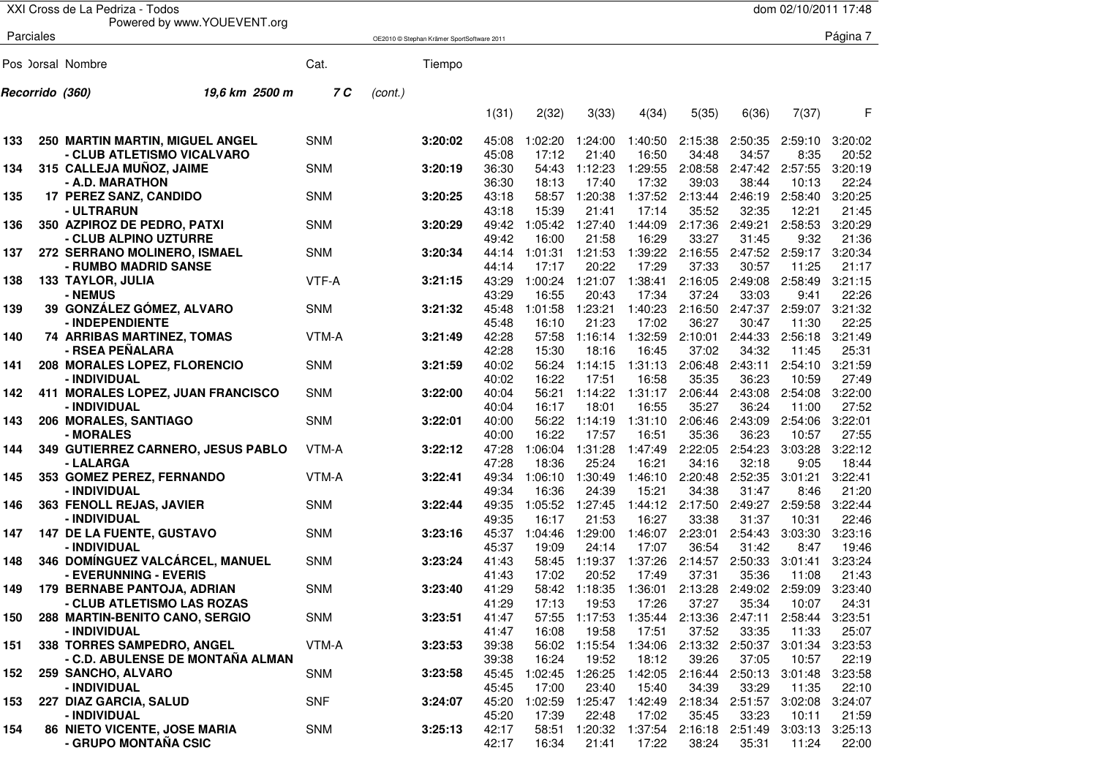|     |                 | XXI Cross de La Pedriza - Todos                              |            |         |                                            |                |                  |                  |                  |                  |                  | dom 02/10/2011 17:48 |                  |
|-----|-----------------|--------------------------------------------------------------|------------|---------|--------------------------------------------|----------------|------------------|------------------|------------------|------------------|------------------|----------------------|------------------|
|     |                 | Powered by www.YOUEVENT.org                                  |            |         |                                            |                |                  |                  |                  |                  |                  |                      |                  |
|     | Parciales       |                                                              |            |         | OE2010 © Stephan Krämer SportSoftware 2011 |                |                  |                  |                  |                  |                  |                      | Página 7         |
|     |                 |                                                              |            |         |                                            |                |                  |                  |                  |                  |                  |                      |                  |
|     |                 | Pos ) orsal Nombre                                           | Cat.       |         | Tiempo                                     |                |                  |                  |                  |                  |                  |                      |                  |
|     | Recorrido (360) | 19,6 km 2500 m                                               | 7 C        | (cont.) |                                            |                |                  |                  |                  |                  |                  |                      |                  |
|     |                 |                                                              |            |         |                                            | 1(31)          | 2(32)            | 3(33)            | 4(34)            | 5(35)            | 6(36)            | 7(37)                | F                |
| 133 |                 | <b>250 MARTIN MARTIN, MIGUEL ANGEL</b>                       | <b>SNM</b> |         | 3:20:02                                    | 45:08          | 1:02:20          | 1:24:00          | 1:40:50          | 2:15:38          | 2:50:35          | 2:59:10              | 3:20:02          |
|     |                 | - CLUB ATLETISMO VICALVARO<br>315 CALLEJA MUÑOZ, JAIME       |            |         |                                            | 45:08          | 17:12            | 21:40            | 16:50            | 34:48            | 34:57            | 8:35                 | 20:52<br>3:20:19 |
| 134 |                 | - A.D. MARATHON                                              | <b>SNM</b> |         | 3:20:19                                    | 36:30<br>36:30 | 54:43<br>18:13   | 1:12:23<br>17:40 | 1:29:55<br>17:32 | 2:08:58<br>39:03 | 2:47:42<br>38:44 | 2:57:55<br>10:13     | 22:24            |
| 135 |                 | <b>17 PEREZ SANZ, CANDIDO</b>                                | <b>SNM</b> |         | 3:20:25                                    | 43:18          | 58:57            | 1:20:38          | 1:37:52          | 2:13:44          | 2:46:19          | 2:58:40              | 3:20:25          |
|     |                 | - ULTRARUN                                                   |            |         |                                            | 43:18          | 15:39            | 21:41            | 17:14            | 35:52            | 32:35            | 12:21                | 21:45            |
| 136 |                 | 350 AZPIROZ DE PEDRO, PATXI                                  | <b>SNM</b> |         | 3:20:29                                    | 49:42          | 1:05:42          | 1:27:40          | 1:44:09          | 2:17:36          | 2:49:21          | 2:58:53              | 3:20:29          |
|     |                 | - CLUB ALPINO UZTURRE                                        |            |         |                                            | 49:42          | 16:00            | 21:58            | 16:29            | 33:27            | 31:45            | 9:32                 | 21:36            |
| 137 |                 | 272 SERRANO MOLINERO, ISMAEL<br>- RUMBO MADRID SANSE         | <b>SNM</b> |         | 3:20:34                                    | 44:14<br>44:14 | 1:01:31<br>17:17 | 1:21:53<br>20:22 | 1:39:22<br>17:29 | 2:16:55<br>37:33 | 2:47:52          | 2:59:17<br>11:25     | 3:20:34<br>21:17 |
| 138 |                 | <b>133 TAYLOR, JULIA</b>                                     | VTF-A      |         | 3:21:15                                    | 43:29          | 1:00:24          | 1:21:07          | 1:38:41          | 2:16:05          | 30:57<br>2:49:08 | 2:58:49              | 3:21:15          |
|     |                 | - NEMUS                                                      |            |         |                                            | 43:29          | 16:55            | 20:43            | 17:34            | 37:24            | 33:03            | 9:41                 | 22:26            |
| 139 |                 | 39 GONZÁLEZ GÓMEZ, ALVARO                                    | <b>SNM</b> |         | 3:21:32                                    | 45:48          | 1:01:58          | 1:23:21          | 1:40:23          | 2:16:50          | 2:47:37          | 2:59:07              | 3:21:32          |
|     |                 | - INDEPENDIENTE                                              |            |         |                                            | 45:48          | 16:10            | 21:23            | 17:02            | 36:27            | 30:47            | 11:30                | 22:25            |
| 140 |                 | 74 ARRIBAS MARTINEZ, TOMAS                                   | VTM-A      |         | 3:21:49                                    | 42:28          | 57:58            | 1:16:14          | 1:32:59          | 2:10:01          | 2:44:33          | 2:56:18              | 3:21:49          |
|     |                 | - RSEA PEÑALARA                                              |            |         |                                            | 42:28          | 15:30            | 18:16            | 16:45            | 37:02            | 34:32            | 11:45                | 25:31            |
| 141 |                 | 208 MORALES LOPEZ, FLORENCIO                                 | <b>SNM</b> |         | 3:21:59                                    | 40:02          | 56:24            | 1:14:15          | 1:31:13          | 2:06:48          | 2:43:11          | 2:54:10              | 3:21:59          |
| 142 |                 | - INDIVIDUAL                                                 | <b>SNM</b> |         | 3:22:00                                    | 40:02<br>40:04 | 16:22<br>56:21   | 17:51<br>1:14:22 | 16:58<br>1:31:17 | 35:35<br>2:06:44 | 36:23<br>2:43:08 | 10:59<br>2:54:08     | 27:49<br>3:22:00 |
|     |                 | 411 MORALES LOPEZ, JUAN FRANCISCO<br>- INDIVIDUAL            |            |         |                                            | 40:04          | 16:17            | 18:01            | 16:55            | 35:27            | 36:24            | 11:00                | 27:52            |
| 143 |                 | 206 MORALES, SANTIAGO                                        | <b>SNM</b> |         | 3:22:01                                    | 40:00          | 56:22            | 1:14:19          | 1:31:10          | 2:06:46          | 2:43:09          | 2:54:06              | 3:22:01          |
|     |                 | - MORALES                                                    |            |         |                                            | 40:00          | 16:22            | 17:57            | 16:51            | 35:36            | 36:23            | 10:57                | 27:55            |
| 144 |                 | 349 GUTIERREZ CARNERO, JESUS PABLO                           | VTM-A      |         | 3:22:12                                    | 47:28          | 1:06:04          | 1:31:28          | 1:47:49          | 2:22:05          | 2:54:23          | 3:03:28              | 3:22:12          |
|     |                 | - LALARGA                                                    |            |         |                                            | 47:28          | 18:36            | 25:24            | 16:21            | 34:16            | 32:18            | 9:05                 | 18:44            |
| 145 |                 | 353 GOMEZ PEREZ, FERNANDO<br>- INDIVIDUAL                    | VTM-A      |         | 3:22:41                                    | 49:34<br>49:34 | 1:06:10<br>16:36 | 1:30:49<br>24:39 | 1:46:10<br>15:21 | 2:20:48<br>34:38 | 2:52:35<br>31:47 | 3:01:21<br>8:46      | 3:22:41<br>21:20 |
| 146 |                 | 363 FENOLL REJAS, JAVIER                                     | <b>SNM</b> |         | 3:22:44                                    | 49:35          | 1:05:52          | 1:27:45          | 1:44:12          | 2:17:50          | 2:49:27          | 2:59:58              | 3:22:44          |
|     |                 | - INDIVIDUAL                                                 |            |         |                                            | 49:35          | 16:17            | 21:53            | 16:27            | 33:38            | 31:37            | 10:31                | 22:46            |
| 147 |                 | 147 DE LA FUENTE, GUSTAVO                                    | <b>SNM</b> |         | 3:23:16                                    | 45:37          | 1:04:46          | 1:29:00          | 1:46:07          | 2:23:01          | 2:54:43          | 3:03:30              | 3:23:16          |
|     |                 | - INDIVIDUAL                                                 |            |         |                                            | 45:37          | 19:09            | 24:14            | 17:07            | 36:54            | 31:42            | 8:47                 | 19:46            |
| 148 |                 | 346 DOMÍNGUEZ VALCÁRCEL, MANUEL                              | <b>SNM</b> |         | 3:23:24                                    | 41:43          | 58:45            | 1:19:37          | 1:37:26          | 2:14:57          | 2:50:33          | 3:01:41              | 3:23:24          |
|     |                 | - EVERUNNING - EVERIS                                        |            |         |                                            | 41:43          | 17:02            | 20:52            | 17:49            | 37:31            | 35:36            | 11:08                | 21:43            |
| 149 |                 | 179 BERNABE PANTOJA, ADRIAN                                  | <b>SNM</b> |         | 3:23:40                                    | 41:29          | 58:42            | 1:18:35 1:36:01  |                  | 2:13:28          | 2:49:02          | 2:59:09              | 3:23:40          |
| 150 |                 | - CLUB ATLETISMO LAS ROZAS<br>288 MARTIN-BENITO CANO, SERGIO | <b>SNM</b> |         | 3:23:51                                    | 41:29<br>41:47 | 17:13<br>57:55   | 19:53<br>1:17:53 | 17:26<br>1:35:44 | 37:27<br>2:13:36 | 35:34<br>2:47:11 | 10:07<br>2:58:44     | 24:31<br>3:23:51 |
|     |                 | - INDIVIDUAL                                                 |            |         |                                            | 41:47          | 16:08            | 19:58            | 17:51            | 37:52            | 33:35            | 11:33                | 25:07            |
| 151 |                 | 338 TORRES SAMPEDRO, ANGEL                                   | VTM-A      |         | 3:23:53                                    | 39:38          | 56:02            | 1:15:54          | 1:34:06          |                  | 2:13:32 2:50:37  | 3:01:34              | 3:23:53          |
|     |                 | - C.D. ABULENSE DE MONTAÑA ALMAN                             |            |         |                                            | 39:38          | 16:24            | 19:52            | 18:12            | 39:26            | 37:05            | 10:57                | 22:19            |
| 152 |                 | 259 SANCHO, ALVARO                                           | SNM        |         | 3:23:58                                    | 45:45          | 1:02:45          | 1:26:25          | 1:42:05          | 2:16:44          | 2:50:13          | 3:01:48              | 3:23:58          |
|     |                 | - INDIVIDUAL                                                 |            |         |                                            | 45:45          | 17:00            | 23:40            | 15:40            | 34:39            | 33:29            | 11:35                | 22:10            |
| 153 |                 | 227 DIAZ GARCIA, SALUD                                       | <b>SNF</b> |         | 3:24:07                                    | 45:20          | 1:02:59          | 1:25:47          | 1:42:49          | 2:18:34          | 2:51:57          | 3:02:08              | 3:24:07          |
|     |                 | - INDIVIDUAL                                                 |            |         |                                            | 45:20          | 17:39            | 22:48            | 17:02            | 35:45            | 33:23            | 10:11                | 21:59            |
| 154 |                 | 86 NIETO VICENTE, JOSE MARIA                                 | <b>SNM</b> |         | 3:25:13                                    | 42:17          | 58:51            | 1:20:32          | 1:37:54          | 2:16:18          | 2:51:49          | 3:03:13              | 3:25:13          |
|     |                 | - GRUPO MONTAÑA CSIC                                         |            |         |                                            | 42:17          | 16:34            | 21:41            | 17:22            | 38:24            | 35:31            | 11:24                | 22:00            |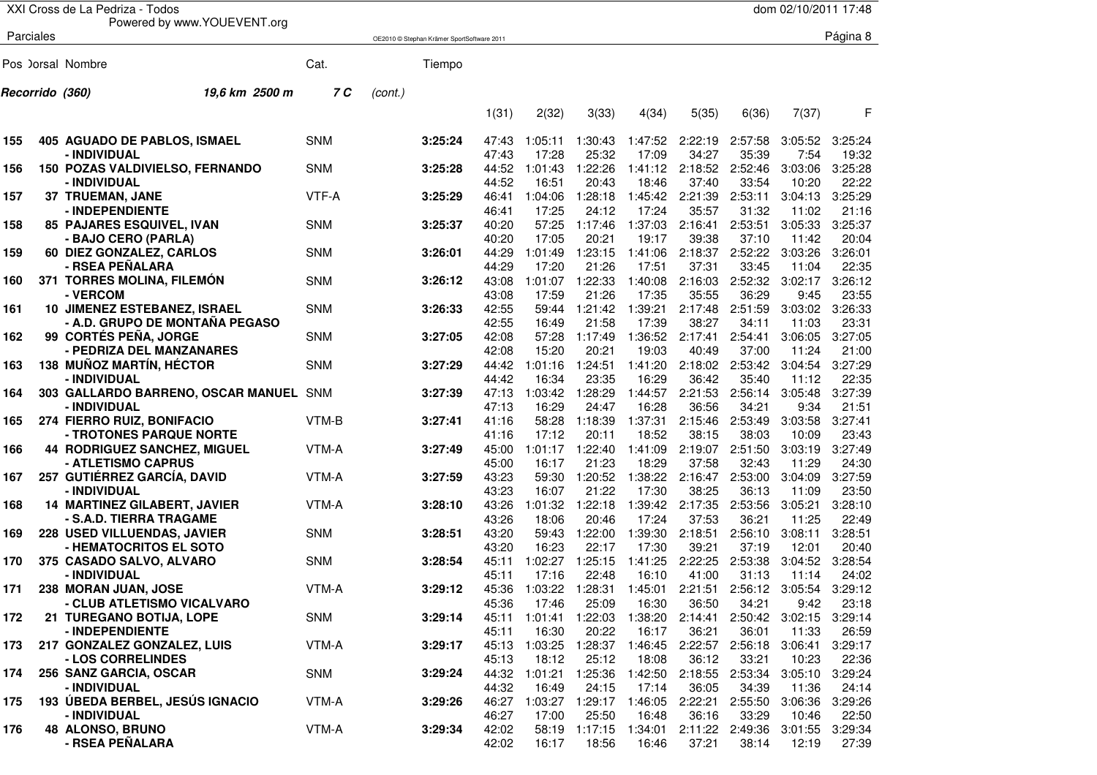|     |                 | XXI Cross de La Pedriza - Todos                         |            |         |                                            |                |                  |                  |                  |                  |                          | dom 02/10/2011 17:48 |                  |
|-----|-----------------|---------------------------------------------------------|------------|---------|--------------------------------------------|----------------|------------------|------------------|------------------|------------------|--------------------------|----------------------|------------------|
|     |                 | Powered by www.YOUEVENT.org                             |            |         |                                            |                |                  |                  |                  |                  |                          |                      |                  |
|     | Parciales       |                                                         |            |         | OE2010 © Stephan Krämer SportSoftware 2011 |                |                  |                  |                  |                  |                          |                      | Página 8         |
|     |                 |                                                         |            |         |                                            |                |                  |                  |                  |                  |                          |                      |                  |
|     |                 | Pos ) orsal Nombre                                      | Cat.       |         | Tiempo                                     |                |                  |                  |                  |                  |                          |                      |                  |
|     | Recorrido (360) | 19,6 km 2500 m                                          | 7 C        | (cont.) |                                            |                |                  |                  |                  |                  |                          |                      |                  |
|     |                 |                                                         |            |         |                                            | 1(31)          | 2(32)            | 3(33)            | 4(34)            | 5(35)            | 6(36)                    | 7(37)                | F                |
| 155 |                 | 405 AGUADO DE PABLOS, ISMAEL                            | <b>SNM</b> |         | 3:25:24                                    | 47:43          | 1:05:11          | 1:30:43          | 1:47:52          | 2:22:19          | 2:57:58                  | 3:05:52              | 3:25:24          |
|     |                 | - INDIVIDUAL                                            |            |         |                                            | 47:43          | 17:28            | 25:32            | 17:09            | 34:27            | 35:39                    | 7:54                 | 19:32            |
| 156 |                 | 150 POZAS VALDIVIELSO, FERNANDO                         | <b>SNM</b> |         | 3:25:28                                    | 44:52          | 1:01:43          | 1:22:26          | 1:41:12          | 2:18:52          | 2:52:46                  | 3:03:06              | 3:25:28          |
|     |                 | - INDIVIDUAL                                            |            |         |                                            | 44:52          | 16:51            | 20:43            | 18:46            | 37:40            | 33:54                    | 10:20                | 22:22            |
| 157 |                 | 37 TRUEMAN, JANE                                        | VTF-A      |         | 3:25:29                                    | 46:41          | 1:04:06          | 1:28:18          | 1:45:42          | 2:21:39          | 2:53:11                  | 3:04:13              | 3:25:29          |
|     |                 | - INDEPENDIENTE                                         |            |         |                                            | 46:41          | 17:25            | 24:12            | 17:24            | 35:57            | 31:32                    | 11:02                | 21:16            |
| 158 |                 | 85 PAJARES ESQUIVEL, IVAN                               | <b>SNM</b> |         | 3:25:37                                    | 40:20          | 57:25            | 1:17:46          | 1:37:03          | 2:16:41          | 2:53:51                  | 3:05:33              | 3:25:37          |
|     |                 | - BAJO CERO (PARLA)                                     |            |         |                                            | 40:20          | 17:05            | 20:21            | 19:17            | 39:38            | 37:10                    | 11:42                | 20:04            |
| 159 |                 | 60 DIEZ GONZALEZ, CARLOS                                | <b>SNM</b> |         | 3:26:01                                    | 44:29          | 1:01:49          | 1:23:15          | 1:41:06          | 2:18:37          | 2:52:22                  | 3:03:26              | 3:26:01          |
|     |                 | - RSEA PEÑALARA                                         |            |         |                                            | 44:29          | 17:20            | 21:26            | 17:51            | 37:31            | 33:45                    | 11:04                | 22:35            |
| 160 |                 | 371 TORRES MOLINA, FILEMÓN                              | <b>SNM</b> |         | 3:26:12                                    | 43:08          | 1:01:07          | 1:22:33          | 1:40:08          | 2:16:03          | 2:52:32                  | 3:02:17              | 3:26:12          |
|     |                 | - VERCOM                                                |            |         |                                            | 43:08          | 17:59            | 21:26            | 17:35            | 35:55            | 36:29                    | 9:45                 | 23:55            |
| 161 |                 | 10 JIMENEZ ESTEBANEZ, ISRAEL                            | <b>SNM</b> |         | 3:26:33                                    | 42:55          | 59:44            | 1:21:42          | 1:39:21          | 2:17:48          | 2:51:59                  | 3:03:02              | 3:26:33          |
|     |                 | - A.D. GRUPO DE MONTAÑA PEGASO<br>99 CORTÉS PEÑA, JORGE | <b>SNM</b> |         |                                            | 42:55          | 16:49            | 21:58            | 17:39            | 38:27<br>2:17:41 | 34:11                    | 11:03                | 23:31<br>3:27:05 |
| 162 |                 | - PEDRIZA DEL MANZANARES                                |            |         | 3:27:05                                    | 42:08<br>42:08 | 57:28<br>15:20   | 1:17:49<br>20:21 | 1:36:52<br>19:03 | 40:49            | 2:54:41<br>37:00         | 3:06:05<br>11:24     | 21:00            |
| 163 |                 | <b>138 MUÑOZ MARTÍN, HÉCTOR</b>                         | <b>SNM</b> |         | 3:27:29                                    | 44:42          | 1:01:16          | 1:24:51          | 1:41:20          | 2:18:02          | 2:53:42                  | 3:04:54              | 3:27:29          |
|     |                 | - INDIVIDUAL                                            |            |         |                                            | 44:42          | 16:34            | 23:35            | 16:29            | 36:42            | 35:40                    | 11:12                | 22:35            |
| 164 |                 | 303 GALLARDO BARRENO, OSCAR MANUEL SNM                  |            |         | 3:27:39                                    | 47:13          | 1:03:42          | 1:28:29          | 1:44:57          | 2:21:53          | 2:56:14                  | 3:05:48              | 3:27:39          |
|     |                 | - INDIVIDUAL                                            |            |         |                                            | 47:13          | 16:29            | 24:47            | 16:28            | 36:56            | 34:21                    | 9:34                 | 21:51            |
| 165 |                 | 274 FIERRO RUIZ, BONIFACIO                              | VTM-B      |         | 3:27:41                                    | 41:16          | 58:28            | 1:18:39          | 1:37:31          | 2:15:46          | 2:53:49                  | 3:03:58              | 3:27:41          |
|     |                 | - TROTONES PARQUE NORTE                                 |            |         |                                            | 41:16          | 17:12            | 20:11            | 18:52            | 38:15            | 38:03                    | 10:09                | 23:43            |
| 166 |                 | 44 RODRIGUEZ SANCHEZ, MIGUEL                            | VTM-A      |         | 3:27:49                                    | 45:00          | 1:01:17          | 1:22:40          | 1:41:09          | 2:19:07          | 2:51:50                  | 3:03:19              | 3:27:49          |
|     |                 | - ATLETISMO CAPRUS                                      |            |         |                                            | 45:00          | 16:17            | 21:23            | 18:29            | 37:58            | 32:43                    | 11:29                | 24:30            |
| 167 |                 | 257 GUTIÉRREZ GARCÍA, DAVID                             | VTM-A      |         | 3:27:59                                    | 43:23          | 59:30            | 1:20:52          | 1:38:22          | 2:16:47          | 2:53:00                  | 3:04:09              | 3:27:59          |
|     |                 | - INDIVIDUAL                                            |            |         |                                            | 43:23          | 16:07            | 21:22            | 17:30            | 38:25            | 36:13                    | 11:09                | 23:50            |
| 168 |                 | 14 MARTINEZ GILABERT, JAVIER                            | VTM-A      |         | 3:28:10                                    | 43:26          | 1:01:32          | 1:22:18          | 1:39:42          | 2:17:35          | 2:53:56                  | 3:05:21              | 3:28:10          |
|     |                 | - S.A.D. TIERRA TRAGAME                                 |            |         |                                            | 43:26          | 18:06            | 20:46            | 17:24            | 37:53            | 36:21                    | 11:25                | 22:49            |
| 169 |                 | <b>228 USED VILLUENDAS, JAVIER</b>                      | <b>SNM</b> |         | 3:28:51                                    | 43:20          | 59:43            | 1:22:00          | 1:39:30          | 2:18:51          | 2:56:10                  | 3:08:11              | 3:28:51          |
|     |                 | - HEMATOCRITOS EL SOTO                                  |            |         |                                            | 43:20          | 16:23            | 22:17            | 17:30            | 39:21            | 37:19                    | 12:01                | 20:40            |
| 170 |                 | 375 CASADO SALVO, ALVARO                                | <b>SNM</b> |         | 3:28:54                                    | 45:11          | 1:02:27          | 1:25:15          | 1:41:25          | 2:22:25          | 2:53:38                  | 3:04:52              | 3:28:54          |
|     |                 | - INDIVIDUAL                                            |            |         |                                            | 45:11          | 17:16            | 22:48            | 16:10            | 41:00            | 31:13                    | 11:14                | 24:02            |
| 171 |                 | 238 MORAN JUAN, JOSE                                    | VTM-A      |         | 3:29:12                                    | 45:36          | 1:03:22          | 1:28:31          | 1:45:01          | 2:21:51          | 2:56:12 3:05:54          |                      | 3:29:12          |
|     |                 | - CLUB ATLETISMO VICALVARO                              | SNM        |         | 3:29:14                                    | 45:36<br>45:11 | 17:46<br>1:01:41 | 25:09<br>1:22:03 | 16:30<br>1:38:20 | 36:50<br>2:14:41 | 34:21<br>2:50:42 3:02:15 | 9:42                 | 23:18<br>3:29:14 |
| 172 |                 | 21 TUREGANO BOTIJA, LOPE<br>- INDEPENDIENTE             |            |         |                                            | 45:11          | 16:30            | 20:22            | 16:17            | 36:21            | 36:01                    | 11:33                | 26:59            |
| 173 |                 | 217 GONZALEZ GONZALEZ, LUIS                             | VTM-A      |         | 3:29:17                                    | 45:13          | 1:03:25          | 1:28:37          | 1:46:45          | 2:22:57          | 2:56:18                  | 3:06:41              | 3:29:17          |
|     |                 | - LOS CORRELINDES                                       |            |         |                                            | 45:13          | 18:12            | 25:12            | 18:08            | 36:12            | 33:21                    | 10:23                | 22:36            |
| 174 |                 | 256 SANZ GARCIA, OSCAR                                  | SNM        |         | 3:29:24                                    | 44:32          | 1:01:21          | 1:25:36          | 1:42:50          | 2:18:55          | 2:53:34                  | 3:05:10              | 3:29:24          |
|     |                 | - INDIVIDUAL                                            |            |         |                                            | 44:32          | 16:49            | 24:15            | 17:14            | 36:05            | 34:39                    | 11:36                | 24:14            |
| 175 |                 | 193 ÚBEDA BERBEL, JESÚS IGNACIO                         | VTM-A      |         | 3:29:26                                    | 46:27          | 1:03:27          | 1:29:17          | 1:46:05          | 2:22:21          | 2:55:50                  | 3:06:36              | 3:29:26          |
|     |                 | - INDIVIDUAL                                            |            |         |                                            | 46:27          | 17:00            | 25:50            | 16:48            | 36:16            | 33:29                    | 10:46                | 22:50            |
| 176 |                 | <b>48 ALONSO, BRUNO</b>                                 | VTM-A      |         | 3:29:34                                    | 42:02          | 58:19            | 1:17:15          | 1:34:01          | 2:11:22 2:49:36  |                          | 3:01:55              | 3:29:34          |
|     |                 | - RSEA PEÑALARA                                         |            |         |                                            | 42:02          | 16:17            | 18:56            | 16:46            | 37:21            | 38:14                    | 12:19                | 27:39            |
|     |                 |                                                         |            |         |                                            |                |                  |                  |                  |                  |                          |                      |                  |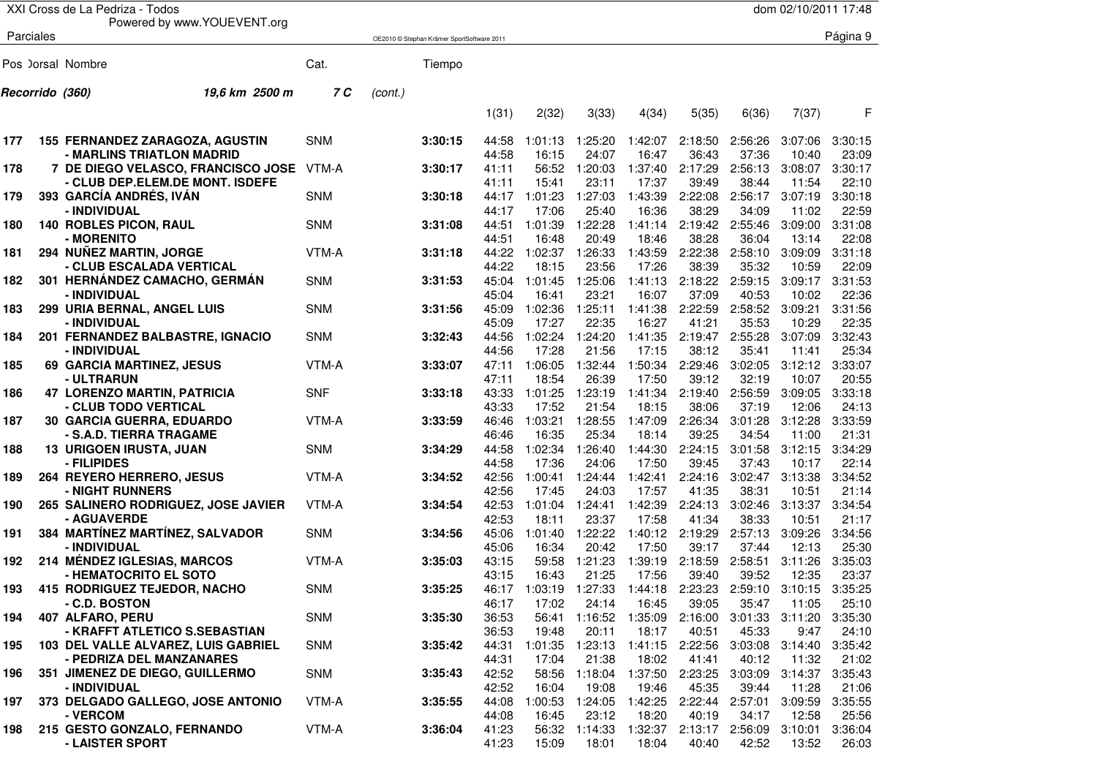|            |                 | XXI Cross de La Pedriza - Todos                                            |                     |         |                                            |                         |                             |                                |                                   |                             |                             | dom 02/10/2011 17:48             |                             |
|------------|-----------------|----------------------------------------------------------------------------|---------------------|---------|--------------------------------------------|-------------------------|-----------------------------|--------------------------------|-----------------------------------|-----------------------------|-----------------------------|----------------------------------|-----------------------------|
|            |                 | Powered by www.YOUEVENT.org                                                |                     |         |                                            |                         |                             |                                |                                   |                             |                             |                                  |                             |
|            | Parciales       |                                                                            |                     |         | OE2010 @ Stephan Krämer SportSoftware 2011 |                         |                             |                                |                                   |                             |                             |                                  | Página 9                    |
|            |                 | Pos ) orsal Nombre                                                         | Cat.                |         | Tiempo                                     |                         |                             |                                |                                   |                             |                             |                                  |                             |
|            | Recorrido (360) | 19,6 km 2500 m                                                             | 7 C                 | (cont.) |                                            |                         |                             |                                |                                   |                             |                             |                                  |                             |
|            |                 |                                                                            |                     |         |                                            | 1(31)                   | 2(32)                       | 3(33)                          | 4(34)                             | 5(35)                       | 6(36)                       | 7(37)                            | F                           |
| 177        |                 | 155 FERNANDEZ ZARAGOZA, AGUSTIN<br>- MARLINS TRIATLON MADRID               | <b>SNM</b>          |         | 3:30:15                                    | 44:58<br>44:58          | 1:01:13<br>16:15            | 1:25:20<br>24:07               | 1:42:07<br>16:47                  | 2:18:50<br>36:43            | 2:56:26<br>37:36            | 3:07:06<br>10:40                 | 3:30:15<br>23:09            |
| 178        |                 | 7 DE DIEGO VELASCO, FRANCISCO JOSE<br>- CLUB DEP.ELEM.DE MONT. ISDEFE      | VTM-A               |         | 3:30:17                                    | 41:11<br>41:11          | 56:52<br>15:41              | 1:20:03<br>23:11               | 1:37:40<br>17:37                  | 2:17:29<br>39:49            | 2:56:13<br>38:44            | 3:08:07<br>11:54                 | 3:30:17<br>22:10            |
| 179        |                 | 393 GARCÍA ANDRÉS, IVÁN<br>- INDIVIDUAL                                    | <b>SNM</b>          |         | 3:30:18                                    | 44:17<br>44:17          | 1:01:23<br>17:06            | 1:27:03<br>25:40               | 1:43:39<br>16:36                  | 2:22:08<br>38:29            | 2:56:17<br>34:09            | 3:07:19<br>11:02                 | 3:30:18<br>22:59            |
| 180        |                 | <b>140 ROBLES PICON, RAUL</b><br>- MORENITO                                | <b>SNM</b>          |         | 3:31:08                                    | 44:51<br>44:51          | 1:01:39<br>16:48            | 1:22:28<br>20:49               | 1:41:14<br>18:46                  | 2:19:42<br>38:28            | 2:55:46<br>36:04            | 3:09:00<br>13:14                 | 3:31:08<br>22:08            |
| 181        |                 | 294 NUÑEZ MARTIN, JORGE<br>- CLUB ESCALADA VERTICAL                        | VTM-A               |         | 3:31:18                                    | 44:22<br>44:22          | 1:02:37<br>18:15            | 1:26:33<br>23:56               | 1:43:59<br>17:26                  | 2:22:38<br>38:39            | 2:58:10<br>35:32            | 3:09:09<br>10:59                 | 3:31:18<br>22:09            |
| 182        |                 | 301 HERNÁNDEZ CAMACHO, GERMÁN<br>- INDIVIDUAL                              | <b>SNM</b>          |         | 3:31:53                                    | 45:04<br>45:04          | 1:01:45<br>16:41            | 1:25:06<br>23:21               | 1:41:13<br>16:07                  | 2:18:22<br>37:09            | 2:59:15<br>40:53            | 3:09:17<br>10:02                 | 3:31:53<br>22:36            |
| 183        |                 | 299 URIA BERNAL, ANGEL LUIS<br>- INDIVIDUAL                                | <b>SNM</b>          |         | 3:31:56                                    | 45:09<br>45:09          | 1:02:36<br>17:27            | 1:25:11<br>22:35               | 1:41:38<br>16:27                  | 2:22:59<br>41:21            | 2:58:52<br>35:53            | 3:09:21<br>10:29                 | 3:31:56<br>22:35            |
| 184        |                 | 201 FERNANDEZ BALBASTRE, IGNACIO<br>- INDIVIDUAL                           | <b>SNM</b>          |         | 3:32:43                                    | 44:56<br>44:56          | 1:02:24<br>17:28            | 1:24:20<br>21:56               | 1:41:35<br>17:15                  | 2:19:47<br>38:12            | 2:55:28<br>35:41            | 3:07:09<br>11:41                 | 3:32:43<br>25:34            |
| 185        |                 | 69 GARCIA MARTINEZ, JESUS<br>- ULTRARUN                                    | VTM-A               |         | 3:33:07                                    | 47:11<br>47:11          | 1:06:05<br>18:54            | 1:32:44<br>26:39               | 1:50:34<br>17:50                  | 2:29:46<br>39:12            | 3:02:05<br>32:19            | 3:12:12<br>10:07                 | 3:33:07<br>20:55            |
| 186        |                 | <b>47 LORENZO MARTIN, PATRICIA</b><br>- CLUB TODO VERTICAL                 | <b>SNF</b>          |         | 3:33:18                                    | 43:33<br>43:33          | 1:01:25<br>17:52            | 1:23:19<br>21:54               | 1:41:34<br>18:15                  | 2:19:40<br>38:06            | 2:56:59<br>37:19            | 3:09:05<br>12:06                 | 3:33:18<br>24:13            |
| 187        |                 | <b>30 GARCIA GUERRA, EDUARDO</b><br>- S.A.D. TIERRA TRAGAME                | VTM-A               |         | 3:33:59                                    | 46:46<br>46:46          | 1:03:21<br>16:35            | 1:28:55<br>25:34               | 1:47:09<br>18:14                  | 2:26:34<br>39:25            | 3:01:28<br>34:54            | 3:12:28<br>11:00                 | 3:33:59<br>21:31            |
| 188<br>189 |                 | <b>13 URIGOEN IRUSTA, JUAN</b><br>- FILIPIDES<br>264 REYERO HERRERO, JESUS | <b>SNM</b><br>VTM-A |         | 3:34:29<br>3:34:52                         | 44:58<br>44:58<br>42:56 | 1:02:34<br>17:36<br>1:00:41 | 1:26:40<br>24:06<br>1:24:44    | 1:44:30<br>17:50<br>1:42:41       | 2:24:15<br>39:45<br>2:24:16 | 3:01:58<br>37:43<br>3:02:47 | 3:12:15<br>10:17<br>3:13:38      | 3:34:29<br>22:14<br>3:34:52 |
| 190        |                 | - NIGHT RUNNERS<br>265 SALINERO RODRIGUEZ, JOSE JAVIER                     | VTM-A               |         | 3:34:54                                    | 42:56<br>42:53          | 17:45<br>1:01:04            | 24:03<br>1:24:41               | 17:57<br>1:42:39                  | 41:35<br>2:24:13            | 38:31<br>3:02:46            | 10:51<br>3:13:37                 | 21:14<br>3:34:54            |
| 191        |                 | - AGUAVERDE<br>384 MARTÍNEZ MARTÍNEZ, SALVADOR                             | <b>SNM</b>          |         | 3:34:56                                    | 42:53<br>45:06          | 18:11<br>1:01:40            | 23:37<br>1:22:22               | 17:58<br>1:40:12                  | 41:34<br>2:19:29            | 38:33<br>2:57:13            | 10:51<br>3:09:26                 | 21:17<br>3:34:56            |
| 192        |                 | - INDIVIDUAL<br>214 MÉNDEZ IGLESIAS, MARCOS                                | VTM-A               |         | 3:35:03                                    | 45:06<br>43:15          | 16:34<br>59:58              | 20:42<br>1:21:23               | 17:50<br>1:39:19                  | 39:17<br>2:18:59            | 37:44<br>2:58:51            | 12:13<br>3:11:26                 | 25:30<br>3:35:03            |
| 193        |                 | - HEMATOCRITO EL SOTO<br>415 RODRIGUEZ TEJEDOR, NACHO                      | <b>SNM</b>          |         | 3:35:25                                    | 43:15<br>46:17          | 16:43                       | 21:25<br>1:03:19 1:27:33       | 17:56<br>1:44:18                  | 39:40<br>2:23:23            | 39:52                       | 12:35<br>2:59:10 3:10:15 3:35:25 | 23:37                       |
| 194        |                 | - C.D. BOSTON<br>407 ALFARO, PERU                                          | SNM                 |         | 3:35:30                                    | 46:17<br>36:53          | 17:02                       | 24:14<br>56:41 1:16:52 1:35:09 | 16:45                             | 39:05<br>2:16:00            | 35:47<br>3:01:33 3:11:20    | 11:05                            | 25:10<br>3:35:30            |
| 195        |                 | - KRAFFT ATLETICO S.SEBASTIAN<br>103 DEL VALLE ALVAREZ, LUIS GABRIEL       | SNM                 |         | 3:35:42                                    | 36:53<br>44:31          | 19:48<br>1:01:35            | 20:11<br>1:23:13               | 18:17<br>1:41:15                  | 40:51<br>2:22:56            | 45:33<br>3:03:08            | 9:47<br>3:14:40                  | 24:10<br>3:35:42            |
| 196        |                 | - PEDRIZA DEL MANZANARES<br>351 JIMENEZ DE DIEGO, GUILLERMO                | SNM                 |         | 3:35:43                                    | 44:31<br>42:52          | 17:04<br>58:56              | 21:38                          | 18:02<br>1:18:04 1:37:50          | 41:41<br>2:23:25            | 40:12<br>3:03:09            | 11:32<br>3:14:37                 | 21:02<br>3:35:43            |
| 197        |                 | - INDIVIDUAL<br>373 DELGADO GALLEGO, JOSE ANTONIO<br>- VERCOM              | VTM-A               |         | 3:35:55                                    | 42:52<br>44:08<br>44:08 | 16:04<br>1:00:53<br>16:45   | 19:08<br>23:12                 | 19:46<br>1:24:05 1:42:25<br>18:20 | 45:35<br>2:22:44<br>40:19   | 39:44<br>2:57:01<br>34:17   | 11:28<br>3:09:59<br>12:58        | 21:06<br>3:35:55<br>25:56   |
| 198        |                 | 215 GESTO GONZALO, FERNANDO<br>- LAISTER SPORT                             | VTM-A               |         | 3:36:04                                    | 41:23<br>41:23          | 56:32<br>15:09              | 1:14:33<br>18:01               | 1:32:37<br>18:04                  | 2:13:17<br>40:40            | 2:56:09<br>42:52            | 3:10:01<br>13:52                 | 3:36:04<br>26:03            |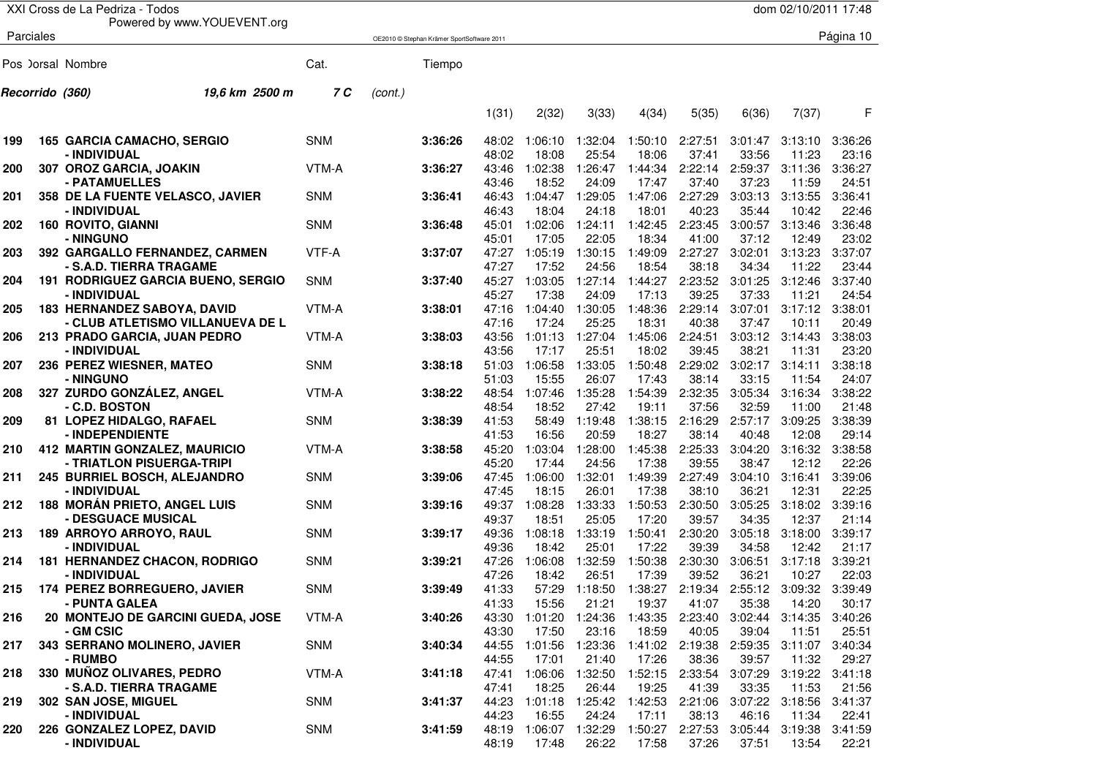|     |                 | XXI Cross de La Pedriza - Todos                  |                                  |            |         |                                            |                |                  |                  |                  |                  |                  | dom 02/10/2011 17:48    |                  |
|-----|-----------------|--------------------------------------------------|----------------------------------|------------|---------|--------------------------------------------|----------------|------------------|------------------|------------------|------------------|------------------|-------------------------|------------------|
|     | Parciales       |                                                  | Powered by www.YOUEVENT.org      |            |         | OE2010 © Stephan Krämer SportSoftware 2011 |                |                  |                  |                  |                  |                  |                         | Página 10        |
|     |                 |                                                  |                                  |            |         |                                            |                |                  |                  |                  |                  |                  |                         |                  |
|     |                 | Pos Jorsal Nombre                                |                                  | Cat.       |         | Tiempo                                     |                |                  |                  |                  |                  |                  |                         |                  |
|     | Recorrido (360) |                                                  | 19,6 km 2500 m                   | 7 C        | (cont.) |                                            |                |                  |                  |                  |                  |                  |                         |                  |
|     |                 |                                                  |                                  |            |         |                                            | 1(31)          | 2(32)            | 3(33)            | 4(34)            | 5(35)            | 6(36)            | 7(37)                   | F                |
| 199 |                 | 165 GARCIA CAMACHO, SERGIO                       |                                  | <b>SNM</b> |         | 3:36:26                                    | 48:02          | 1:06:10          | 1:32:04          | 1:50:10          | 2:27:51          | 3:01:47          | 3:13:10                 | 3:36:26          |
|     |                 | - INDIVIDUAL                                     |                                  |            |         |                                            | 48:02          | 18:08            | 25:54            | 18:06            | 37:41            | 33:56            | 11:23                   | 23:16            |
| 200 |                 | 307 OROZ GARCIA, JOAKIN<br>- PATAMUELLES         |                                  | VTM-A      |         | 3:36:27                                    | 43:46<br>43:46 | 1:02:38<br>18:52 | 1:26:47<br>24:09 | 1:44:34<br>17:47 | 2:22:14<br>37:40 | 2:59:37<br>37:23 | 3:11:36<br>11:59        | 3:36:27<br>24:51 |
| 201 |                 | 358 DE LA FUENTE VELASCO, JAVIER<br>- INDIVIDUAL |                                  | <b>SNM</b> |         | 3:36:41                                    | 46:43<br>46:43 | 1:04:47<br>18:04 | 1:29:05<br>24:18 | 1:47:06<br>18:01 | 2:27:29<br>40:23 | 3:03:13<br>35:44 | 3:13:55<br>10:42        | 3:36:41<br>22:46 |
| 202 |                 | <b>160 ROVITO, GIANNI</b>                        |                                  | <b>SNM</b> |         | 3:36:48                                    | 45:01          | 1:02:06          | 1:24:11          | 1:42:45          | 2:23:45          | 3:00:57          | 3:13:46                 | 3:36:48          |
|     |                 | - NINGUNO                                        |                                  |            |         |                                            | 45:01          | 17:05            | 22:05            | 18:34            | 41:00            | 37:12            | 12:49                   | 23:02            |
| 203 |                 | 392 GARGALLO FERNANDEZ, CARMEN                   |                                  | VTF-A      |         | 3:37:07                                    | 47:27          | 1:05:19          | 1:30:15          | 1:49:09          | 2:27:27          | 3:02:01          | 3:13:23                 | 3:37:07          |
|     |                 | - S.A.D. TIERRA TRAGAME                          |                                  |            |         |                                            | 47:27          | 17:52            | 24:56            | 18:54            | 38:18            | 34:34            | 11:22                   | 23:44            |
| 204 |                 | 191 RODRIGUEZ GARCIA BUENO, SERGIO               |                                  | <b>SNM</b> |         | 3:37:40                                    | 45:27          | 1:03:05          | 1:27:14          | 1:44:27          | 2:23:52          | 3:01:25          | 3:12:46                 | 3:37:40          |
|     |                 | - INDIVIDUAL                                     |                                  |            |         |                                            | 45:27          | 17:38            | 24:09            | 17:13            | 39:25            | 37:33            | 11:21                   | 24:54            |
| 205 |                 | <b>183 HERNANDEZ SABOYA, DAVID</b>               |                                  | VTM-A      |         | 3:38:01                                    | 47:16          | 1:04:40          | 1:30:05          | 1:48:36          | 2:29:14          | 3:07:01          | 3:17:12                 | 3:38:01          |
|     |                 |                                                  | - CLUB ATLETISMO VILLANUEVA DE L |            |         |                                            | 47:16          | 17:24            | 25:25            | 18:31            | 40:38            | 37:47            | 10:11                   | 20:49            |
| 206 |                 | 213 PRADO GARCIA, JUAN PEDRO                     |                                  | VTM-A      |         | 3:38:03                                    | 43:56          | 1:01:13          | 1:27:04          | 1:45:06          | 2:24:51          | 3:03:12          | 3:14:43                 | 3:38:03          |
|     |                 | - INDIVIDUAL                                     |                                  |            |         |                                            | 43:56          | 17:17            | 25:51            | 18:02            | 39:45            | 38:21            | 11:31                   | 23:20            |
| 207 |                 | 236 PEREZ WIESNER, MATEO                         |                                  | <b>SNM</b> |         | 3:38:18                                    | 51:03          | 1:06:58          | 1:33:05          | 1:50:48          | 2:29:02          | 3:02:17          | 3:14:11                 | 3:38:18          |
|     |                 | - NINGUNO                                        |                                  |            |         |                                            | 51:03          | 15:55            | 26:07            | 17:43            | 38:14            | 33:15            | 11:54                   | 24:07            |
| 208 |                 | 327 ZURDO GONZÁLEZ, ANGEL                        |                                  | VTM-A      |         | 3:38:22                                    | 48:54          | 1:07:46          | 1:35:28          | 1:54:39          | 2:32:35          | 3:05:34          | 3:16:34                 | 3:38:22          |
|     |                 | - C.D. BOSTON                                    |                                  |            |         |                                            | 48:54          | 18:52            | 27:42            | 19:11            | 37:56            | 32:59            | 11:00                   | 21:48            |
| 209 |                 | 81 LOPEZ HIDALGO, RAFAEL                         |                                  | <b>SNM</b> |         | 3:38:39                                    | 41:53          | 58:49            | 1:19:48          | 1:38:15          | 2:16:29          | 2:57:17          | 3:09:25                 | 3:38:39          |
|     |                 | - INDEPENDIENTE                                  |                                  |            |         |                                            | 41:53          | 16:56            | 20:59            | 18:27            | 38:14            | 40:48            | 12:08                   | 29:14            |
| 210 |                 | 412 MARTIN GONZALEZ, MAURICIO                    |                                  | VTM-A      |         | 3:38:58                                    | 45:20          | 1:03:04          | 1:28:00          | 1:45:38          | 2:25:33          | 3:04:20          | 3:16:32                 | 3:38:58          |
|     |                 | - TRIATLON PISUERGA-TRIPI                        |                                  |            |         |                                            | 45:20          | 17:44            | 24:56            | 17:38            | 39:55            | 38:47            | 12:12                   | 22:26            |
| 211 |                 | 245 BURRIEL BOSCH, ALEJANDRO                     |                                  | <b>SNM</b> |         | 3:39:06                                    | 47:45          | 1:06:00          | 1:32:01          | 1:49:39          | 2:27:49          | 3:04:10          | 3:16:41                 | 3:39:06          |
|     |                 | - INDIVIDUAL                                     |                                  |            |         |                                            | 47:45          | 18:15            | 26:01            | 17:38            | 38:10            | 36:21            | 12:31                   | 22:25            |
| 212 |                 | <b>188 MORÁN PRIETO, ANGEL LUIS</b>              |                                  | <b>SNM</b> |         | 3:39:16                                    | 49:37          | 1:08:28          | 1:33:33          | 1:50:53          | 2:30:50          | 3:05:25          | 3:18:02                 | 3:39:16          |
|     |                 | - DESGUACE MUSICAL                               |                                  |            |         |                                            | 49:37          | 18:51            | 25:05            | 17:20            | 39:57            | 34:35            | 12:37                   | 21:14            |
| 213 |                 | 189 ARROYO ARROYO, RAUL                          |                                  | <b>SNM</b> |         | 3:39:17                                    | 49:36          | 1:08:18          | 1:33:19          | 1:50:41          | 2:30:20          | 3:05:18          | 3:18:00                 | 3:39:17          |
|     |                 | - INDIVIDUAL                                     |                                  |            |         |                                            | 49:36          | 18:42            | 25:01            | 17:22            | 39:39            | 34:58            | 12:42                   | 21:17            |
| 214 |                 | 181 HERNANDEZ CHACON, RODRIGO                    |                                  | <b>SNM</b> |         | 3:39:21                                    | 47:26          | 1:06:08          | 1:32:59          | 1:50:38          | 2:30:30          | 3:06:51          | 3:17:18                 | 3:39:21          |
|     |                 | - INDIVIDUAL                                     |                                  |            |         |                                            | 47:26          | 18:42            | 26:51            | 17:39            | 39:52            | 36:21            | 10:27                   | 22:03            |
| 215 |                 | 174 PEREZ BORREGUERO, JAVIER                     |                                  | <b>SNM</b> |         | 3:39:49                                    | 41:33          |                  | 57:29 1:18:50    |                  | 1:38:27 2:19:34  |                  | 2:55:12 3:09:32 3:39:49 |                  |
|     |                 | - PUNTA GALEA                                    |                                  |            |         |                                            | 41:33          | 15:56            | 21:21            | 19:37            | 41:07            | 35:38            | 14:20                   | 30:17            |
| 216 |                 | 20 MONTEJO DE GARCINI GUEDA, JOSE                |                                  | VTM-A      |         | 3:40:26                                    | 43:30          | 1:01:20          | 1:24:36          | 1:43:35          | 2:23:40          | 3:02:44          | 3:14:35                 | 3:40:26          |
|     |                 | - GM CSIC                                        |                                  |            |         |                                            | 43:30          | 17:50            | 23:16            | 18:59            | 40:05            | 39:04            | 11:51                   | 25:51            |
| 217 |                 | 343 SERRANO MOLINERO, JAVIER                     |                                  | SNM        |         | 3:40:34                                    | 44:55          | 1:01:56          | 1:23:36          | 1:41:02          | 2:19:38          | 2:59:35          | 3:11:07                 | 3:40:34          |
|     |                 | - RUMBO                                          |                                  |            |         |                                            | 44:55          | 17:01            | 21:40            | 17:26            | 38:36            | 39:57            | 11:32                   | 29:27            |
| 218 |                 | 330 MUÑOZ OLIVARES, PEDRO                        |                                  | VTM-A      |         | 3:41:18                                    | 47:41          | 1:06:06          | 1:32:50          | 1:52:15          | 2:33:54 3:07:29  |                  | 3:19:22                 | 3:41:18          |
|     |                 | - S.A.D. TIERRA TRAGAME                          |                                  |            |         |                                            | 47:41          | 18:25            | 26:44            | 19:25            | 41:39<br>2:21:06 | 33:35            | 11:53                   | 21:56            |
| 219 |                 | 302 SAN JOSE, MIGUEL<br>- INDIVIDUAL             |                                  | SNM        |         | 3:41:37                                    | 44:23<br>44:23 | 1:01:18          | 1:25:42          | 1:42:53          |                  | 3:07:22 3:18:56  |                         | 3:41:37          |
|     |                 | 226 GONZALEZ LOPEZ, DAVID                        |                                  | <b>SNM</b> |         |                                            |                | 16:55            | 24:24            | 17:11            | 38:13<br>2:27:53 | 46:16            | 11:34                   | 22:41            |
| 220 |                 | - INDIVIDUAL                                     |                                  |            |         | 3:41:59                                    | 48:19          | 1:06:07          | 1:32:29          | 1:50:27          |                  | 3:05:44          | 3:19:38                 | 3:41:59          |
|     |                 |                                                  |                                  |            |         |                                            | 48:19          | 17:48            | 26:22            | 17:58            | 37:26            | 37:51            | 13:54                   | 22:21            |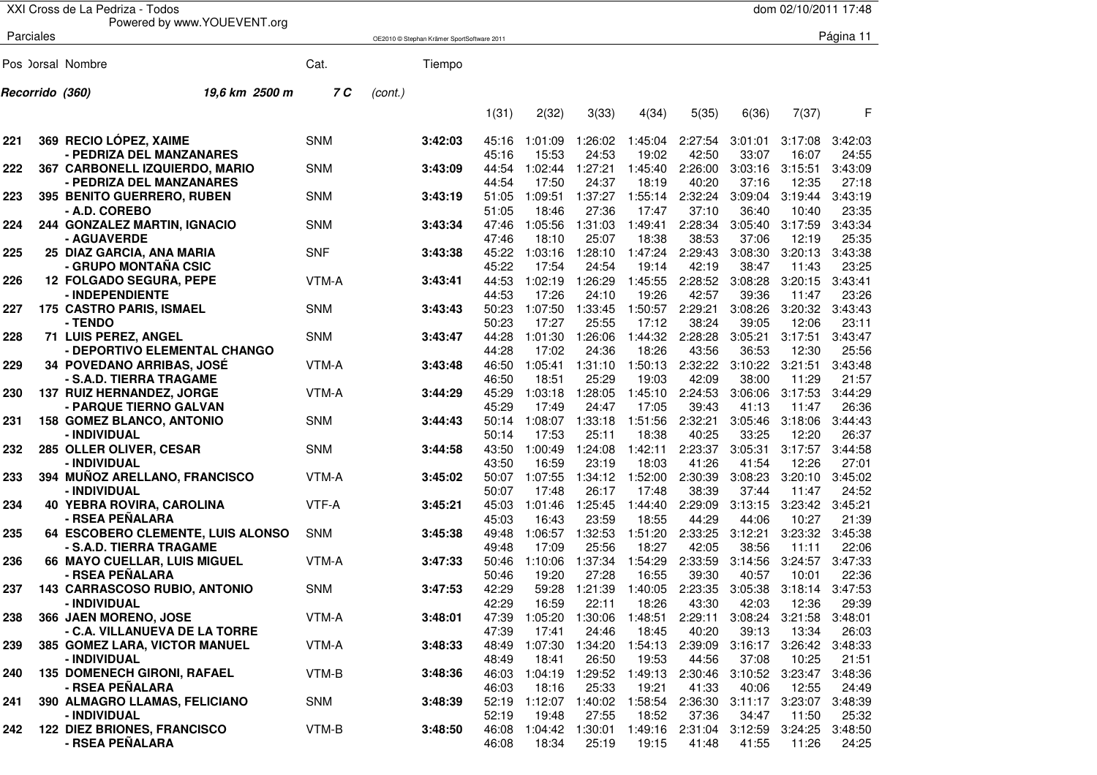|     |                 | XXI Cross de La Pedriza - Todos                            |            |         |                                            |                |                  |                  |                  |                                                             |                  | dom 02/10/2011 17:48 |                  |
|-----|-----------------|------------------------------------------------------------|------------|---------|--------------------------------------------|----------------|------------------|------------------|------------------|-------------------------------------------------------------|------------------|----------------------|------------------|
|     | Parciales       | Powered by www.YOUEVENT.org                                |            |         |                                            |                |                  |                  |                  |                                                             |                  |                      | Página 11        |
|     |                 |                                                            |            |         | OE2010 © Stephan Krämer SportSoftware 2011 |                |                  |                  |                  |                                                             |                  |                      |                  |
|     |                 | Pos ) orsal Nombre                                         | Cat.       |         | Tiempo                                     |                |                  |                  |                  |                                                             |                  |                      |                  |
|     | Recorrido (360) | 19,6 km 2500 m                                             | 7 C        | (cont.) |                                            |                |                  |                  |                  |                                                             |                  |                      |                  |
|     |                 |                                                            |            |         |                                            | 1(31)          | 2(32)            | 3(33)            | 4(34)            | 5(35)                                                       | 6(36)            | 7(37)                | F                |
| 221 |                 | 369 RECIO LÓPEZ, XAIME                                     | <b>SNM</b> |         | 3:42:03                                    | 45:16          | 1:01:09          | 1:26:02          | 1:45:04          | 2:27:54                                                     | 3:01:01          | 3:17:08              | 3:42:03          |
|     |                 | - PEDRIZA DEL MANZANARES                                   |            |         |                                            | 45:16          | 15:53            | 24:53            | 19:02            | 42:50                                                       | 33:07            | 16:07                | 24:55            |
| 222 |                 | 367 CARBONELL IZQUIERDO, MARIO<br>- PEDRIZA DEL MANZANARES | <b>SNM</b> |         | 3:43:09                                    | 44:54<br>44:54 | 1:02:44<br>17:50 | 1:27:21<br>24:37 | 1:45:40<br>18:19 | 2:26:00<br>40:20                                            | 3:03:16<br>37:16 | 3:15:51<br>12:35     | 3:43:09<br>27:18 |
| 223 |                 | <b>395 BENITO GUERRERO, RUBEN</b>                          | <b>SNM</b> |         | 3:43:19                                    | 51:05          | 1:09:51          | 1:37:27          | 1:55:14          | 2:32:24                                                     | 3:09:04          | 3:19:44              | 3:43:19          |
|     |                 | - A.D. COREBO                                              |            |         |                                            | 51:05          | 18:46            | 27:36            | 17:47            | 37:10                                                       | 36:40            | 10:40                | 23:35            |
| 224 |                 | 244 GONZALEZ MARTIN, IGNACIO                               | <b>SNM</b> |         | 3:43:34                                    | 47:46          | 1:05:56          | 1:31:03          | 1:49:41          | 2:28:34                                                     | 3:05:40          | 3:17:59              | 3:43:34          |
|     |                 | - AGUAVERDE                                                |            |         |                                            | 47:46          | 18:10            | 25:07            | 18:38            | 38:53                                                       | 37:06            | 12:19                | 25:35            |
| 225 |                 | 25 DIAZ GARCIA, ANA MARIA                                  | <b>SNF</b> |         | 3:43:38                                    | 45:22          | 1:03:16          | 1:28:10          | 1:47:24          | 2:29:43                                                     | 3:08:30          | 3:20:13              | 3:43:38          |
|     |                 | - GRUPO MONTAÑA CSIC                                       |            |         |                                            | 45:22          | 17:54            | 24:54            | 19:14            | 42:19                                                       | 38:47            | 11:43                | 23:25            |
| 226 |                 | <b>12 FOLGADO SEGURA, PEPE</b>                             | VTM-A      |         | 3:43:41                                    | 44:53          | 1:02:19          | 1:26:29          | 1:45:55          | 2:28:52                                                     | 3:08:28          | 3:20:15              | 3:43:41          |
|     |                 | - INDEPENDIENTE                                            |            |         |                                            | 44:53          | 17:26            | 24:10            | 19:26            | 42:57                                                       | 39:36            | 11:47                | 23:26            |
| 227 |                 | 175 CASTRO PARIS, ISMAEL                                   | <b>SNM</b> |         | 3:43:43                                    | 50:23          | 1:07:50          | 1:33:45          | 1:50:57          | 2:29:21                                                     | 3:08:26          | 3:20:32              | 3:43:43          |
|     |                 | - TENDO                                                    |            |         |                                            | 50:23          | 17:27            | 25:55            | 17:12            | 38:24                                                       | 39:05            | 12:06                | 23:11            |
| 228 |                 | 71 LUIS PEREZ, ANGEL                                       | <b>SNM</b> |         | 3:43:47                                    | 44:28          | 1:01:30          | 1:26:06          | 1:44:32          | 2:28:28                                                     | 3:05:21          | 3:17:51              | 3:43:47          |
|     |                 | - DEPORTIVO ELEMENTAL CHANGO                               |            |         |                                            | 44:28          | 17:02            | 24:36            | 18:26            | 43:56                                                       | 36:53            | 12:30                | 25:56            |
| 229 |                 | <b>34 POVEDANO ARRIBAS, JOSÉ</b>                           | VTM-A      |         | 3:43:48                                    | 46:50          | 1:05:41          | 1:31:10          | 1:50:13          | 2:32:22                                                     | 3:10:22          | 3:21:51              | 3:43:48<br>21:57 |
| 230 |                 | - S.A.D. TIERRA TRAGAME<br>137 RUIZ HERNANDEZ, JORGE       | VTM-A      |         | 3:44:29                                    | 46:50<br>45:29 | 18:51<br>1:03:18 | 25:29<br>1:28:05 | 19:03<br>1:45:10 | 42:09<br>2:24:53                                            | 38:00<br>3:06:06 | 11:29<br>3:17:53     | 3:44:29          |
|     |                 | - PARQUE TIERNO GALVAN                                     |            |         |                                            | 45:29          | 17:49            | 24:47            | 17:05            | 39:43                                                       | 41:13            | 11:47                | 26:36            |
| 231 |                 | <b>158 GOMEZ BLANCO, ANTONIO</b>                           | <b>SNM</b> |         | 3:44:43                                    | 50:14          | 1:08:07          | 1:33:18          | 1:51:56          | 2:32:21                                                     | 3:05:46          | 3:18:06              | 3:44:43          |
|     |                 | - INDIVIDUAL                                               |            |         |                                            | 50:14          | 17:53            | 25:11            | 18:38            | 40:25                                                       | 33:25            | 12:20                | 26:37            |
| 232 |                 | 285 OLLER OLIVER, CESAR                                    | <b>SNM</b> |         | 3:44:58                                    | 43:50          | 1:00:49          | 1:24:08          | 1:42:11          | 2:23:37                                                     | 3:05:31          | 3:17:57              | 3:44:58          |
|     |                 | - INDIVIDUAL                                               |            |         |                                            | 43:50          | 16:59            | 23:19            | 18:03            | 41:26                                                       | 41:54            | 12:26                | 27:01            |
| 233 |                 | 394 MUÑOZ ARELLANO, FRANCISCO                              | VTM-A      |         | 3:45:02                                    | 50:07          | 1:07:55          | 1:34:12          | 1:52:00          | 2:30:39                                                     | 3:08:23          | 3:20:10              | 3:45:02          |
|     |                 | - INDIVIDUAL                                               |            |         |                                            | 50:07          | 17:48            | 26:17            | 17:48            | 38:39                                                       | 37:44            | 11:47                | 24:52            |
| 234 |                 | 40 YEBRA ROVIRA, CAROLINA                                  | VTF-A      |         | 3:45:21                                    | 45:03          | 1:01:46          | 1:25:45          | 1:44:40          | 2:29:09                                                     | 3:13:15          | 3:23:42              | 3:45:21          |
|     |                 | - RSEA PEÑALARA                                            |            |         |                                            | 45:03          | 16:43            | 23:59            | 18:55            | 44:29                                                       | 44:06            | 10:27                | 21:39            |
| 235 |                 | 64 ESCOBERO CLEMENTE, LUIS ALONSO                          | <b>SNM</b> |         | 3:45:38                                    | 49:48          | 1:06:57          | 1:32:53          | 1:51:20          | 2:33:25                                                     | 3:12:21          | 3:23:32              | 3:45:38          |
| 236 |                 | - S.A.D. TIERRA TRAGAME                                    | VTM-A      |         | 3:47:33                                    | 49:48<br>50:46 | 17:09<br>1:10:06 | 25:56<br>1:37:34 | 18:27<br>1:54:29 | 42:05<br>2:33:59                                            | 38:56<br>3:14:56 | 11:11<br>3:24:57     | 22:06<br>3:47:33 |
|     |                 | 66 MAYO CUELLAR, LUIS MIGUEL<br>- RSEA PEÑALARA            |            |         |                                            | 50:46          | 19:20            | 27:28            | 16:55            | 39:30                                                       | 40:57            | 10:01                | 22:36            |
| 237 |                 | 143 CARRASCOSO RUBIO, ANTONIO                              | <b>SNM</b> |         | 3:47:53                                    | 42:29          |                  |                  |                  | 59:28  1:21:39  1:40:05  2:23:35  3:05:38  3:18:14  3:47:53 |                  |                      |                  |
|     |                 | - INDIVIDUAL                                               |            |         |                                            | 42:29          | 16:59            | 22:11            | 18:26            | 43:30                                                       | 42:03            | 12:36                | 29:39            |
| 238 |                 | 366 JAEN MORENO, JOSE                                      | VTM-A      |         | 3:48:01                                    | 47:39          | 1:05:20          | 1:30:06          | 1:48:51          | 2:29:11                                                     | 3:08:24          | 3:21:58              | 3:48:01          |
|     |                 | - C.A. VILLANUEVA DE LA TORRE                              |            |         |                                            | 47:39          | 17:41            | 24:46            | 18:45            | 40:20                                                       | 39:13            | 13:34                | 26:03            |
| 239 |                 | 385 GOMEZ LARA, VICTOR MANUEL                              | VTM-A      |         | 3:48:33                                    |                | 48:49 1:07:30    | 1:34:20          | 1:54:13          | 2:39:09                                                     | 3:16:17          | 3:26:42              | 3:48:33          |
|     |                 | - INDIVIDUAL                                               |            |         |                                            | 48:49          | 18:41            | 26:50            | 19:53            | 44:56                                                       | 37:08            | 10:25                | 21:51            |
| 240 |                 | <b>135 DOMENECH GIRONI, RAFAEL</b>                         | VTM-B      |         | 3:48:36                                    | 46:03          | 1:04:19          | 1:29:52          | 1:49:13          | 2:30:46                                                     | 3:10:52          | 3:23:47              | 3:48:36          |
|     |                 | - RSEA PEÑALARA                                            |            |         |                                            | 46:03          | 18:16            | 25:33            | 19:21            | 41:33                                                       | 40:06            | 12:55                | 24:49            |
| 241 |                 | 390 ALMAGRO LLAMAS, FELICIANO                              | SNM        |         | 3:48:39                                    |                | 52:19 1:12:07    | 1:40:02          | 1:58:54          | 2:36:30                                                     |                  | 3:11:17 3:23:07      | 3:48:39          |
|     |                 | - INDIVIDUAL                                               |            |         |                                            | 52:19          | 19:48            | 27:55            | 18:52            | 37:36                                                       | 34:47            | 11:50                | 25:32            |
| 242 |                 | <b>122 DIEZ BRIONES, FRANCISCO</b>                         | VTM-B      |         | 3:48:50                                    | 46:08          | 1:04:42          | 1:30:01          | 1:49:16          | 2:31:04                                                     | 3:12:59          | 3:24:25              | 3:48:50          |
|     |                 | - RSEA PEÑALARA                                            |            |         |                                            | 46:08          | 18:34            | 25:19            | 19:15            | 41:48                                                       | 41:55            | 11:26                | 24:25            |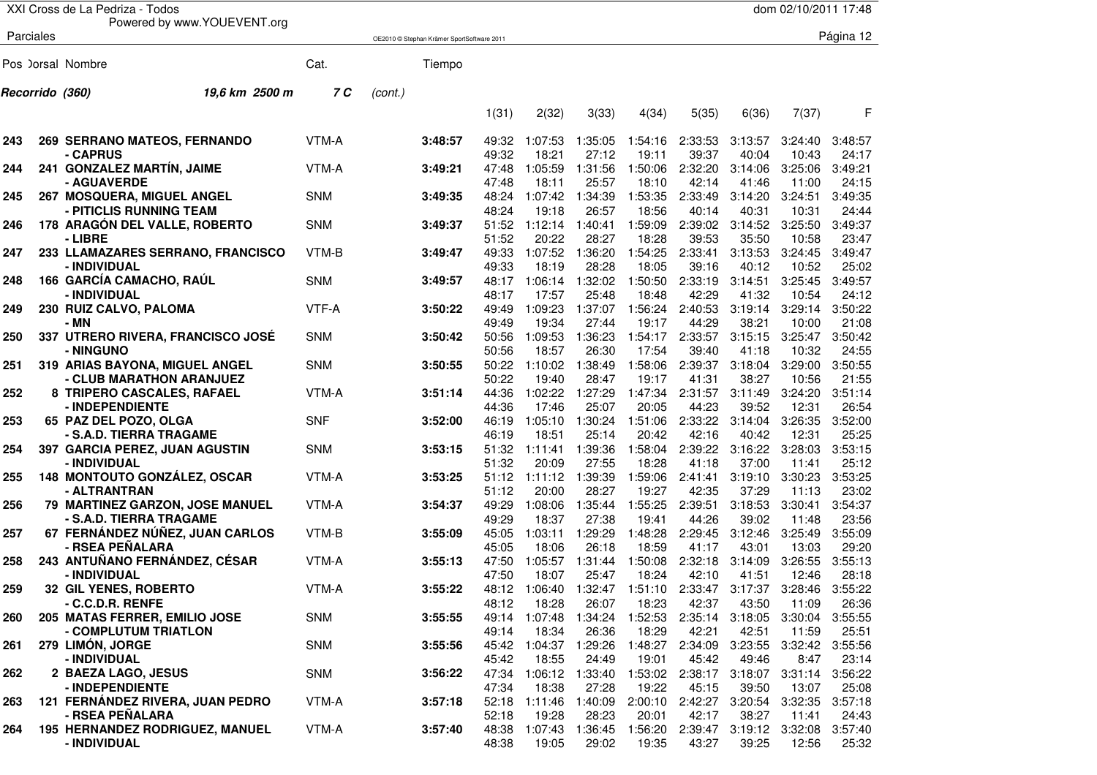|     |                 | XXI Cross de La Pedriza - Todos                            |            |         |                                            |                |                       |                  |                  |                  |                  | dom 02/10/2011 17:48 |                  |
|-----|-----------------|------------------------------------------------------------|------------|---------|--------------------------------------------|----------------|-----------------------|------------------|------------------|------------------|------------------|----------------------|------------------|
|     |                 | Powered by www.YOUEVENT.org                                |            |         |                                            |                |                       |                  |                  |                  |                  |                      |                  |
|     | Parciales       |                                                            |            |         | OE2010 © Stephan Krämer SportSoftware 2011 |                |                       |                  |                  |                  |                  |                      | Página 12        |
|     |                 |                                                            |            |         |                                            |                |                       |                  |                  |                  |                  |                      |                  |
|     |                 | Pos ) orsal Nombre                                         | Cat.       |         | Tiempo                                     |                |                       |                  |                  |                  |                  |                      |                  |
|     | Recorrido (360) | 19,6 km 2500 m                                             | 7 C        | (cont.) |                                            |                |                       |                  |                  |                  |                  |                      |                  |
|     |                 |                                                            |            |         |                                            | 1(31)          | 2(32)                 | 3(33)            | 4(34)            | 5(35)            | 6(36)            | 7(37)                | F                |
|     |                 |                                                            |            |         |                                            |                |                       |                  |                  |                  |                  |                      |                  |
| 243 |                 | <b>269 SERRANO MATEOS, FERNANDO</b>                        | VTM-A      |         | 3:48:57                                    | 49:32          | 1:07:53               | 1:35:05          | 1:54:16          | 2:33:53          | 3:13:57          | 3:24:40              | 3:48:57          |
|     |                 | - CAPRUS                                                   |            |         |                                            | 49:32          | 18:21                 | 27:12            | 19:11            | 39:37            | 40:04            | 10:43                | 24:17            |
| 244 |                 | 241 GONZALEZ MARTÍN, JAIME                                 | VTM-A      |         | 3:49:21                                    | 47:48          | 1:05:59               | 1:31:56          | 1:50:06          | 2:32:20          | 3:14:06          | 3:25:06              | 3:49:21          |
|     |                 | - AGUAVERDE                                                |            |         |                                            | 47:48          | 18:11                 | 25:57            | 18:10            | 42:14            | 41:46            | 11:00                | 24:15            |
| 245 |                 | 267 MOSQUERA, MIGUEL ANGEL                                 | <b>SNM</b> |         | 3:49:35                                    | 48:24          | 1:07:42               | 1:34:39          | 1:53:35          | 2:33:49          | 3:14:20          | 3:24:51              | 3:49:35          |
|     |                 | - PITICLIS RUNNING TEAM                                    |            |         |                                            | 48:24          | 19:18                 | 26:57            | 18:56            | 40:14            | 40:31            | 10:31                | 24:44            |
| 246 |                 | 178 ARAGÓN DEL VALLE, ROBERTO                              | <b>SNM</b> |         | 3:49:37                                    | 51:52          | 1:12:14               | 1:40:41          | 1:59:09          | 2:39:02          | 3:14:52          | 3:25:50              | 3:49:37          |
|     |                 | - LIBRE                                                    |            |         |                                            | 51:52          | 20:22                 | 28:27            | 18:28            | 39:53            | 35:50            | 10:58                | 23:47            |
| 247 |                 | 233 LLAMAZARES SERRANO, FRANCISCO<br>- INDIVIDUAL          | VTM-B      |         | 3:49:47                                    | 49:33<br>49:33 | 1:07:52<br>18:19      | 1:36:20<br>28:28 | 1:54:25<br>18:05 | 2:33:41<br>39:16 | 3:13:53<br>40:12 | 3:24:45<br>10:52     | 3:49:47<br>25:02 |
| 248 |                 | 166 GARCÍA CAMACHO, RAÚL                                   | <b>SNM</b> |         | 3:49:57                                    | 48:17          | 1:06:14               | 1:32:02          | 1:50:50          | 2:33:19          | 3:14:51          | 3:25:45              | 3:49:57          |
|     |                 | - INDIVIDUAL                                               |            |         |                                            | 48:17          | 17:57                 | 25:48            | 18:48            | 42:29            | 41:32            | 10:54                | 24:12            |
| 249 |                 | 230 RUIZ CALVO, PALOMA                                     | VTF-A      |         | 3:50:22                                    | 49:49          | 1:09:23               | 1:37:07          | 1:56:24          | 2:40:53          | 3:19:14          | 3:29:14              | 3:50:22          |
|     |                 | - MN                                                       |            |         |                                            | 49:49          | 19:34                 | 27:44            | 19:17            | 44:29            | 38:21            | 10:00                | 21:08            |
| 250 |                 | 337 UTRERO RIVERA, FRANCISCO JOSÉ                          | <b>SNM</b> |         | 3:50:42                                    | 50:56          | 1:09:53               | 1:36:23          | 1:54:17          | 2:33:57          | 3:15:15          | 3:25:47              | 3:50:42          |
|     |                 | - NINGUNO                                                  |            |         |                                            | 50:56          | 18:57                 | 26:30            | 17:54            | 39:40            | 41:18            | 10:32                | 24:55            |
| 251 |                 | 319 ARIAS BAYONA, MIGUEL ANGEL                             | <b>SNM</b> |         | 3:50:55                                    | 50:22          | 1:10:02               | 1:38:49          | 1:58:06          | 2:39:37          | 3:18:04          | 3:29:00              | 3:50:55          |
|     |                 | - CLUB MARATHON ARANJUEZ                                   |            |         |                                            | 50:22          | 19:40                 | 28:47            | 19:17            | 41:31            | 38:27            | 10:56                | 21:55            |
| 252 |                 | 8 TRIPERO CASCALES, RAFAEL                                 | VTM-A      |         | 3:51:14                                    | 44:36          | 1:02:22               | 1:27:29          | 1:47:34          | 2:31:57          | 3:11:49          | 3:24:20              | 3:51:14          |
|     |                 | - INDEPENDIENTE                                            |            |         |                                            | 44:36          | 17:46                 | 25:07            | 20:05            | 44:23            | 39:52            | 12:31                | 26:54            |
| 253 |                 | 65 PAZ DEL POZO, OLGA                                      | <b>SNF</b> |         | 3:52:00                                    | 46:19          | 1:05:10               | 1:30:24          | 1:51:06          | 2:33:22          | 3:14:04          | 3:26:35              | 3:52:00          |
|     |                 | - S.A.D. TIERRA TRAGAME                                    |            |         |                                            | 46:19          | 18:51                 | 25:14            | 20:42            | 42:16            | 40:42            | 12:31                | 25:25            |
| 254 |                 | 397 GARCIA PEREZ, JUAN AGUSTIN                             | <b>SNM</b> |         | 3:53:15                                    | 51:32          | 1:11:41               | 1:39:36          | 1:58:04          | 2:39:22          | 3:16:22          | 3:28:03              | 3:53:15          |
|     |                 | - INDIVIDUAL                                               |            |         |                                            | 51:32          | 20:09                 | 27:55            | 18:28            | 41:18            | 37:00            | 11:41                | 25:12            |
| 255 |                 | <b>148 MONTOUTO GONZÁLEZ, OSCAR</b>                        | VTM-A      |         | 3:53:25                                    |                | 51:12 1:11:12         | 1:39:39          | 1:59:06          | 2:41:41          | 3:19:10          | 3:30:23              | 3:53:25          |
|     |                 | - ALTRANTRAN                                               |            |         |                                            | 51:12          | 20:00                 | 28:27            | 19:27            | 42:35            | 37:29            | 11:13                | 23:02            |
| 256 |                 | 79 MARTINEZ GARZON, JOSE MANUEL                            | VTM-A      |         | 3:54:37                                    | 49:29          | 1:08:06               | 1:35:44          | 1:55:25          | 2:39:51          | 3:18:53          | 3:30:41              | 3:54:37          |
| 257 |                 | - S.A.D. TIERRA TRAGAME<br>67 FERNÁNDEZ NÚÑEZ, JUAN CARLOS | VTM-B      |         | 3:55:09                                    | 49:29<br>45:05 | 18:37<br>1:03:11      | 27:38<br>1:29:29 | 19:41<br>1:48:28 | 44:26<br>2:29:45 | 39:02<br>3:12:46 | 11:48<br>3:25:49     | 23:56<br>3:55:09 |
|     |                 | - RSEA PEÑALARA                                            |            |         |                                            | 45:05          | 18:06                 | 26:18            | 18:59            | 41:17            | 43:01            | 13:03                | 29:20            |
| 258 |                 | 243 ANTUÑANO FERNÁNDEZ, CÉSAR                              | VTM-A      |         | 3:55:13                                    | 47:50          | 1:05:57               | 1:31:44          | 1:50:08          | 2:32:18          | 3:14:09          | 3:26:55              | 3:55:13          |
|     |                 | - INDIVIDUAL                                               |            |         |                                            | 47:50          | 18:07                 | 25:47            | 18:24            | 42:10            | 41:51            | 12:46                | 28:18            |
| 259 |                 | <b>32 GIL YENES, ROBERTO</b>                               | VTM-A      |         | 3:55:22                                    |                | 48:12 1:06:40         |                  | 1:32:47 1:51:10  | 2:33:47          | 3:17:37          | 3:28:46              | 3:55:22          |
|     |                 | - C.C.D.R. RENFE                                           |            |         |                                            | 48:12          | 18:28                 | 26:07            | 18:23            | 42:37            | 43:50            | 11:09                | 26:36            |
| 260 |                 | 205 MATAS FERRER, EMILIO JOSE                              | SNM        |         | 3:55:55                                    |                | 49:14 1:07:48         | 1:34:24          | 1:52:53          | 2:35:14          | 3:18:05          | 3:30:04              | 3:55:55          |
|     |                 | - COMPLUTUM TRIATLON                                       |            |         |                                            | 49:14          | 18:34                 | 26:36            | 18:29            | 42:21            | 42:51            | 11:59                | 25:51            |
| 261 |                 | 279 LIMÓN, JORGE                                           | SNM        |         | 3:55:56                                    |                | 45:42 1:04:37 1:29:26 |                  | 1:48:27          | 2:34:09          | 3:23:55          | 3:32:42              | 3:55:56          |
|     |                 | - INDIVIDUAL                                               |            |         |                                            | 45:42          | 18:55                 | 24:49            | 19:01            | 45:42            | 49:46            | 8:47                 | 23:14            |
| 262 |                 | 2 BAEZA LAGO, JESUS                                        | SNM        |         | 3:56:22                                    |                | 47:34 1:06:12 1:33:40 |                  | 1:53:02          | 2:38:17          |                  | 3:18:07 3:31:14      | 3:56:22          |
|     |                 | - INDEPENDIENTE                                            |            |         |                                            | 47:34          | 18:38                 | 27:28            | 19:22            | 45:15            | 39:50            | 13:07                | 25:08            |
| 263 |                 | 121 FERNÁNDEZ RIVERA, JUAN PEDRO                           | VTM-A      |         | 3:57:18                                    | 52:18          | 1:11:46               | 1:40:09          | 2:00:10          | 2:42:27          | 3:20:54          | 3:32:35              | 3:57:18          |
|     |                 | - RSEA PEÑALARA                                            |            |         |                                            | 52:18          | 19:28                 | 28:23            | 20:01            | 42:17            | 38:27            | 11:41                | 24:43            |
| 264 |                 | 195 HERNANDEZ RODRIGUEZ, MANUEL                            | VTM-A      |         | 3:57:40                                    | 48:38          | 1:07:43               | 1:36:45          | 1:56:20          | 2:39:47          | 3:19:12          | 3:32:08              | 3:57:40          |
|     |                 | - INDIVIDUAL                                               |            |         |                                            | 48:38          | 19:05                 | 29:02            | 19:35            | 43:27            | 39:25            | 12:56                | 25:32            |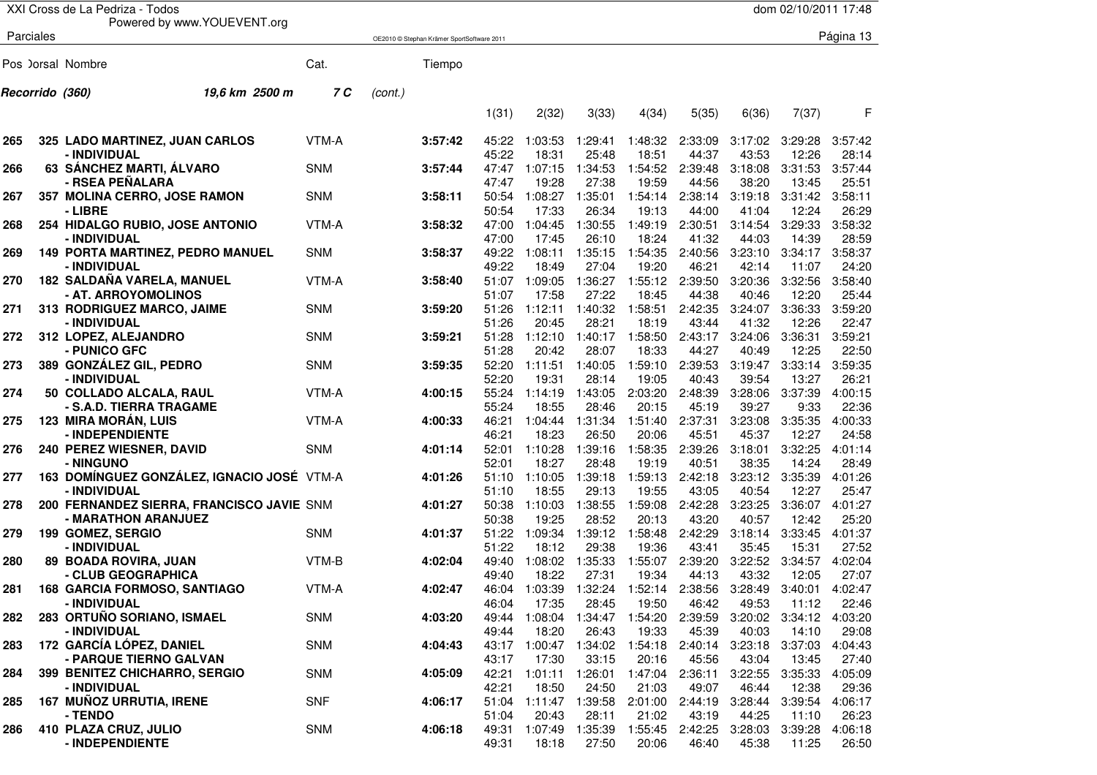|     | XXI Cross de La Pedriza - Todos<br>dom 02/10/2011 17:48 |                                            |            |         |                                            |                |                  |                          |                          |                  |                  |                         |                  |
|-----|---------------------------------------------------------|--------------------------------------------|------------|---------|--------------------------------------------|----------------|------------------|--------------------------|--------------------------|------------------|------------------|-------------------------|------------------|
|     |                                                         | Powered by www.YOUEVENT.org                |            |         |                                            |                |                  |                          |                          |                  |                  |                         |                  |
|     | Parciales                                               |                                            |            |         | OE2010 © Stephan Krämer SportSoftware 2011 |                |                  |                          |                          |                  |                  |                         | Página 13        |
|     |                                                         |                                            |            |         |                                            |                |                  |                          |                          |                  |                  |                         |                  |
|     |                                                         | Pos ) orsal Nombre                         | Cat.       |         | Tiempo                                     |                |                  |                          |                          |                  |                  |                         |                  |
|     | Recorrido (360)                                         | 19,6 km 2500 m                             | 7 C        | (cont.) |                                            |                |                  |                          |                          |                  |                  |                         |                  |
|     |                                                         |                                            |            |         |                                            |                |                  |                          |                          |                  |                  |                         | F                |
|     |                                                         |                                            |            |         |                                            | 1(31)          | 2(32)            | 3(33)                    | 4(34)                    | 5(35)            | 6(36)            | 7(37)                   |                  |
| 265 |                                                         | 325 LADO MARTINEZ, JUAN CARLOS             | VTM-A      |         | 3:57:42                                    | 45:22          | 1:03:53          | 1:29:41                  | 1:48:32                  | 2:33:09          | 3:17:02          | 3:29:28                 | 3:57:42          |
|     |                                                         | - INDIVIDUAL                               |            |         |                                            | 45:22          | 18:31            | 25:48                    | 18:51                    | 44:37            | 43:53            | 12:26                   | 28:14            |
| 266 |                                                         | 63 SÁNCHEZ MARTI, ÁLVARO                   | <b>SNM</b> |         | 3:57:44                                    | 47:47          | 1:07:15          | 1:34:53                  | 1:54:52                  | 2:39:48          | 3:18:08          | 3:31:53                 | 3:57:44          |
|     |                                                         | - RSEA PEÑALARA                            |            |         |                                            | 47:47          | 19:28            | 27:38                    | 19:59                    | 44:56            | 38:20            | 13:45                   | 25:51            |
| 267 |                                                         | 357 MOLINA CERRO, JOSE RAMON               | <b>SNM</b> |         | 3:58:11                                    | 50:54          | 1:08:27          | 1:35:01                  | 1:54:14                  | 2:38:14          | 3:19:18          | 3:31:42                 | 3:58:11          |
|     |                                                         | - LIBRE                                    |            |         |                                            | 50:54          | 17:33            | 26:34                    | 19:13                    | 44:00            | 41:04            | 12:24                   | 26:29            |
| 268 |                                                         | 254 HIDALGO RUBIO, JOSE ANTONIO            | VTM-A      |         | 3:58:32                                    | 47:00          | 1:04:45          | 1:30:55                  | 1:49:19                  | 2:30:51          | 3:14:54          | 3:29:33                 | 3:58:32          |
|     |                                                         | - INDIVIDUAL                               |            |         |                                            | 47:00          | 17:45            | 26:10                    | 18:24                    | 41:32            | 44:03            | 14:39                   | 28:59            |
| 269 |                                                         | 149 PORTA MARTINEZ, PEDRO MANUEL           | <b>SNM</b> |         | 3:58:37                                    | 49:22          | 1:08:11          | 1:35:15                  | 1:54:35                  | 2:40:56          | 3:23:10          | 3:34:17                 | 3:58:37          |
|     |                                                         | - INDIVIDUAL                               |            |         |                                            | 49:22          | 18:49            | 27:04                    | 19:20                    | 46:21            | 42:14            | 11:07                   | 24:20            |
| 270 |                                                         | 182 SALDAÑA VARELA, MANUEL                 | VTM-A      |         | 3:58:40                                    | 51:07          | 1:09:05          | 1:36:27                  | 1:55:12                  | 2:39:50          | 3:20:36          | 3:32:56                 | 3:58:40          |
|     |                                                         | - AT. ARROYOMOLINOS                        |            |         |                                            | 51:07          | 17:58            | 27:22                    | 18:45                    | 44:38            | 40:46            | 12:20                   | 25:44            |
| 271 |                                                         | 313 RODRIGUEZ MARCO, JAIME                 | <b>SNM</b> |         | 3:59:20                                    | 51:26          | 1:12:11          | 1:40:32                  | 1:58:51                  | 2:42:35          | 3:24:07          | 3:36:33                 | 3:59:20          |
|     |                                                         | - INDIVIDUAL                               |            |         |                                            | 51:26          | 20:45            | 28:21                    | 18:19                    | 43:44            | 41:32            | 12:26                   | 22:47            |
| 272 |                                                         | 312 LOPEZ, ALEJANDRO                       | <b>SNM</b> |         | 3:59:21                                    | 51:28          | 1:12:10          | 1:40:17                  | 1:58:50                  | 2:43:17          | 3:24:06          | 3:36:31                 | 3:59:21          |
|     |                                                         | - PUNICO GFC                               | <b>SNM</b> |         |                                            | 51:28          | 20:42            | 28:07                    | 18:33                    | 44:27            | 40:49            | 12:25                   | 22:50            |
| 273 |                                                         | 389 GONZÁLEZ GIL, PEDRO<br>- INDIVIDUAL    |            |         | 3:59:35                                    | 52:20<br>52:20 | 1:11:51<br>19:31 | 1:40:05<br>28:14         | 1:59:10<br>19:05         | 2:39:53<br>40:43 | 3:19:47<br>39:54 | 3:33:14<br>13:27        | 3:59:35<br>26:21 |
| 274 |                                                         | 50 COLLADO ALCALA, RAUL                    | VTM-A      |         | 4:00:15                                    | 55:24          | 1:14:19          | 1:43:05                  | 2:03:20                  | 2:48:39          | 3:28:06          | 3:37:39                 | 4:00:15          |
|     |                                                         | - S.A.D. TIERRA TRAGAME                    |            |         |                                            | 55:24          | 18:55            | 28:46                    | 20:15                    | 45:19            | 39:27            | 9:33                    | 22:36            |
| 275 |                                                         | <b>123 MIRA MORÁN, LUIS</b>                | VTM-A      |         | 4:00:33                                    | 46:21          | 1:04:44          | 1:31:34                  | 1:51:40                  | 2:37:31          | 3:23:08          | 3:35:35                 | 4:00:33          |
|     |                                                         | - INDEPENDIENTE                            |            |         |                                            | 46:21          | 18:23            | 26:50                    | 20:06                    | 45:51            | 45:37            | 12:27                   | 24:58            |
| 276 |                                                         | 240 PEREZ WIESNER, DAVID                   | <b>SNM</b> |         | 4:01:14                                    | 52:01          | 1:10:28          | 1:39:16                  | 1:58:35                  | 2:39:26          | 3:18:01          | 3:32:25                 | 4:01:14          |
|     |                                                         | - NINGUNO                                  |            |         |                                            | 52:01          | 18:27            | 28:48                    | 19:19                    | 40:51            | 38:35            | 14:24                   | 28:49            |
| 277 |                                                         | 163 DOMÍNGUEZ GONZÁLEZ, IGNACIO JOSÉ VTM-A |            |         | 4:01:26                                    | 51:10          | 1:10:05          | 1:39:18                  | 1:59:13                  | 2:42:18          | 3:23:12          | 3:35:39                 | 4:01:26          |
|     |                                                         | - INDIVIDUAL                               |            |         |                                            | 51:10          | 18:55            | 29:13                    | 19:55                    | 43:05            | 40:54            | 12:27                   | 25:47            |
| 278 |                                                         | 200 FERNANDEZ SIERRA, FRANCISCO JAVIE SNM  |            |         | 4:01:27                                    | 50:38          | 1:10:03          | 1:38:55                  | 1:59:08                  | 2:42:28          | 3:23:25          | 3:36:07                 | 4:01:27          |
|     |                                                         | - MARATHON ARANJUEZ                        |            |         |                                            | 50:38          | 19:25            | 28:52                    | 20:13                    | 43:20            | 40:57            | 12:42                   | 25:20            |
| 279 |                                                         | 199 GOMEZ, SERGIO                          | <b>SNM</b> |         | 4:01:37                                    | 51:22          | 1:09:34          | 1:39:12                  | 1:58:48                  | 2:42:29          | 3:18:14          | 3:33:45                 | 4:01:37          |
|     |                                                         | - INDIVIDUAL                               |            |         |                                            | 51:22          | 18:12            | 29:38                    | 19:36                    | 43:41            | 35:45            | 15:31                   | 27:52            |
| 280 |                                                         | 89 BOADA ROVIRA, JUAN                      | VTM-B      |         | 4:02:04                                    | 49:40          | 1:08:02          | 1:35:33                  | 1:55:07                  | 2:39:20          | 3:22:52          | 3:34:57                 | 4:02:04          |
|     |                                                         | - CLUB GEOGRAPHICA                         |            |         |                                            | 49:40          | 18:22            | 27:31                    | 19:34                    | 44:13            | 43:32            | 12:05                   | 27:07            |
| 281 |                                                         | <b>168 GARCIA FORMOSO, SANTIAGO</b>        | VTM-A      |         | 4:02:47                                    | 46:04          | 1:03:39          | 1:32:24                  | 1:52:14                  | 2:38:56          | 3:28:49          | 3:40:01                 | 4:02:47          |
|     |                                                         | - INDIVIDUAL                               |            |         |                                            | 46:04          | 17:35            | 28:45                    | 19:50                    | 46:42            | 49:53            | 11:12                   | 22:46            |
| 282 |                                                         | 283 ORTUÑO SORIANO, ISMAEL                 | <b>SNM</b> |         | 4:03:20                                    |                | 49:44 1:08:04    | 1:34:47                  | 1:54:20                  | 2:39:59          |                  | 3:20:02 3:34:12 4:03:20 |                  |
|     |                                                         | - INDIVIDUAL                               |            |         |                                            | 49:44          | 18:20            | 26:43                    | 19:33                    | 45:39            | 40:03            | 14:10                   | 29:08            |
| 283 |                                                         | 172 GARCÍA LÓPEZ, DANIEL                   | SNM        |         | 4:04:43                                    |                |                  | 43:17 1:00:47 1:34:02    | 1:54:18                  | 2:40:14          | 3:23:18          | 3:37:03                 | 4:04:43          |
|     |                                                         | - PARQUE TIERNO GALVAN                     |            |         |                                            | 43:17          | 17:30            | 33:15                    | 20:16<br>1:26:01 1:47:04 | 45:56            | 43:04            | 13:45                   | 27:40            |
| 284 |                                                         | 399 BENITEZ CHICHARRO, SERGIO              | SNM        |         | 4:05:09                                    | 42:21<br>42:21 | 1:01:11          |                          |                          | 2:36:11          | 3:22:55          | 3:35:33                 | 4:05:09          |
| 285 |                                                         | - INDIVIDUAL<br>167 MUÑOZ URRUTIA, IRENE   | <b>SNF</b> |         | 4:06:17                                    | 51:04          | 18:50            | 24:50<br>1:11:47 1:39:58 | 21:03<br>2:01:00         | 49:07<br>2:44:19 | 46:44<br>3:28:44 | 12:38<br>3:39:54        | 29:36<br>4:06:17 |
|     |                                                         | - TENDO                                    |            |         |                                            | 51:04          | 20:43            | 28:11                    | 21:02                    | 43:19            | 44:25            | 11:10                   | 26:23            |
| 286 |                                                         | 410 PLAZA CRUZ, JULIO                      | SNM        |         | 4:06:18                                    | 49:31          | 1:07:49          | 1:35:39                  | 1:55:45                  | 2:42:25          | 3:28:03          | 3:39:28                 | 4:06:18          |
|     |                                                         | - INDEPENDIENTE                            |            |         |                                            | 49:31          | 18:18            | 27:50                    | 20:06                    | 46:40            | 45:38            | 11:25                   | 26:50            |
|     |                                                         |                                            |            |         |                                            |                |                  |                          |                          |                  |                  |                         |                  |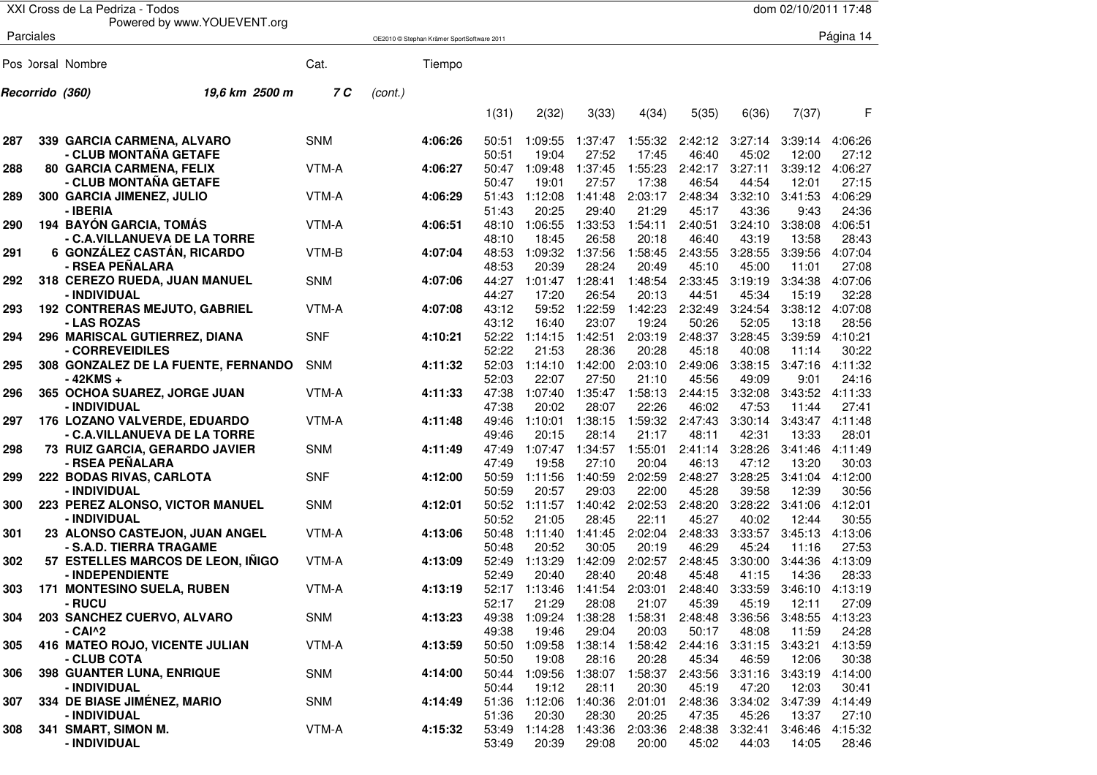| XXI Cross de La Pedriza - Todos<br>dom 02/10/2011 17:48 |           |                                                   |            |         |                                            |                |                  |                  |                  |                  |                  |                  |                  |
|---------------------------------------------------------|-----------|---------------------------------------------------|------------|---------|--------------------------------------------|----------------|------------------|------------------|------------------|------------------|------------------|------------------|------------------|
|                                                         |           | Powered by www.YOUEVENT.org                       |            |         |                                            |                |                  |                  |                  |                  |                  |                  |                  |
|                                                         | Parciales |                                                   |            |         | OE2010 © Stephan Krämer SportSoftware 2011 |                |                  |                  |                  |                  |                  |                  | Página 14        |
|                                                         |           |                                                   |            |         |                                            |                |                  |                  |                  |                  |                  |                  |                  |
|                                                         |           | Pos ) orsal Nombre                                | Cat.       |         | Tiempo                                     |                |                  |                  |                  |                  |                  |                  |                  |
|                                                         |           | 19,6 km 2500 m<br>Recorrido (360)                 | 7 C        | (cont.) |                                            |                |                  |                  |                  |                  |                  |                  |                  |
|                                                         |           |                                                   |            |         |                                            | 1(31)          | 2(32)            | 3(33)            | 4(34)            | 5(35)            | 6(36)            | 7(37)            | F                |
| 287                                                     |           | 339 GARCIA CARMENA, ALVARO                        | <b>SNM</b> |         | 4:06:26                                    | 50:51          | 1:09:55          | 1:37:47          | 1:55:32          | 2:42:12          | 3:27:14          | 3:39:14          | 4:06:26          |
|                                                         |           | - CLUB MONTAÑA GETAFE                             |            |         |                                            | 50:51          | 19:04            | 27:52            | 17:45            | 46:40            | 45:02            | 12:00            | 27:12            |
| 288                                                     |           | 80 GARCIA CARMENA, FELIX                          | VTM-A      |         | 4:06:27                                    | 50:47          | 1:09:48          | 1:37:45          | 1:55:23          | 2:42:17          | 3:27:11          | 3:39:12          | 4:06:27          |
|                                                         |           | - CLUB MONTAÑA GETAFE                             |            |         |                                            | 50:47          | 19:01            | 27:57            | 17:38            | 46:54            | 44:54            | 12:01            | 27:15            |
| 289                                                     |           | 300 GARCIA JIMENEZ, JULIO<br>- IBERIA             | VTM-A      |         | 4:06:29                                    | 51:43<br>51:43 | 1:12:08<br>20:25 | 1:41:48<br>29:40 | 2:03:17<br>21:29 | 2:48:34<br>45:17 | 3:32:10<br>43:36 | 3:41:53<br>9:43  | 4:06:29<br>24:36 |
| 290                                                     |           | 194 BAYÓN GARCIA, TOMÁS                           | VTM-A      |         | 4:06:51                                    | 48:10          | 1:06:55          | 1:33:53          | 1:54:11          | 2:40:51          | 3:24:10          | 3:38:08          | 4:06:51          |
|                                                         |           | - C.A.VILLANUEVA DE LA TORRE                      |            |         |                                            | 48:10          | 18:45            | 26:58            | 20:18            | 46:40            | 43:19            | 13:58            | 28:43            |
| 291                                                     |           | 6 GONZÁLEZ CASTÁN, RICARDO                        | VTM-B      |         | 4:07:04                                    | 48:53          | 1:09:32          | 1:37:56          | 1:58:45          | 2:43:55          | 3:28:55          | 3:39:56          | 4:07:04          |
|                                                         |           | - RSEA PEÑALARA                                   |            |         |                                            | 48:53          | 20:39            | 28:24            | 20:49            | 45:10            | 45:00            | 11:01            | 27:08            |
| 292                                                     |           | 318 CEREZO RUEDA, JUAN MANUEL                     | <b>SNM</b> |         | 4:07:06                                    | 44:27          | 1:01:47          | 1:28:41          | 1:48:54          | 2:33:45          | 3:19:19          | 3:34:38          | 4:07:06          |
|                                                         |           | - INDIVIDUAL                                      |            |         |                                            | 44:27          | 17:20            | 26:54            | 20:13            | 44:51            | 45:34            | 15:19            | 32:28            |
| 293                                                     |           | <b>192 CONTRERAS MEJUTO, GABRIEL</b>              | VTM-A      |         | 4:07:08                                    | 43:12          | 59:52            | 1:22:59          | 1:42:23          | 2:32:49          | 3:24:54          | 3:38:12          | 4:07:08          |
|                                                         |           | - LAS ROZAS                                       |            |         |                                            | 43:12          | 16:40            | 23:07            | 19:24            | 50:26            | 52:05            | 13:18            | 28:56            |
| 294                                                     |           | 296 MARISCAL GUTIERREZ, DIANA                     | <b>SNF</b> |         | 4:10:21                                    | 52:22          | 1:14:15          | 1:42:51          | 2:03:19          | 2:48:37          | 3:28:45          | 3:39:59          | 4:10:21          |
|                                                         |           | - CORREVEIDILES                                   |            |         |                                            | 52:22          | 21:53            | 28:36            | 20:28            | 45:18            | 40:08            | 11:14            | 30:22            |
| 295                                                     |           | 308 GONZALEZ DE LA FUENTE, FERNANDO               | SNM        |         | 4:11:32                                    | 52:03          | 1:14:10          | 1:42:00          | 2:03:10          | 2:49:06          | 3:38:15          | 3:47:16          | 4:11:32          |
|                                                         |           | $-42KMS +$                                        |            |         |                                            | 52:03          | 22:07            | 27:50            | 21:10            | 45:56            | 49:09            | 9:01             | 24:16            |
| 296                                                     |           | 365 OCHOA SUAREZ, JORGE JUAN<br>- INDIVIDUAL      | VTM-A      |         | 4:11:33                                    | 47:38<br>47:38 | 1:07:40<br>20:02 | 1:35:47<br>28:07 | 1:58:13<br>22:26 | 2:44:15<br>46:02 | 3:32:08<br>47:53 | 3:43:52<br>11:44 | 4:11:33<br>27:41 |
| 297                                                     |           | 176 LOZANO VALVERDE, EDUARDO                      | VTM-A      |         | 4:11:48                                    | 49:46          | 1:10:01          | 1:38:15          | 1:59:32          | 2:47:43          | 3:30:14          | 3:43:47          | 4:11:48          |
|                                                         |           | - C.A.VILLANUEVA DE LA TORRE                      |            |         |                                            | 49:46          | 20:15            | 28:14            | 21:17            | 48:11            | 42:31            | 13:33            | 28:01            |
| 298                                                     |           | 73 RUIZ GARCIA, GERARDO JAVIER<br>- RSEA PEÑALARA | <b>SNM</b> |         | 4:11:49                                    | 47:49<br>47:49 | 1:07:47<br>19:58 | 1:34:57<br>27:10 | 1:55:01<br>20:04 | 2:41:14<br>46:13 | 3:28:26<br>47:12 | 3:41:46<br>13:20 | 4:11:49<br>30:03 |
| 299                                                     |           | 222 BODAS RIVAS, CARLOTA                          | <b>SNF</b> |         | 4:12:00                                    | 50:59          | 1:11:56          | 1:40:59          | 2:02:59          | 2:48:27          | 3:28:25          | 3:41:04          | 4:12:00          |
|                                                         |           | - INDIVIDUAL                                      |            |         |                                            | 50:59          | 20:57            | 29:03            | 22:00            | 45:28            | 39:58            | 12:39            | 30:56            |
| 300                                                     |           | 223 PEREZ ALONSO, VICTOR MANUEL                   | <b>SNM</b> |         | 4:12:01                                    | 50:52          | 1:11:57          | 1:40:42          | 2:02:53          | 2:48:20          | 3:28:22          | 3:41:06          | 4:12:01          |
|                                                         |           | - INDIVIDUAL                                      |            |         |                                            | 50:52          | 21:05            | 28:45            | 22:11            | 45:27            | 40:02            | 12:44            | 30:55            |
| 301                                                     |           | 23 ALONSO CASTEJON, JUAN ANGEL                    | VTM-A      |         | 4:13:06                                    | 50:48          | 1:11:40          | 1:41:45          | 2:02:04          | 2:48:33          | 3:33:57          | 3:45:13          | 4:13:06          |
|                                                         |           | - S.A.D. TIERRA TRAGAME                           |            |         |                                            | 50:48          | 20:52            | 30:05            | 20:19            | 46:29            | 45:24            | 11:16            | 27:53            |
| 302                                                     |           | 57 ESTELLES MARCOS DE LEON, INIGO                 | VTM-A      |         | 4:13:09                                    | 52:49          | 1:13:29          | 1:42:09          | 2:02:57          | 2:48:45          | 3:30:00          | 3:44:36          | 4:13:09          |
|                                                         |           | - INDEPENDIENTE                                   |            |         |                                            | 52:49          | 20:40            | 28:40            | 20:48            | 45:48            | 41:15            | 14:36            | 28:33            |
| 303                                                     |           | 171 MONTESINO SUELA, RUBEN                        | VTM-A      |         | 4:13:19                                    | 52:17          | 1:13:46          | 1:41:54          | 2:03:01          | 2:48:40          | 3:33:59          | 3:46:10          | 4:13:19          |
|                                                         |           | - RUCU                                            |            |         |                                            | 52:17          | 21:29            | 28:08            | 21:07            | 45:39            | 45:19            | 12:11            | 27:09            |
| 304                                                     |           | 203 SANCHEZ CUERVO, ALVARO                        | <b>SNM</b> |         | 4:13:23                                    |                | 49:38 1:09:24    |                  | 1:38:28 1:58:31  | 2:48:48          | 3:36:56          | 3:48:55          | 4:13:23          |
|                                                         |           | - CAI^2                                           |            |         |                                            | 49:38          | 19:46            | 29:04            | 20:03            | 50:17            | 48:08            | 11:59            | 24:28            |
| 305                                                     |           | 416 MATEO ROJO, VICENTE JULIAN<br>- CLUB COTA     | VTM-A      |         | 4:13:59                                    | 50:50<br>50:50 | 1:09:58<br>19:08 | 1:38:14<br>28:16 | 1:58:42<br>20:28 | 2:44:16<br>45:34 | 3:31:15<br>46:59 | 3:43:21<br>12:06 | 4:13:59<br>30:38 |
| 306                                                     |           | 398 GUANTER LUNA, ENRIQUE                         | <b>SNM</b> |         | 4:14:00                                    |                | 50:44 1:09:56    |                  | 1:38:07 1:58:37  | 2:43:56          | 3:31:16          | 3:43:19          | 4:14:00          |
|                                                         |           | - INDIVIDUAL                                      |            |         |                                            | 50:44          | 19:12            | 28:11            | 20:30            | 45:19            | 47:20            | 12:03            | 30:41            |
| 307                                                     |           | 334 DE BIASE JIMÉNEZ, MARIO                       | SNM        |         | 4:14:49                                    | 51:36          | 1:12:06          | 1:40:36          | 2:01:01          | 2:48:36          | 3:34:02          | 3:47:39          | 4:14:49          |
|                                                         |           | - INDIVIDUAL                                      |            |         |                                            | 51:36          | 20:30            | 28:30            | 20:25            | 47:35            | 45:26            | 13:37            | 27:10            |
| 308                                                     |           | 341 SMART, SIMON M.                               | VTM-A      |         | 4:15:32                                    | 53:49          | 1:14:28          | 1:43:36          | 2:03:36          | 2:48:38          | 3:32:41          | 3:46:46          | 4:15:32          |
|                                                         |           | - INDIVIDUAL                                      |            |         |                                            | 53:49          | 20:39            | 29:08            | 20:00            | 45:02            | 44:03            | 14:05            | 28:46            |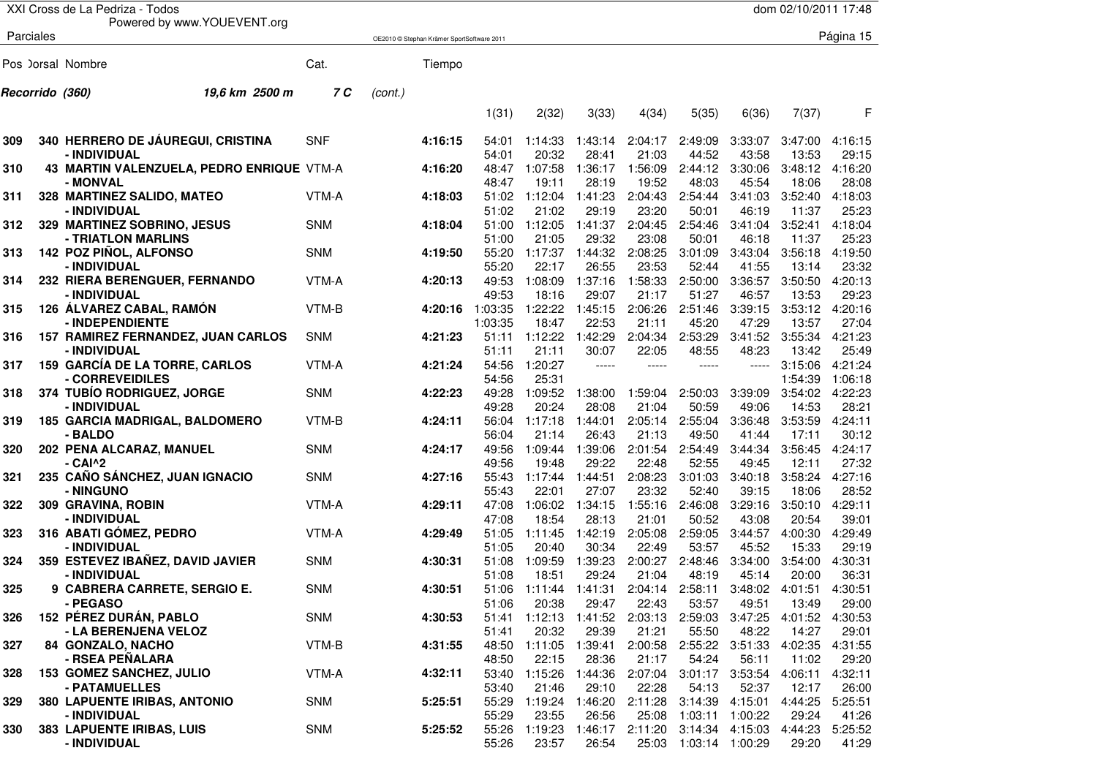|     | XXI Cross de La Pedriza - Todos<br>dom 02/10/2011 17:48 |                                                        |            |         |                                            |                  |                  |                                        |                  |                       |                  |                  |                  |
|-----|---------------------------------------------------------|--------------------------------------------------------|------------|---------|--------------------------------------------|------------------|------------------|----------------------------------------|------------------|-----------------------|------------------|------------------|------------------|
|     |                                                         | Powered by www.YOUEVENT.org                            |            |         |                                            |                  |                  |                                        |                  |                       |                  |                  |                  |
|     | Parciales                                               |                                                        |            |         | OE2010 © Stephan Krämer SportSoftware 2011 |                  |                  |                                        |                  |                       |                  |                  | Página 15        |
|     |                                                         |                                                        |            |         |                                            |                  |                  |                                        |                  |                       |                  |                  |                  |
|     |                                                         | Pos ) orsal Nombre                                     | Cat.       |         | Tiempo                                     |                  |                  |                                        |                  |                       |                  |                  |                  |
|     | Recorrido (360)                                         | 19,6 km 2500 m                                         | 7 C        | (cont.) |                                            |                  |                  |                                        |                  |                       |                  |                  |                  |
|     |                                                         |                                                        |            |         |                                            |                  |                  |                                        |                  |                       |                  |                  |                  |
|     |                                                         |                                                        |            |         |                                            | 1(31)            | 2(32)            | 3(33)                                  | 4(34)            | 5(35)                 | 6(36)            | 7(37)            | F                |
|     |                                                         | 340 HERRERO DE JÁUREGUI, CRISTINA                      |            |         |                                            |                  |                  | 1:43:14                                |                  |                       |                  |                  |                  |
| 309 |                                                         | - INDIVIDUAL                                           | <b>SNF</b> |         | 4:16:15                                    | 54:01<br>54:01   | 1:14:33<br>20:32 | 28:41                                  | 2:04:17<br>21:03 | 2:49:09<br>44:52      | 3:33:07<br>43:58 | 3:47:00<br>13:53 | 4:16:15<br>29:15 |
| 310 |                                                         | 43 MARTIN VALENZUELA, PEDRO ENRIQUE VTM-A              |            |         | 4:16:20                                    | 48:47            | 1:07:58          | 1:36:17                                | 1:56:09          | 2:44:12               | 3:30:06          | 3:48:12          | 4:16:20          |
|     |                                                         | - MONVAL                                               |            |         |                                            | 48:47            | 19:11            | 28:19                                  | 19:52            | 48:03                 | 45:54            | 18:06            | 28:08            |
| 311 |                                                         | 328 MARTINEZ SALIDO, MATEO                             | VTM-A      |         | 4:18:03                                    | 51:02            | 1:12:04          | 1:41:23                                | 2:04:43          | 2:54:44               | 3:41:03          | 3:52:40          | 4:18:03          |
|     |                                                         | - INDIVIDUAL                                           |            |         |                                            | 51:02            | 21:02            | 29:19                                  | 23:20            | 50:01                 | 46:19            | 11:37            | 25:23            |
| 312 |                                                         | 329 MARTINEZ SOBRINO, JESUS                            | <b>SNM</b> |         | 4:18:04                                    | 51:00            | 1:12:05          | 1:41:37                                | 2:04:45          | 2:54:46               | 3:41:04          | 3:52:41          | 4:18:04          |
|     |                                                         | - TRIATLON MARLINS                                     |            |         |                                            | 51:00            | 21:05            | 29:32                                  | 23:08            | 50:01                 | 46:18            | 11:37            | 25:23            |
| 313 |                                                         | 142 POZ PIÑOL, ALFONSO                                 | <b>SNM</b> |         | 4:19:50                                    | 55:20            | 1:17:37          | 1:44:32                                | 2:08:25          | 3:01:09               | 3:43:04          | 3:56:18          | 4:19:50          |
|     |                                                         | - INDIVIDUAL                                           |            |         |                                            | 55:20            | 22:17            | 26:55                                  | 23:53            | 52:44                 | 41:55            | 13:14            | 23:32            |
| 314 |                                                         | 232 RIERA BERENGUER, FERNANDO                          | VTM-A      |         | 4:20:13                                    | 49:53            | 1:08:09          | 1:37:16                                | 1:58:33          | 2:50:00               | 3:36:57          | 3:50:50          | 4:20:13          |
| 315 |                                                         | - INDIVIDUAL<br>126 ÁLVAREZ CABAL, RAMÓN               | VTM-B      |         | 4:20:16                                    | 49:53<br>1:03:35 | 18:16<br>1:22:22 | 29:07<br>1:45:15                       | 21:17<br>2:06:26 | 51:27<br>2:51:46      | 46:57<br>3:39:15 | 13:53<br>3:53:12 | 29:23<br>4:20:16 |
|     |                                                         | - INDEPENDIENTE                                        |            |         |                                            | 1:03:35          | 18:47            | 22:53                                  | 21:11            | 45:20                 | 47:29            | 13:57            | 27:04            |
| 316 |                                                         | 157 RAMIREZ FERNANDEZ, JUAN CARLOS                     | <b>SNM</b> |         | 4:21:23                                    | 51:11            | 1:12:22          | 1:42:29                                | 2:04:34          | 2:53:29               | 3:41:52          | 3:55:34          | 4:21:23          |
|     |                                                         | - INDIVIDUAL                                           |            |         |                                            | 51:11            | 21:11            | 30:07                                  | 22:05            | 48:55                 | 48:23            | 13:42            | 25:49            |
| 317 |                                                         | 159 GARCÍA DE LA TORRE, CARLOS                         | VTM-A      |         | 4:21:24                                    | 54:56            | 1:20:27          | -----                                  | -----            | -----                 | -----            | 3:15:06          | 4:21:24          |
|     |                                                         | - CORREVEIDILES                                        |            |         |                                            | 54:56            | 25:31            |                                        |                  |                       |                  | 1:54:39          | 1:06:18          |
| 318 |                                                         | 374 TUBÍO RODRIGUEZ, JORGE                             | <b>SNM</b> |         | 4:22:23                                    | 49:28            | 1:09:52          | 1:38:00                                | 1:59:04          | 2:50:03               | 3:39:09          | 3:54:02          | 4:22:23          |
|     |                                                         | - INDIVIDUAL                                           |            |         |                                            | 49:28            | 20:24            | 28:08                                  | 21:04            | 50:59                 | 49:06            | 14:53            | 28:21            |
| 319 |                                                         | 185 GARCIA MADRIGAL, BALDOMERO                         | VTM-B      |         | 4:24:11                                    | 56:04            | 1:17:18          | 1:44:01                                | 2:05:14          | 2:55:04               | 3:36:48          | 3:53:59          | 4:24:11          |
|     |                                                         | - BALDO                                                |            |         |                                            | 56:04            | 21:14            | 26:43                                  | 21:13            | 49:50                 | 41:44            | 17:11            | 30:12            |
| 320 |                                                         | 202 PENA ALCARAZ, MANUEL                               | <b>SNM</b> |         | 4:24:17                                    | 49:56            | 1:09:44          | 1:39:06                                | 2:01:54          | 2:54:49               | 3:44:34          | 3:56:45          | 4:24:17          |
|     |                                                         | $-$ CAI $^{\wedge}2$<br>235 CAÑO SÁNCHEZ, JUAN IGNACIO | <b>SNM</b> |         | 4:27:16                                    | 49:56<br>55:43   | 19:48<br>1:17:44 | 29:22<br>1:44:51                       | 22:48<br>2:08:23 | 52:55<br>3:01:03      | 49:45<br>3:40:18 | 12:11<br>3:58:24 | 27:32<br>4:27:16 |
| 321 |                                                         | - NINGUNO                                              |            |         |                                            | 55:43            | 22:01            | 27:07                                  | 23:32            | 52:40                 | 39:15            | 18:06            | 28:52            |
| 322 |                                                         | 309 GRAVINA, ROBIN                                     | VTM-A      |         | 4:29:11                                    | 47:08            | 1:06:02          | 1:34:15                                | 1:55:16          | 2:46:08               | 3:29:16          | 3:50:10          | 4:29:11          |
|     |                                                         | - INDIVIDUAL                                           |            |         |                                            | 47:08            | 18:54            | 28:13                                  | 21:01            | 50:52                 | 43:08            | 20:54            | 39:01            |
| 323 |                                                         | 316 ABATI GÓMEZ, PEDRO                                 | VTM-A      |         | 4:29:49                                    | 51:05            | 1:11:45          | 1:42:19                                | 2:05:08          | 2:59:05               | 3:44:57          | 4:00:30          | 4:29:49          |
|     |                                                         | - INDIVIDUAL                                           |            |         |                                            | 51:05            | 20:40            | 30:34                                  | 22:49            | 53:57                 | 45:52            | 15:33            | 29:19            |
| 324 |                                                         | 359 ESTEVEZ IBAÑEZ, DAVID JAVIER                       | <b>SNM</b> |         | 4:30:31                                    | 51:08            | 1:09:59          | 1:39:23                                | 2:00:27          | 2:48:46               | 3:34:00          | 3:54:00          | 4:30:31          |
|     |                                                         | - INDIVIDUAL                                           |            |         |                                            | 51:08            | 18:51            | 29:24                                  | 21:04            | 48:19                 | 45:14            | 20:00            | 36:31            |
| 325 |                                                         | 9 CABRERA CARRETE, SERGIO E.                           | SNM        |         | 4:30:51                                    | 51:06            | 1:11:44          |                                        | 1:41:31 2:04:14  | 2:58:11               | 3:48:02          | 4:01:51          | 4:30:51          |
|     |                                                         | - PEGASO                                               |            |         |                                            | 51:06            | 20:38            | 29:47                                  | 22:43            | 53:57                 | 49:51            | 13:49            | 29:00            |
| 326 |                                                         | 152 PÉREZ DURÁN, PABLO<br>- LA BERENJENA VELOZ         | SNM        |         | 4:30:53                                    | 51:41            | 20:32            | 51:41 1:12:13 1:41:52 2:03:13<br>29:39 | 21:21            | 2:59:03<br>55:50      | 3:47:25<br>48:22 | 4:01:52<br>14:27 | 4:30:53<br>29:01 |
| 327 |                                                         | 84 GONZALO, NACHO                                      | VTM-B      |         | 4:31:55                                    | 48:50            | 1:11:05          | 1:39:41                                | 2:00:58          | 2:55:22 3:51:33       |                  | 4:02:35          | 4:31:55          |
|     |                                                         | - RSEA PENALARA                                        |            |         |                                            | 48:50            | 22:15            | 28:36                                  | 21:17            | 54:24                 | 56:11            | 11:02            | 29:20            |
| 328 |                                                         | 153 GOMEZ SANCHEZ, JULIO                               | VTM-A      |         | 4:32:11                                    |                  | 53:40 1:15:26    | 1:44:36                                | 2:07:04          | 3:01:17 3:53:54       |                  | 4:06:11          | 4:32:11          |
|     |                                                         | - PATAMUELLES                                          |            |         |                                            | 53:40            | 21:46            | 29:10                                  | 22:28            | 54:13                 | 52:37            | 12:17            | 26:00            |
| 329 |                                                         | 380 LAPUENTE IRIBAS, ANTONIO                           | SNM        |         | 5:25:51                                    | 55:29            | 1:19:24          | 1:46:20                                | 2:11:28          | 3:14:39               | 4:15:01          | 4:44:25          | 5:25:51          |
|     |                                                         | - INDIVIDUAL                                           |            |         |                                            | 55:29            | 23:55            | 26:56                                  | 25:08            | 1:03:11               | 1:00:22          | 29:24            | 41:26            |
| 330 |                                                         | 383 LAPUENTE IRIBAS, LUIS                              | <b>SNM</b> |         | 5:25:52                                    | 55:26            | 1:19:23          |                                        | 1:46:17 2:11:20  | 3:14:34 4:15:03       |                  | 4:44:23          | 5:25:52          |
|     |                                                         | - INDIVIDUAL                                           |            |         |                                            | 55:26            | 23:57            | 26:54                                  |                  | 25:03 1:03:14 1:00:29 |                  | 29:20            | 41:29            |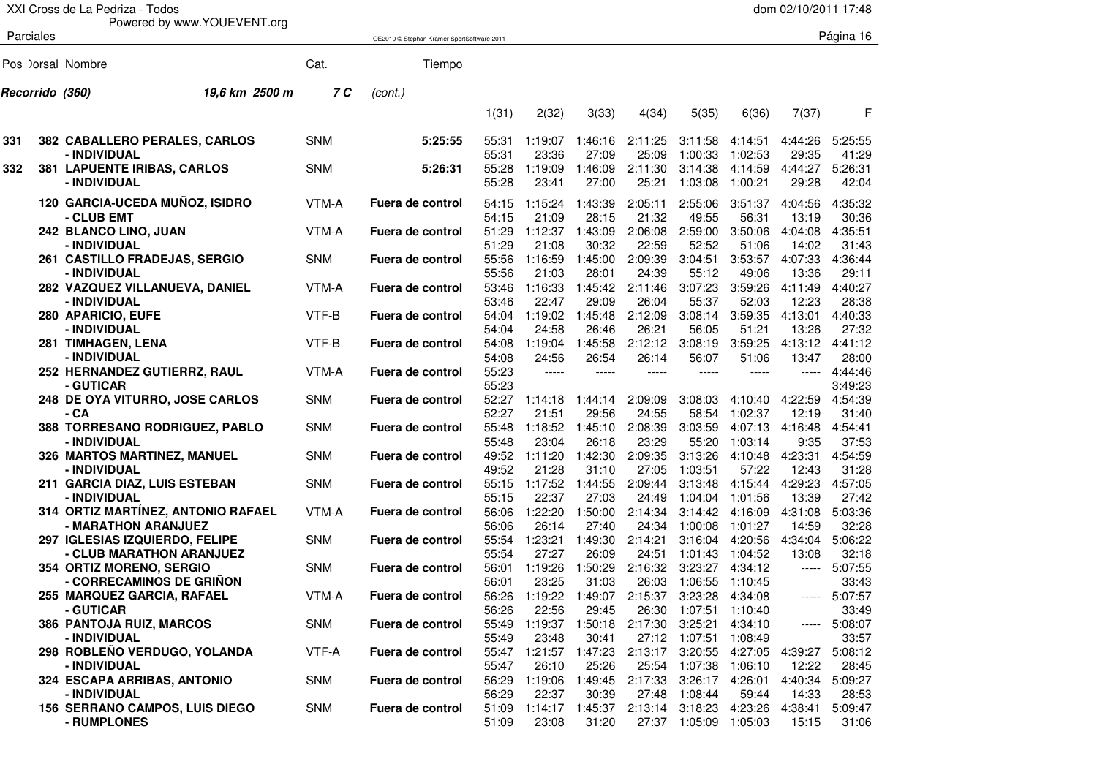|     |           | XXI Cross de La Pedriza - Todos                             |            |                                            |                         |                                |                           |                           |                                  |                               | dom 02/10/2011 17:48      |                           |
|-----|-----------|-------------------------------------------------------------|------------|--------------------------------------------|-------------------------|--------------------------------|---------------------------|---------------------------|----------------------------------|-------------------------------|---------------------------|---------------------------|
|     | Parciales | Powered by www.YOUEVENT.org                                 |            |                                            |                         |                                |                           |                           |                                  |                               |                           | Página 16                 |
|     |           |                                                             |            | OE2010 © Stephan Krämer SportSoftware 2011 |                         |                                |                           |                           |                                  |                               |                           |                           |
|     |           | Pos ) orsal Nombre                                          | Cat.       | Tiempo                                     |                         |                                |                           |                           |                                  |                               |                           |                           |
|     |           | 19.6 km 2500 m<br>Recorrido (360)                           | 7 C        | (cont.)                                    |                         |                                |                           |                           |                                  |                               |                           |                           |
|     |           |                                                             |            |                                            | 1(31)                   | 2(32)                          | 3(33)                     | 4(34)                     | 5(35)                            | 6(36)                         | 7(37)                     | F                         |
| 331 |           | 382 CABALLERO PERALES, CARLOS                               | <b>SNM</b> | 5:25:55                                    | 55:31                   | 1:19:07                        | 1:46:16                   | 2:11:25                   | 3:11:58                          | 4:14:51                       | 4:44:26                   | 5:25:55                   |
| 332 |           | - INDIVIDUAL<br>381 LAPUENTE IRIBAS, CARLOS<br>- INDIVIDUAL | <b>SNM</b> | 5:26:31                                    | 55:31<br>55:28<br>55:28 | 23:36<br>1:19:09<br>23:41      | 27:09<br>1:46:09<br>27:00 | 25:09<br>2:11:30<br>25:21 | 1:00:33<br>3:14:38<br>1:03:08    | 1:02:53<br>4:14:59<br>1:00:21 | 29:35<br>4:44:27<br>29:28 | 41:29<br>5:26:31<br>42:04 |
|     |           | 120 GARCIA-UCEDA MUÑOZ, ISIDRO<br>- CLUB EMT                | VTM-A      | Fuera de control                           | 54:15<br>54:15          | 1:15:24<br>21:09               | 1:43:39<br>28:15          | 2:05:11<br>21:32          | 2:55:06<br>49:55                 | 3:51:37<br>56:31              | 4:04:56<br>13:19          | 4:35:32<br>30:36          |
|     |           | 242 BLANCO LINO, JUAN<br>- INDIVIDUAL                       | VTM-A      | Fuera de control                           | 51:29<br>51:29          | 1:12:37<br>21:08               | 1:43:09<br>30:32          | 2:06:08<br>22:59          | 2:59:00<br>52:52                 | 3:50:06<br>51:06              | 4:04:08<br>14:02          | 4:35:51<br>31:43          |
|     |           | <b>261 CASTILLO FRADEJAS, SERGIO</b><br>- INDIVIDUAL        | <b>SNM</b> | Fuera de control                           | 55:56<br>55:56          | 1:16:59<br>21:03               | 1:45:00<br>28:01          | 2:09:39<br>24:39          | 3:04:51<br>55:12                 | 3:53:57<br>49:06              | 4:07:33<br>13:36          | 4:36:44<br>29:11          |
|     |           | 282 VAZQUEZ VILLANUEVA, DANIEL<br>- INDIVIDUAL              | VTM-A      | Fuera de control                           | 53:46<br>53:46          | 1:16:33<br>22:47               | 1:45:42<br>29:09          | 2:11:46<br>26:04          | 3:07:23<br>55:37                 | 3:59:26<br>52:03              | 4:11:49<br>12:23          | 4:40:27<br>28:38          |
|     |           | 280 APARICIO, EUFE<br>- INDIVIDUAL                          | VTF-B      | Fuera de control                           | 54:04<br>54:04          | 1:19:02<br>24:58               | 1:45:48<br>26:46          | 2:12:09<br>26:21          | 3:08:14<br>56:05                 | 3:59:35<br>51:21              | 4:13:01<br>13:26          | 4:40:33<br>27:32          |
|     |           | 281 TIMHAGEN, LENA<br>- INDIVIDUAL                          | VTF-B      | Fuera de control                           | 54:08<br>54:08          | 1:19:04<br>24:56               | 1:45:58<br>26:54          | 2:12:12<br>26:14          | 3:08:19<br>56:07                 | 3:59:25<br>51:06              | 4:13:12<br>13:47          | 4:41:12<br>28:00          |
|     |           | 252 HERNANDEZ GUTIERRZ, RAUL<br>- GUTICAR                   | VTM-A      | Fuera de control                           | 55:23<br>55:23          | -----                          | -----                     | -----                     | -----                            | -----                         | -----                     | 4:44:46<br>3:49:23        |
|     |           | 248 DE OYA VITURRO, JOSE CARLOS<br>- CA                     | <b>SNM</b> | Fuera de control                           | 52:27<br>52:27          | 1:14:18<br>21:51               | 1:44:14<br>29:56          | 2:09:09<br>24:55          | 3:08:03<br>58:54                 | 4:10:40<br>1:02:37            | 4:22:59<br>12:19          | 4:54:39<br>31:40          |
|     |           | 388 TORRESANO RODRIGUEZ, PABLO<br>- INDIVIDUAL              | <b>SNM</b> | Fuera de control                           | 55:48<br>55:48          | 1:18:52<br>23:04               | 1:45:10<br>26:18          | 2:08:39<br>23:29          | 3:03:59<br>55:20                 | 4:07:13<br>1:03:14            | 4:16:48<br>9:35           | 4:54:41<br>37:53          |
|     |           | 326 MARTOS MARTINEZ, MANUEL<br>- INDIVIDUAL                 | <b>SNM</b> | Fuera de control                           | 49:52<br>49:52          | 1:11:20<br>21:28               | 1:42:30<br>31:10          | 2:09:35<br>27:05          | 3:13:26<br>1:03:51               | 4:10:48<br>57:22              | 4:23:31<br>12:43          | 4:54:59<br>31:28          |
|     |           | 211 GARCIA DIAZ, LUIS ESTEBAN<br>- INDIVIDUAL               | <b>SNM</b> | Fuera de control                           | 55:15<br>55:15          | 1:17:52<br>22:37               | 1:44:55<br>27:03          | 2:09:44<br>24:49          | 3:13:48<br>1:04:04               | 4:15:44<br>1:01:56            | 4:29:23<br>13:39          | 4:57:05<br>27:42          |
|     |           | 314 ORTIZ MARTÍNEZ, ANTONIO RAFAEL<br>- MARATHON ARANJUEZ   | VTM-A      | Fuera de control                           | 56:06<br>56:06          | 1:22:20<br>26:14               | 1:50:00<br>27:40          | 2:14:34<br>24:34          | 3:14:42<br>1:00:08               | 4:16:09<br>1:01:27            | 4:31:08<br>14:59          | 5:03:36<br>32:28          |
|     |           | 297 IGLESIAS IZQUIERDO, FELIPE<br>- CLUB MARATHON ARANJUEZ  | <b>SNM</b> | Fuera de control                           | 55:54<br>55:54          | 1:23:21<br>27:27               | 1:49:30<br>26:09          | 2:14:21<br>24:51          | 3:16:04<br>1:01:43               | 4:20:56<br>1:04:52            | 4:34:04<br>13:08          | 5:06:22<br>32:18          |
|     |           | 354 ORTIZ MORENO, SERGIO<br>- CORRECAMINOS DE GRIÑON        | <b>SNM</b> | Fuera de control                           | 56:01<br>56:01          | 1:19:26<br>23:25               | 1:50:29<br>31:03          | 2:16:32<br>26:03          | 3:23:27<br>1:06:55               | 4:34:12<br>1:10:45            | -----                     | 5:07:55<br>33:43          |
|     |           | 255 MARQUEZ GARCIA, RAFAEL<br>- GUTICAR                     | VTM-A      | Fuera de control                           | 56:26<br>56:26          | 22:56                          | 1:19:22 1:49:07<br>29:45  | 2:15:37<br>26:30          | 3:23:28 4:34:08<br>1:07:51       | 1:10:40                       | -----                     | 5:07:57<br>33:49          |
|     |           | 386 PANTOJA RUIZ, MARCOS<br>- INDIVIDUAL                    | SNM        | Fuera de control                           | 55:49<br>55:49          | 23:48                          | 1:19:37 1:50:18<br>30:41  | 2:17:30                   | 3:25:21<br>27:12 1:07:51         | 4:34:10<br>1:08:49            | -----                     | 5:08:07<br>33:57          |
|     |           | 298 ROBLEÑO VERDUGO, YOLANDA<br>- INDIVIDUAL                | VTF-A      | Fuera de control                           | 55:47                   | 55:47 1:21:57 1:47:23<br>26:10 | 25:26                     | 2:13:17                   | 3:20:55<br>25:54 1:07:38         | 4:27:05 4:39:27<br>1:06:10    | 12:22                     | 5:08:12<br>28:45          |
|     |           | 324 ESCAPA ARRIBAS, ANTONIO<br>- INDIVIDUAL                 | SNM        | Fuera de control                           | 56:29<br>56:29          | 1:19:06<br>22:37               | 1:49:45<br>30:39          | 2:17:33<br>27:48          | 3:26:17<br>1:08:44               | 4:26:01<br>59:44              | 4:40:34<br>14:33          | 5:09:27<br>28:53          |
|     |           | <b>156 SERRANO CAMPOS, LUIS DIEGO</b><br>- RUMPLONES        | SNM        | Fuera de control                           | 51:09<br>51:09          | 1:14:17<br>23:08               | 1:45:37<br>31:20          | 2:13:14                   | 3:18:23<br>27:37 1:05:09 1:05:03 | 4:23:26                       | 4:38:41<br>15:15          | 5:09:47<br>31:06          |